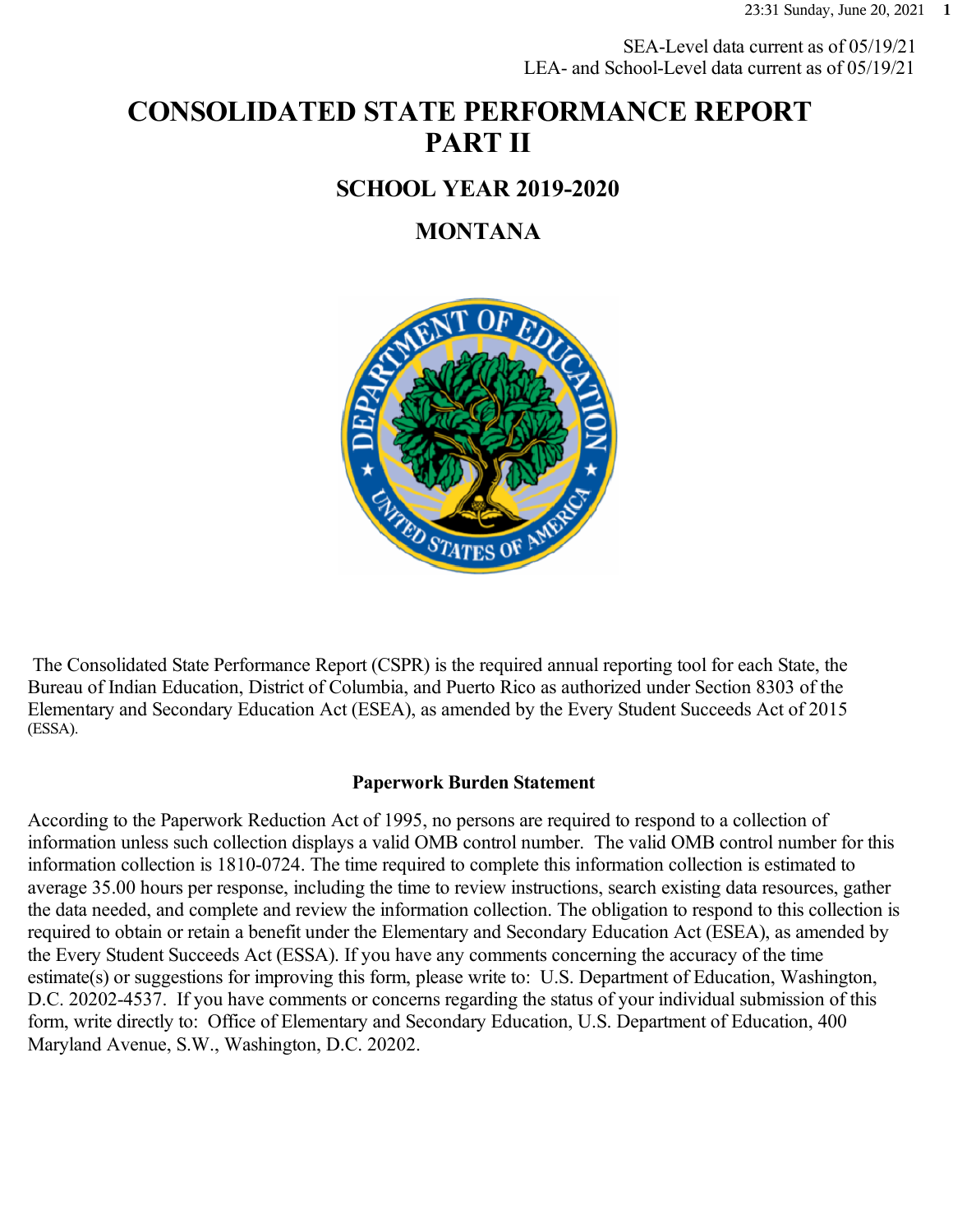SEA-Level data current as of 05/19/21 LEA- and School-Level data current as of 05/19/21

# **CONSOLIDATED STATE PERFORMANCE REPORT PART II**

### **SCHOOL YEAR 2019-2020**

### **MONTANA**



 The Consolidated State Performance Report (CSPR) is the required annual reporting tool for each State, the Bureau of Indian Education, District of Columbia, and Puerto Rico as authorized under Section 8303 of the Elementary and Secondary Education Act (ESEA), as amended by the Every Student Succeeds Act of 2015 (ESSA).

#### **Paperwork Burden Statement**

According to the Paperwork Reduction Act of 1995, no persons are required to respond to a collection of information unless such collection displays a valid OMB control number. The valid OMB control number for this information collection is 1810-0724. The time required to complete this information collection is estimated to average 35.00 hours per response, including the time to review instructions, search existing data resources, gather the data needed, and complete and review the information collection. The obligation to respond to this collection is required to obtain or retain a benefit under the Elementary and Secondary Education Act (ESEA), as amended by the Every Student Succeeds Act (ESSA). If you have any comments concerning the accuracy of the time estimate(s) or suggestions for improving this form, please write to: U.S. Department of Education, Washington, D.C. 20202-4537. If you have comments or concerns regarding the status of your individual submission of this form, write directly to: Office of Elementary and Secondary Education, U.S. Department of Education, 400 Maryland Avenue, S.W., Washington, D.C. 20202.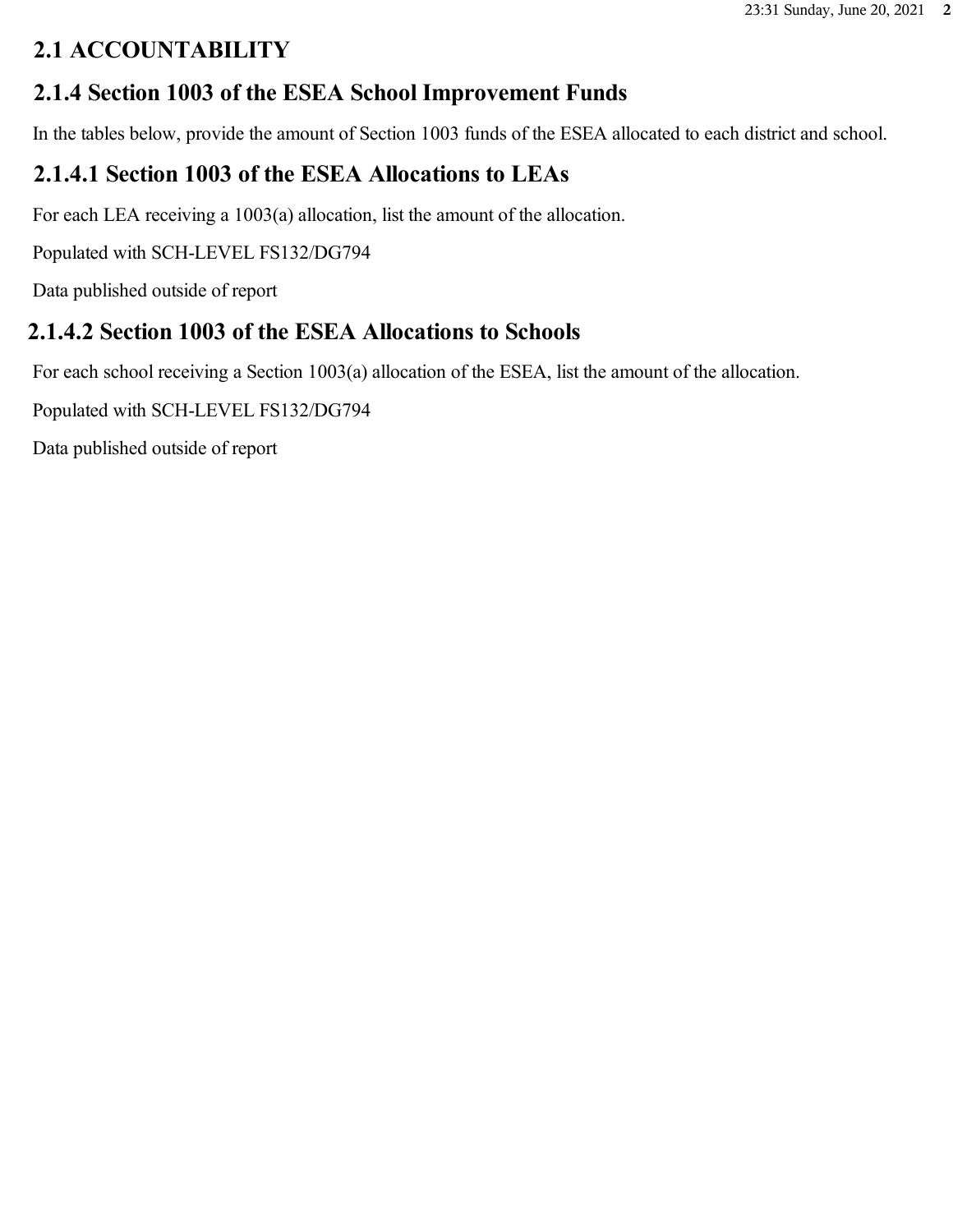# **2.1 ACCOUNTABILITY**

# **2.1.4 Section 1003 of the ESEA School Improvement Funds**

In the tables below, provide the amount of Section 1003 funds of the ESEA allocated to each district and school.

# **2.1.4.1 Section 1003 of the ESEA Allocations to LEAs**

For each LEA receiving a 1003(a) allocation, list the amount of the allocation.

Populated with SCH-LEVEL FS132/DG794

Data published outside of report

# **2.1.4.2 Section 1003 of the ESEA Allocations to Schools**

For each school receiving a Section 1003(a) allocation of the ESEA, list the amount of the allocation.

Populated with SCH-LEVEL FS132/DG794

Data published outside of report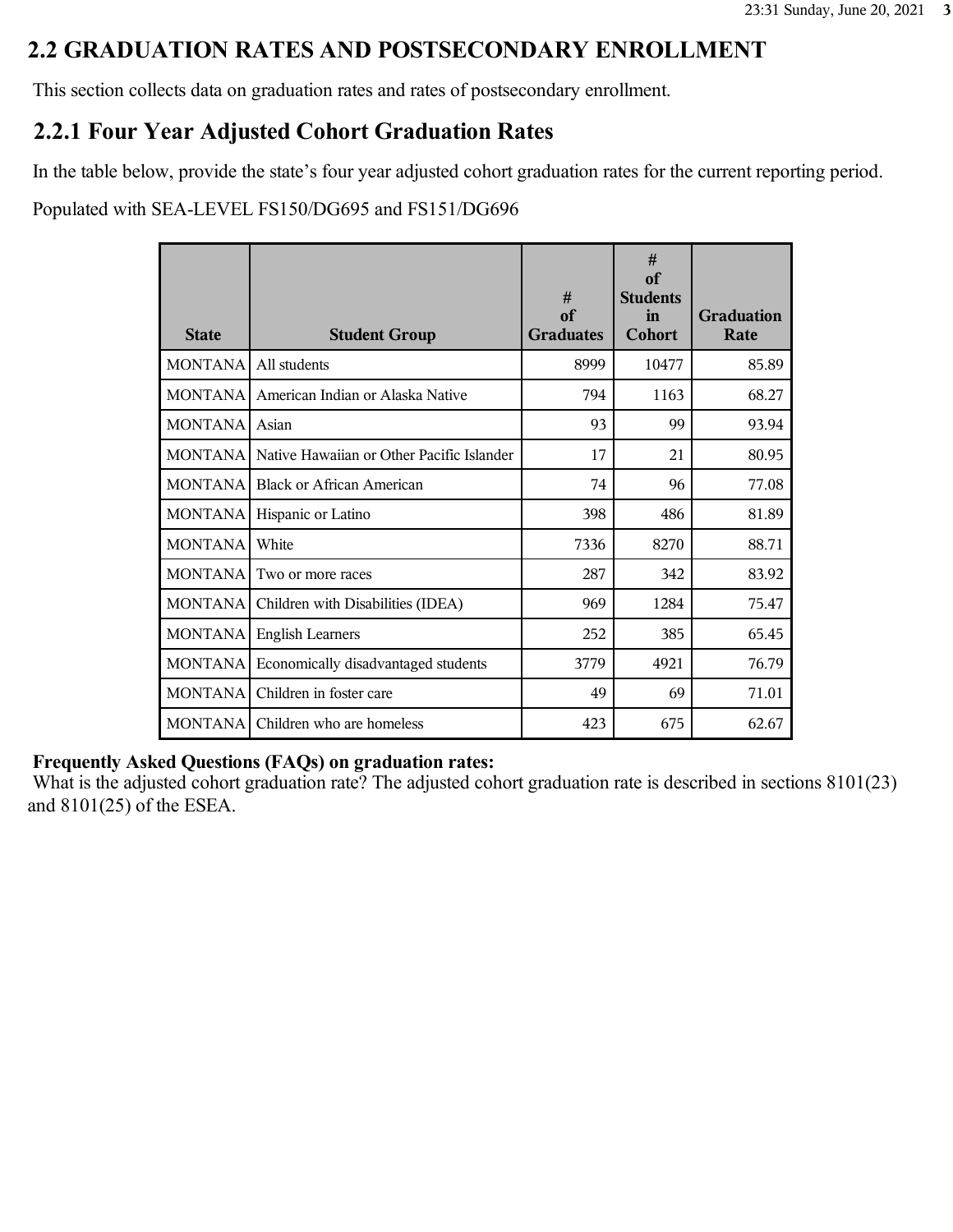### **2.2 GRADUATION RATES AND POSTSECONDARY ENROLLMENT**

This section collects data on graduation rates and rates of postsecondary enrollment.

### **2.2.1 Four Year Adjusted Cohort Graduation Rates**

In the table below, provide the state's four year adjusted cohort graduation rates for the current reporting period.

Populated with SEA-LEVEL FS150/DG695 and FS151/DG696

| <b>State</b>   | <b>Student Group</b>                      | #<br>of<br><b>Graduates</b> | #<br>of<br><b>Students</b><br>in<br>Cohort | <b>Graduation</b><br>Rate |
|----------------|-------------------------------------------|-----------------------------|--------------------------------------------|---------------------------|
| <b>MONTANA</b> | All students                              | 8999                        | 10477                                      | 85.89                     |
| <b>MONTANA</b> | American Indian or Alaska Native          | 794                         | 1163                                       | 68.27                     |
| <b>MONTANA</b> | Asian                                     | 93                          | 99                                         | 93.94                     |
| <b>MONTANA</b> | Native Hawaiian or Other Pacific Islander | 17                          | 21                                         | 80.95                     |
| <b>MONTANA</b> | Black or African American                 | 74                          | 96                                         | 77.08                     |
| <b>MONTANA</b> | Hispanic or Latino                        | 398                         | 486                                        | 81.89                     |
| <b>MONTANA</b> | White                                     | 7336                        | 8270                                       | 88.71                     |
| <b>MONTANA</b> | Two or more races                         | 287                         | 342                                        | 83.92                     |
| <b>MONTANA</b> | Children with Disabilities (IDEA)         | 969                         | 1284                                       | 75.47                     |
| <b>MONTANA</b> | <b>English Learners</b>                   | 252                         | 385                                        | 65.45                     |
| <b>MONTANA</b> | Economically disadvantaged students       | 3779                        | 4921                                       | 76.79                     |
| <b>MONTANA</b> | Children in foster care                   | 49                          | 69                                         | 71.01                     |
|                | MONTANA Children who are homeless         | 423                         | 675                                        | 62.67                     |

#### **Frequently Asked Questions (FAQs) on graduation rates:**

What is the adjusted cohort graduation rate? The adjusted cohort graduation rate is described in sections 8101(23) and 8101(25) of the ESEA.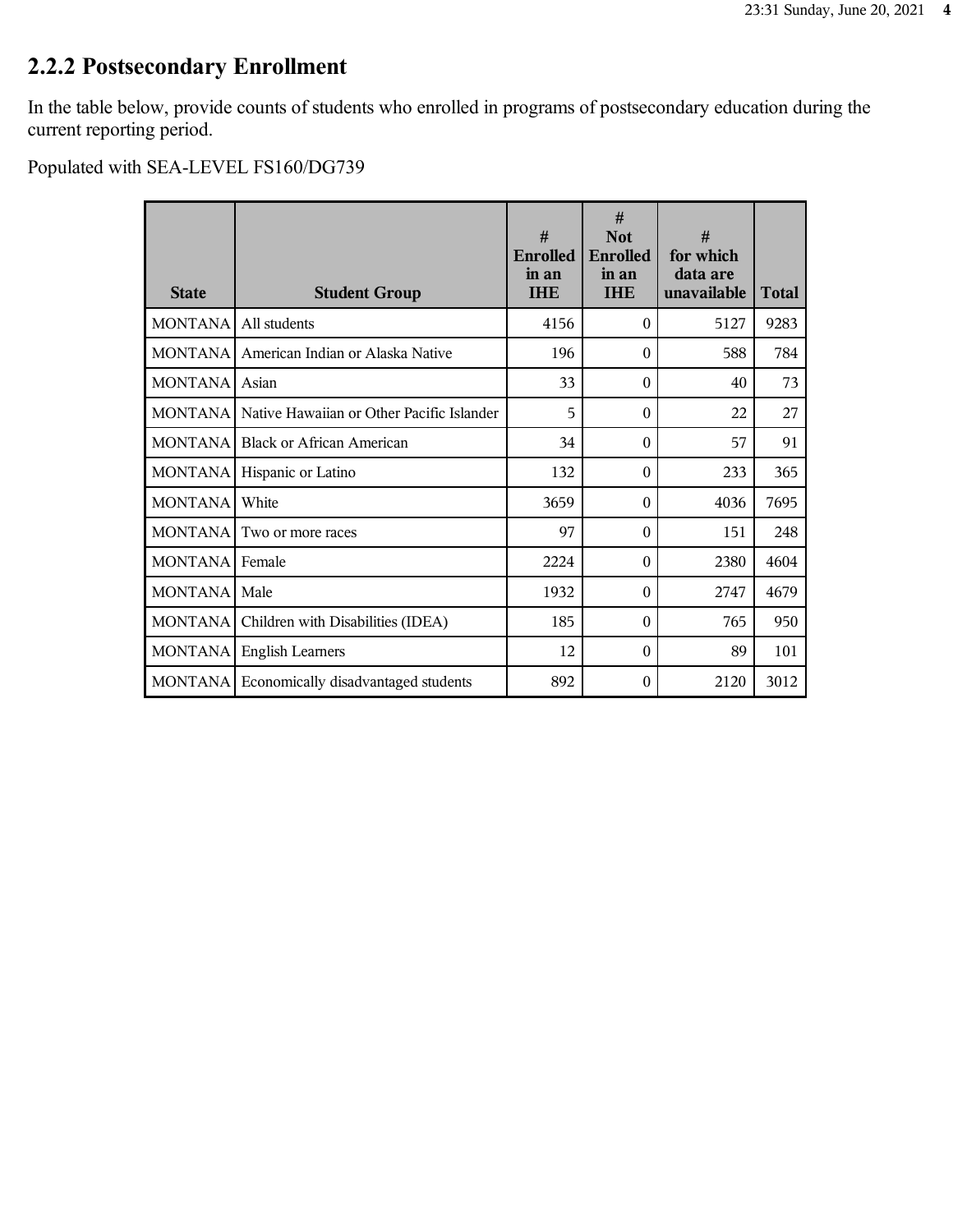# **2.2.2 Postsecondary Enrollment**

In the table below, provide counts of students who enrolled in programs of postsecondary education during the current reporting period.

| <b>State</b>   | <b>Student Group</b>                      | #<br><b>Enrolled</b><br>in an<br><b>IHE</b> | #<br><b>Not</b><br><b>Enrolled</b><br>in an<br><b>IHE</b> | #<br>for which<br>data are<br>unavailable | <b>Total</b> |
|----------------|-------------------------------------------|---------------------------------------------|-----------------------------------------------------------|-------------------------------------------|--------------|
| <b>MONTANA</b> | All students                              | 4156                                        | $\Omega$                                                  | 5127                                      | 9283         |
| <b>MONTANA</b> | American Indian or Alaska Native          | 196                                         | $\Omega$                                                  | 588                                       | 784          |
| <b>MONTANA</b> | Asian                                     | 33                                          | $\theta$                                                  | 40                                        | 73           |
| <b>MONTANA</b> | Native Hawaiian or Other Pacific Islander | 5                                           | $\Omega$                                                  | 22                                        | 27           |
| <b>MONTANA</b> | <b>Black or African American</b>          | 34                                          | $\theta$                                                  | 57                                        | 91           |
| <b>MONTANA</b> | Hispanic or Latino                        | 132                                         | $\Omega$                                                  | 233                                       | 365          |
| <b>MONTANA</b> | White                                     | 3659                                        | $\theta$                                                  | 4036                                      | 7695         |
| <b>MONTANA</b> | Two or more races                         | 97                                          | $\theta$                                                  | 151                                       | 248          |
| <b>MONTANA</b> | Female                                    | 2224                                        | $\Omega$                                                  | 2380                                      | 4604         |
| <b>MONTANA</b> | Male                                      | 1932                                        | $\Omega$                                                  | 2747                                      | 4679         |
| <b>MONTANA</b> | Children with Disabilities (IDEA)         | 185                                         | $\theta$                                                  | 765                                       | 950          |
| <b>MONTANA</b> | <b>English Learners</b>                   | 12                                          | $\theta$                                                  | 89                                        | 101          |
| <b>MONTANA</b> | Economically disadvantaged students       | 892                                         | $\Omega$                                                  | 2120                                      | 3012         |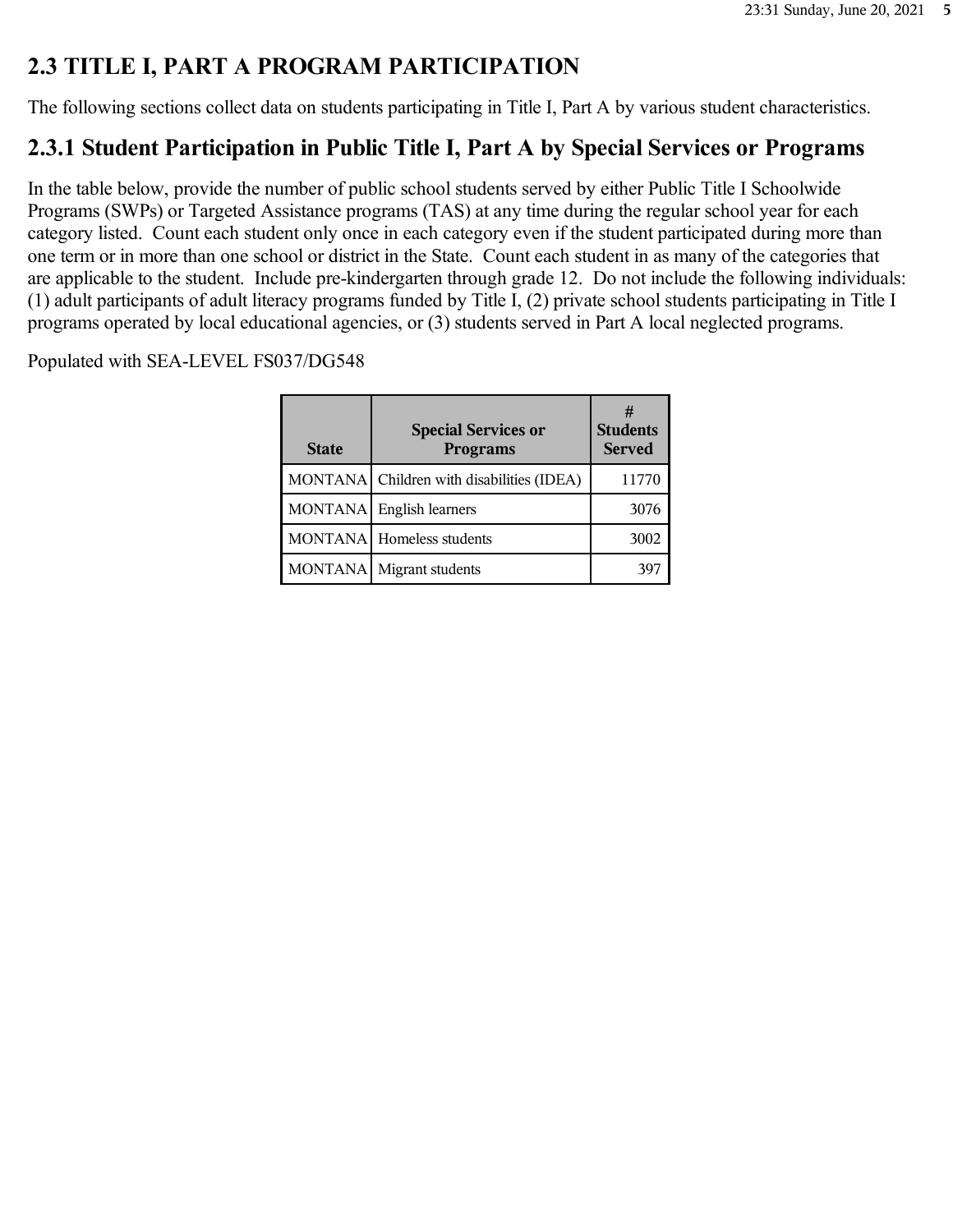# **2.3 TITLE I, PART A PROGRAM PARTICIPATION**

The following sections collect data on students participating in Title I, Part A by various student characteristics.

# **2.3.1 Student Participation in Public Title I, Part A by Special Services or Programs**

In the table below, provide the number of public school students served by either Public Title I Schoolwide Programs (SWPs) or Targeted Assistance programs (TAS) at any time during the regular school year for each category listed. Count each student only once in each category even if the student participated during more than one term or in more than one school or district in the State. Count each student in as many of the categories that are applicable to the student. Include pre-kindergarten through grade 12. Do not include the following individuals: (1) adult participants of adult literacy programs funded by Title I, (2) private school students participating in Title I programs operated by local educational agencies, or (3) students served in Part A local neglected programs.

| <b>State</b>   | <b>Special Services or</b><br><b>Programs</b> | <b>Students</b><br><b>Served</b> |
|----------------|-----------------------------------------------|----------------------------------|
|                | MONTANA Children with disabilities (IDEA)     | 11770                            |
| <b>MONTANA</b> | English learners                              | 3076                             |
|                | MONTANA   Homeless students                   | 3002                             |
| <b>MONTANA</b> | Migrant students                              | 397                              |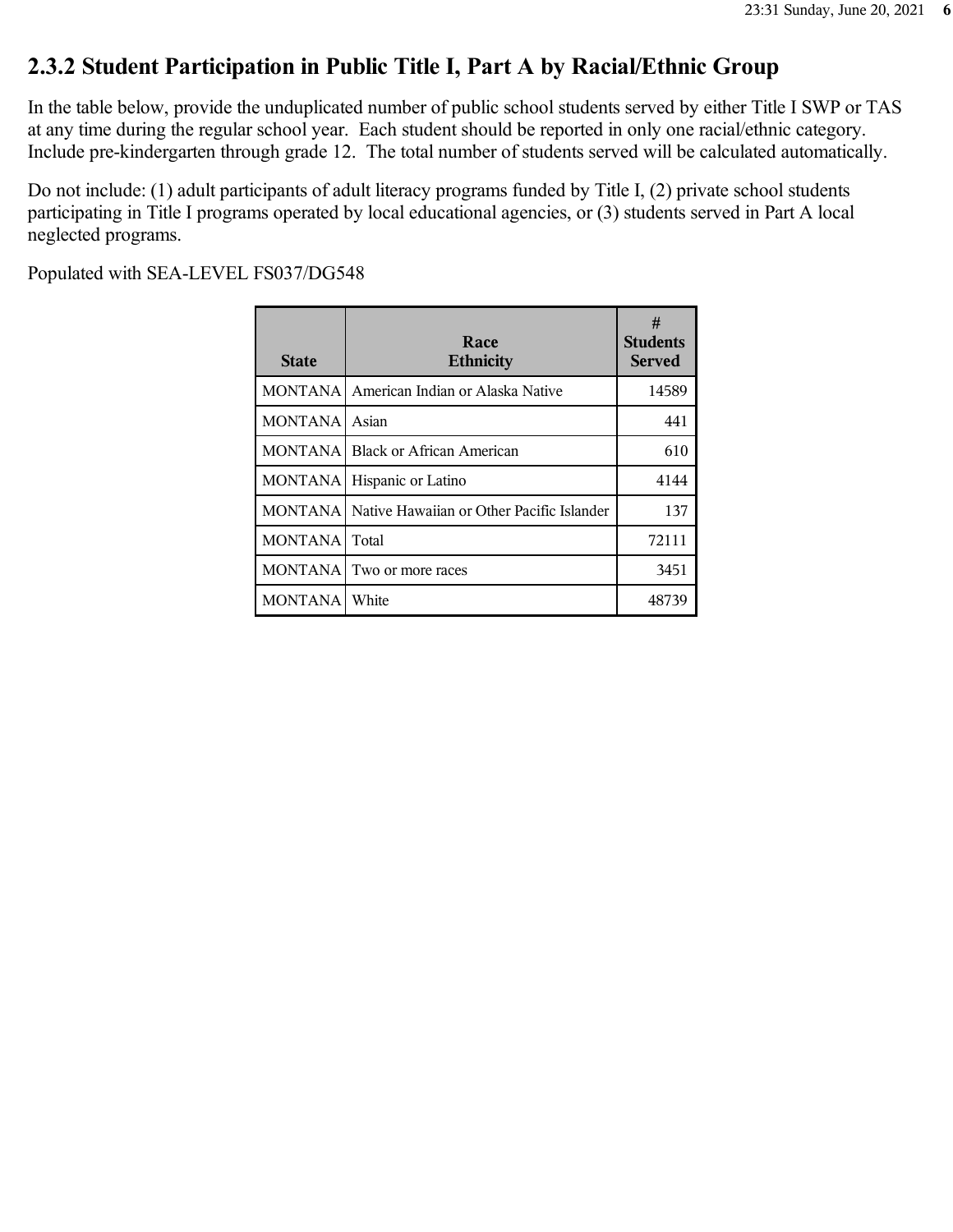### **2.3.2 Student Participation in Public Title I, Part A by Racial/Ethnic Group**

In the table below, provide the unduplicated number of public school students served by either Title I SWP or TAS at any time during the regular school year. Each student should be reported in only one racial/ethnic category. Include pre-kindergarten through grade 12. The total number of students served will be calculated automatically.

Do not include: (1) adult participants of adult literacy programs funded by Title I, (2) private school students participating in Title I programs operated by local educational agencies, or (3) students served in Part A local neglected programs.

| <b>State</b>   | Race<br><b>Ethnicity</b>                  | #<br><b>Students</b><br><b>Served</b> |
|----------------|-------------------------------------------|---------------------------------------|
| <b>MONTANA</b> | American Indian or Alaska Native          | 14589                                 |
| <b>MONTANA</b> | Asian                                     | 441                                   |
| <b>MONTANA</b> | Black or African American                 | 610                                   |
| <b>MONTANA</b> | Hispanic or Latino                        | 4144                                  |
| <b>MONTANA</b> | Native Hawaiian or Other Pacific Islander | 137                                   |
| <b>MONTANA</b> | Total                                     | 72111                                 |
| <b>MONTANA</b> | Two or more races                         | 3451                                  |
| MONTANA        | White                                     | 48739                                 |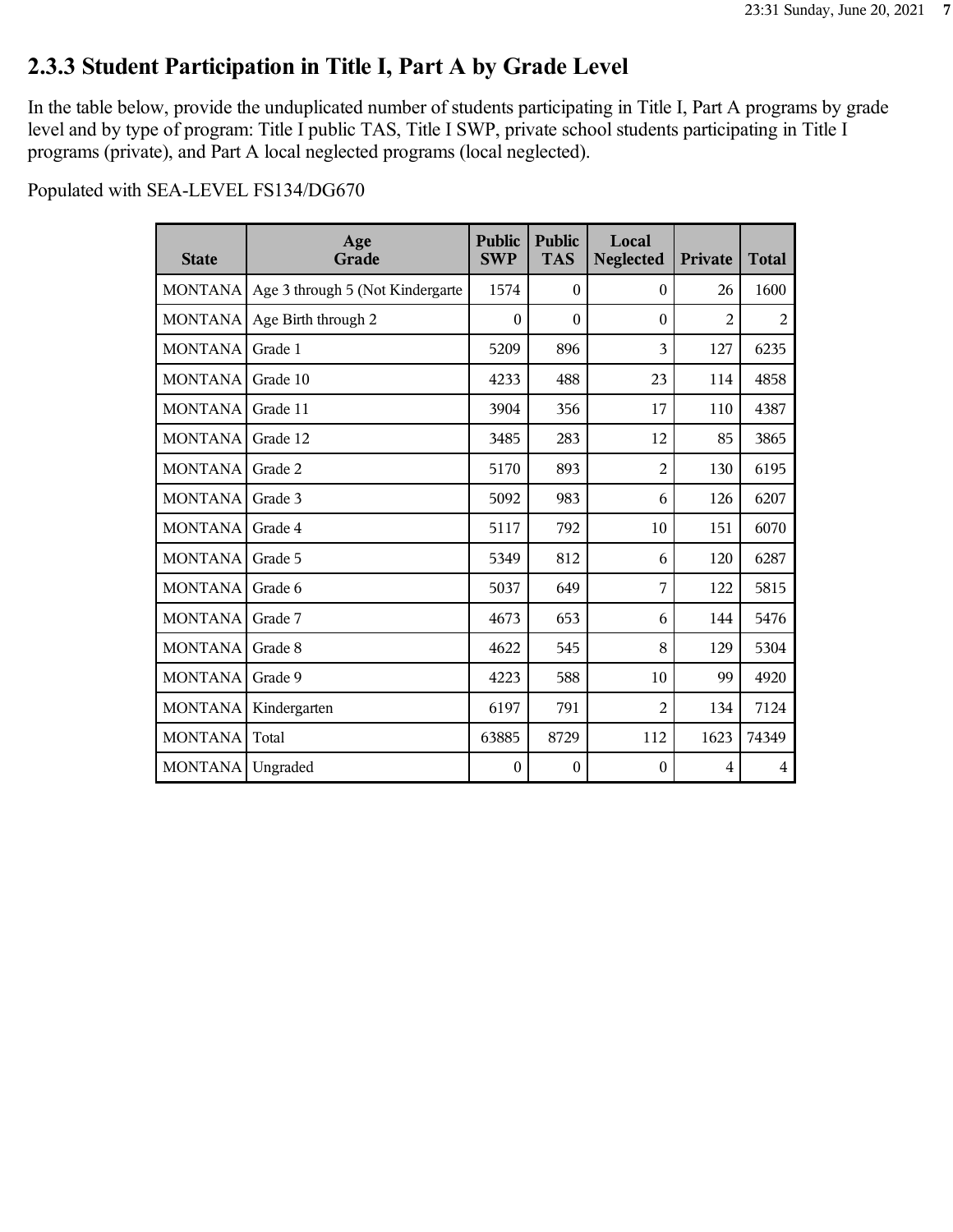# **2.3.3 Student Participation in Title I, Part A by Grade Level**

In the table below, provide the unduplicated number of students participating in Title I, Part A programs by grade level and by type of program: Title I public TAS, Title I SWP, private school students participating in Title I programs (private), and Part A local neglected programs (local neglected).

| <b>State</b>   | Age<br>Grade                     | <b>Public</b><br><b>SWP</b> | <b>Public</b><br><b>TAS</b> | Local<br><b>Neglected</b> | Private        | <b>Total</b> |
|----------------|----------------------------------|-----------------------------|-----------------------------|---------------------------|----------------|--------------|
| MONTANA        | Age 3 through 5 (Not Kindergarte | 1574                        | $\theta$                    | $\theta$                  | 26             | 1600         |
| <b>MONTANA</b> | Age Birth through 2              | $\theta$                    | $\theta$                    | $\theta$                  | $\overline{2}$ | 2            |
| <b>MONTANA</b> | Grade 1                          | 5209                        | 896                         | 3                         | 127            | 6235         |
| <b>MONTANA</b> | Grade 10                         | 4233                        | 488                         | 23                        | 114            | 4858         |
| <b>MONTANA</b> | Grade 11                         | 3904                        | 356                         | 17                        | 110            | 4387         |
| <b>MONTANA</b> | Grade 12                         | 3485                        | 283                         | 12                        | 85             | 3865         |
| MONTANA        | Grade 2                          | 5170                        | 893                         | $\overline{2}$            | 130            | 6195         |
| MONTANA        | Grade 3                          | 5092                        | 983                         | 6                         | 126            | 6207         |
| <b>MONTANA</b> | Grade 4                          | 5117                        | 792                         | 10                        | 151            | 6070         |
| <b>MONTANA</b> | Grade 5                          | 5349                        | 812                         | 6                         | 120            | 6287         |
| <b>MONTANA</b> | Grade 6                          | 5037                        | 649                         | 7                         | 122            | 5815         |
| MONTANA        | Grade 7                          | 4673                        | 653                         | 6                         | 144            | 5476         |
| <b>MONTANA</b> | Grade 8                          | 4622                        | 545                         | 8                         | 129            | 5304         |
| <b>MONTANA</b> | Grade 9                          | 4223                        | 588                         | 10                        | 99             | 4920         |
| <b>MONTANA</b> | Kindergarten                     | 6197                        | 791                         | $\overline{2}$            | 134            | 7124         |
| <b>MONTANA</b> | Total                            | 63885                       | 8729                        | 112                       | 1623           | 74349        |
| <b>MONTANA</b> | Ungraded                         | $\mathbf{0}$                | $\mathbf{0}$                | $\boldsymbol{0}$          | 4              | 4            |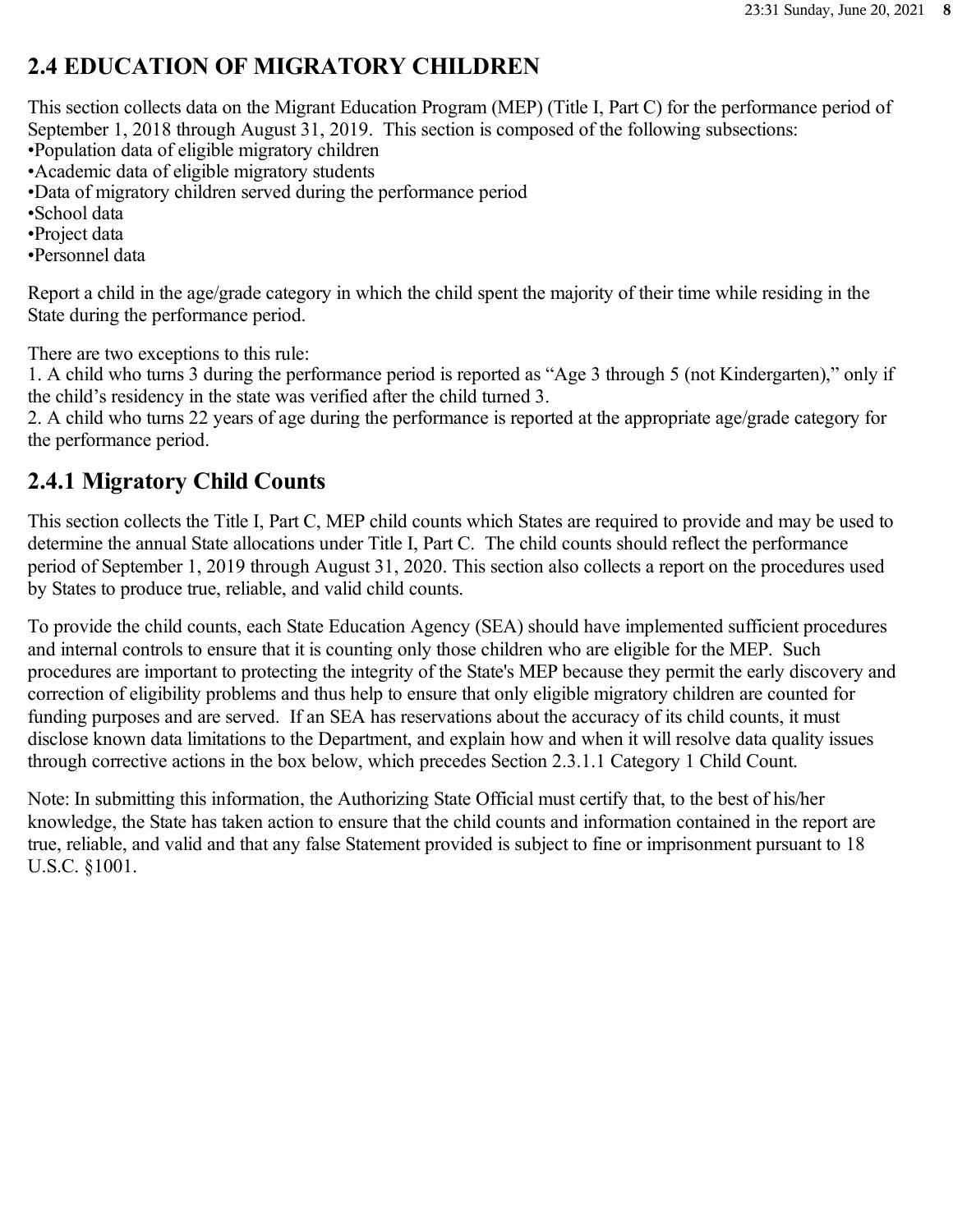# **2.4 EDUCATION OF MIGRATORY CHILDREN**

This section collects data on the Migrant Education Program (MEP) (Title I, Part C) for the performance period of September 1, 2018 through August 31, 2019. This section is composed of the following subsections:

•Population data of eligible migratory children

•Academic data of eligible migratory students

•Data of migratory children served during the performance period

•School data

•Project data

•Personnel data

Report a child in the age/grade category in which the child spent the majority of their time while residing in the State during the performance period.

There are two exceptions to this rule:

1. A child who turns 3 during the performance period is reported as "Age 3 through 5 (not Kindergarten)," only if the child's residency in the state was verified after the child turned 3.

2. A child who turns 22 years of age during the performance is reported at the appropriate age/grade category for the performance period.

### **2.4.1 Migratory Child Counts**

This section collects the Title I, Part C, MEP child counts which States are required to provide and may be used to determine the annual State allocations under Title I, Part C. The child counts should reflect the performance period of September 1, 2019 through August 31, 2020. This section also collects a report on the procedures used by States to produce true, reliable, and valid child counts.

To provide the child counts, each State Education Agency (SEA) should have implemented sufficient procedures and internal controls to ensure that it is counting only those children who are eligible for the MEP. Such procedures are important to protecting the integrity of the State's MEP because they permit the early discovery and correction of eligibility problems and thus help to ensure that only eligible migratory children are counted for funding purposes and are served. If an SEA has reservations about the accuracy of its child counts, it must disclose known data limitations to the Department, and explain how and when it will resolve data quality issues through corrective actions in the box below, which precedes Section 2.3.1.1 Category 1 Child Count.

Note: In submitting this information, the Authorizing State Official must certify that, to the best of his/her knowledge, the State has taken action to ensure that the child counts and information contained in the report are true, reliable, and valid and that any false Statement provided is subject to fine or imprisonment pursuant to 18 U.S.C. §1001.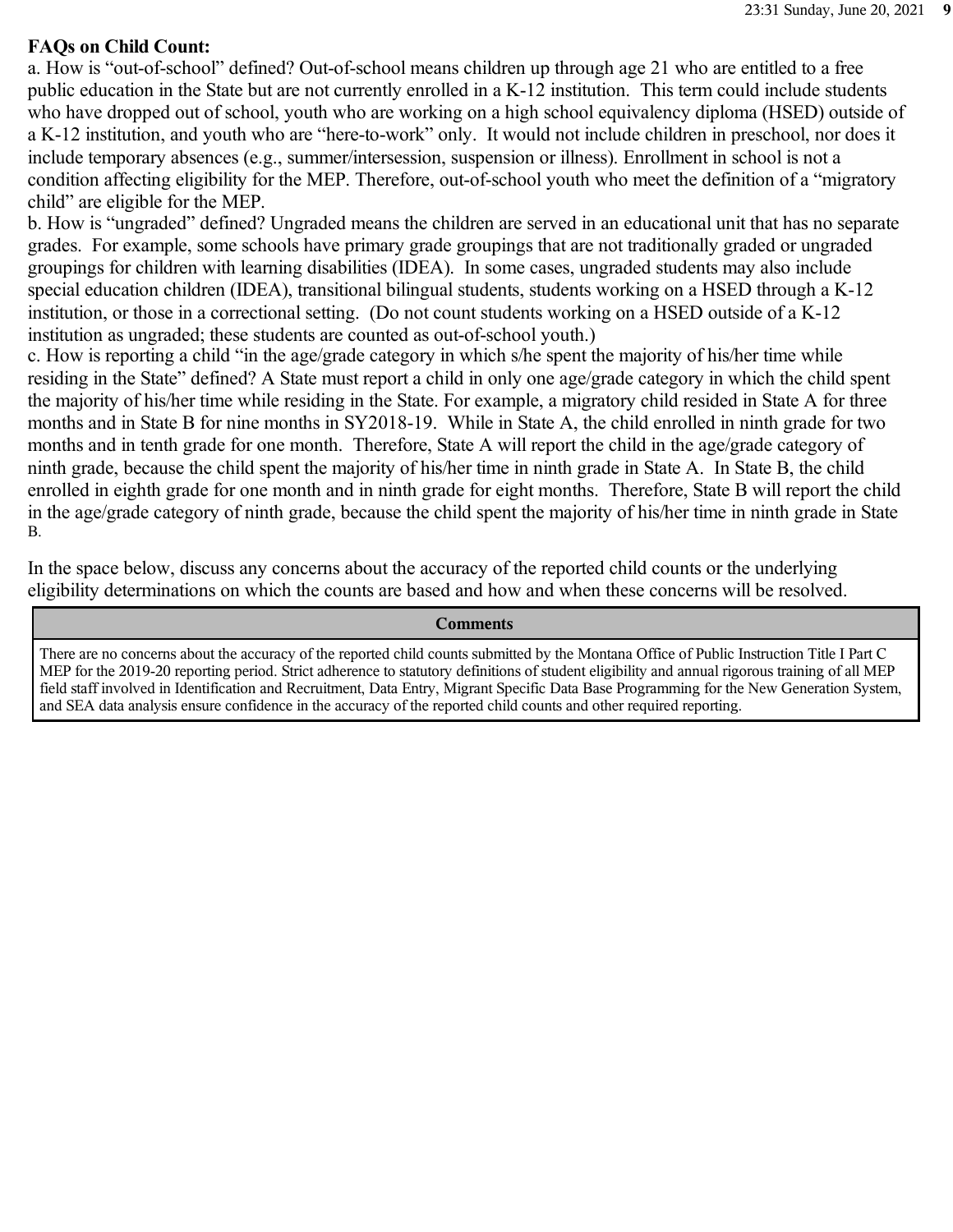#### **FAQs on Child Count:**

a. How is "out-of-school" defined? Out-of-school means children up through age 21 who are entitled to a free public education in the State but are not currently enrolled in a K-12 institution. This term could include students who have dropped out of school, youth who are working on a high school equivalency diploma (HSED) outside of a K-12 institution, and youth who are "here-to-work" only. It would not include children in preschool, nor does it include temporary absences (e.g., summer/intersession, suspension or illness). Enrollment in school is not a condition affecting eligibility for the MEP. Therefore, out-of-school youth who meet the definition of a "migratory child" are eligible for the MEP.

b. How is "ungraded" defined? Ungraded means the children are served in an educational unit that has no separate grades. For example, some schools have primary grade groupings that are not traditionally graded or ungraded groupings for children with learning disabilities (IDEA). In some cases, ungraded students may also include special education children (IDEA), transitional bilingual students, students working on a HSED through a K-12 institution, or those in a correctional setting. (Do not count students working on a HSED outside of a K-12 institution as ungraded; these students are counted as out-of-school youth.)

c. How is reporting a child "in the age/grade category in which s/he spent the majority of his/her time while residing in the State" defined? A State must report a child in only one age/grade category in which the child spent the majority of his/her time while residing in the State. For example, a migratory child resided in State A for three months and in State B for nine months in SY2018-19. While in State A, the child enrolled in ninth grade for two months and in tenth grade for one month. Therefore, State A will report the child in the age/grade category of ninth grade, because the child spent the majority of his/her time in ninth grade in State A. In State B, the child enrolled in eighth grade for one month and in ninth grade for eight months. Therefore, State B will report the child in the age/grade category of ninth grade, because the child spent the majority of his/her time in ninth grade in State B.

In the space below, discuss any concerns about the accuracy of the reported child counts or the underlying eligibility determinations on which the counts are based and how and when these concerns will be resolved.

#### **Comments**

There are no concerns about the accuracy of the reported child counts submitted by the Montana Office of Public Instruction Title I Part C MEP for the 2019-20 reporting period. Strict adherence to statutory definitions of student eligibility and annual rigorous training of all MEP field staff involved in Identification and Recruitment, Data Entry, Migrant Specific Data Base Programming for the New Generation System, and SEA data analysis ensure confidence in the accuracy of the reported child counts and other required reporting.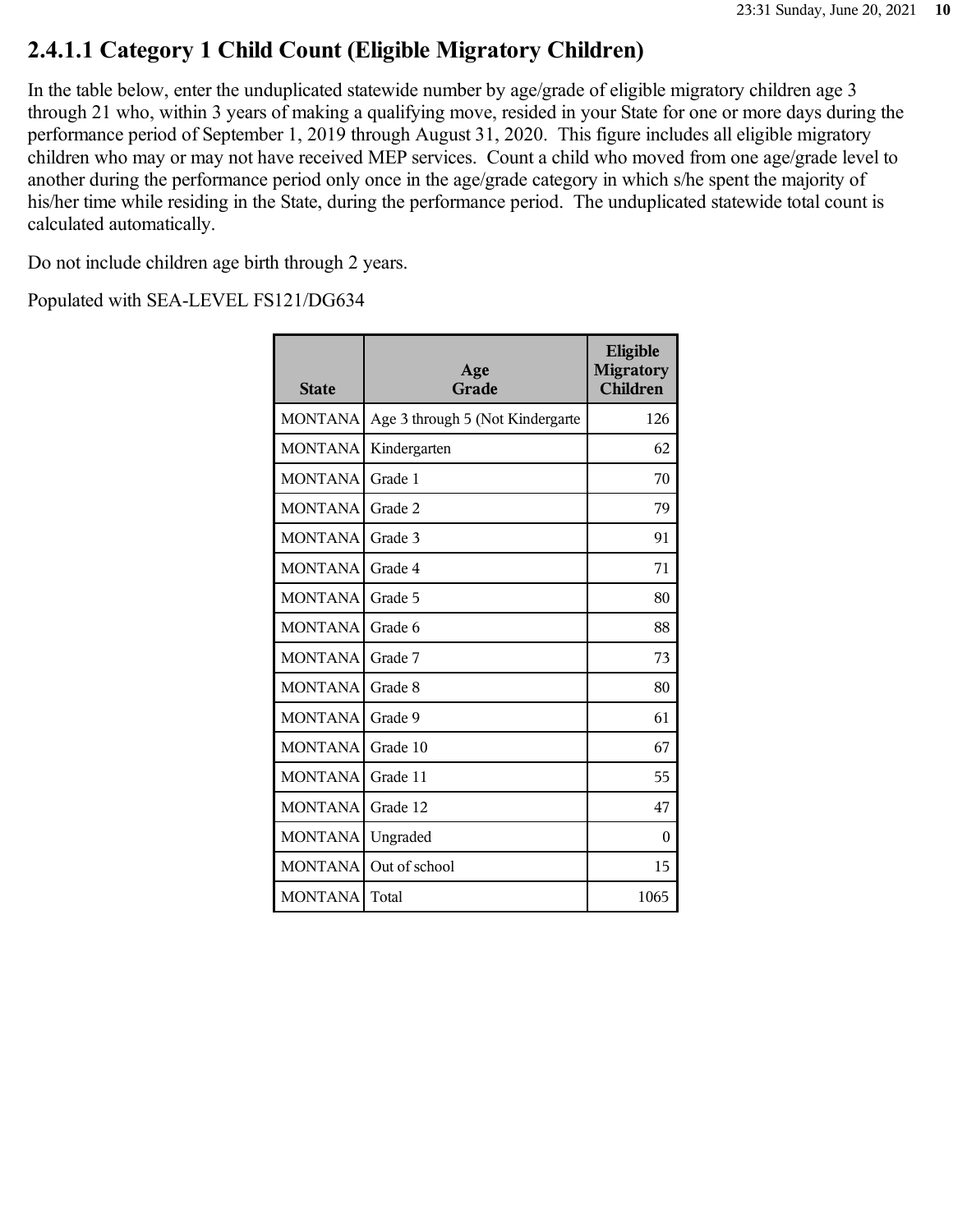### **2.4.1.1 Category 1 Child Count (Eligible Migratory Children)**

In the table below, enter the unduplicated statewide number by age/grade of eligible migratory children age 3 through 21 who, within 3 years of making a qualifying move, resided in your State for one or more days during the performance period of September 1, 2019 through August 31, 2020. This figure includes all eligible migratory children who may or may not have received MEP services. Count a child who moved from one age/grade level to another during the performance period only once in the age/grade category in which s/he spent the majority of his/her time while residing in the State, during the performance period. The unduplicated statewide total count is calculated automatically.

Do not include children age birth through 2 years.

| <b>State</b>   | Age<br>Grade                     | Eligible<br><b>Migratory</b><br><b>Children</b> |
|----------------|----------------------------------|-------------------------------------------------|
| <b>MONTANA</b> | Age 3 through 5 (Not Kindergarte | 126                                             |
| <b>MONTANA</b> | Kindergarten                     | 62                                              |
| <b>MONTANA</b> | Grade 1                          | 70                                              |
| <b>MONTANA</b> | Grade 2                          | 79                                              |
| <b>MONTANA</b> | Grade 3                          | 91                                              |
| <b>MONTANA</b> | Grade 4                          | 71                                              |
| <b>MONTANA</b> | Grade 5                          | 80                                              |
| <b>MONTANA</b> | Grade 6                          | 88                                              |
| <b>MONTANA</b> | Grade 7                          | 73                                              |
| <b>MONTANA</b> | Grade 8                          | 80                                              |
| <b>MONTANA</b> | Grade 9                          | 61                                              |
| <b>MONTANA</b> | Grade 10                         | 67                                              |
| <b>MONTANA</b> | Grade 11                         | 55                                              |
| <b>MONTANA</b> | Grade 12                         | 47                                              |
| <b>MONTANA</b> | Ungraded                         | 0                                               |
| <b>MONTANA</b> | Out of school                    | 15                                              |
| <b>MONTANA</b> | Total                            | 1065                                            |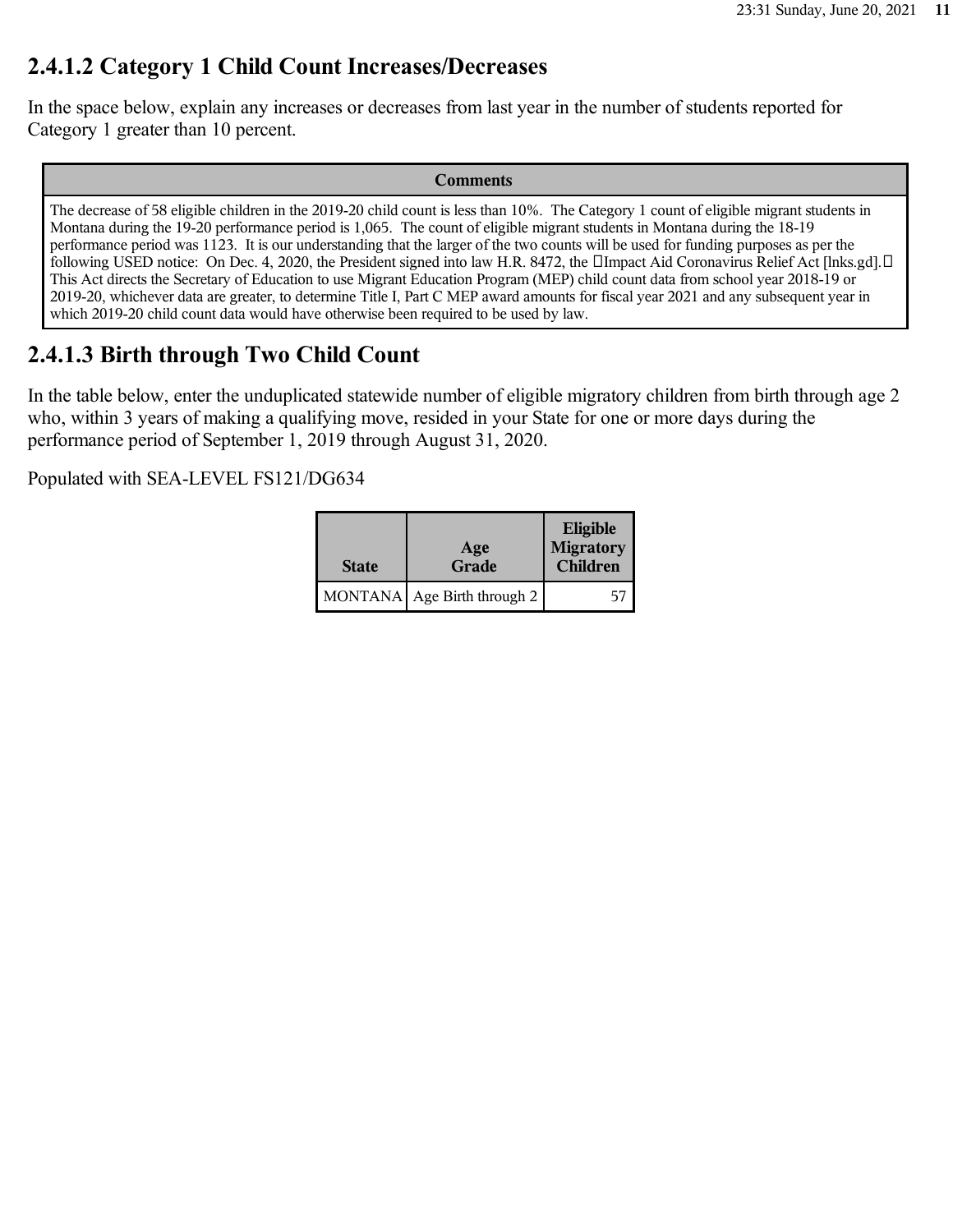### **2.4.1.2 Category 1 Child Count Increases/Decreases**

In the space below, explain any increases or decreases from last year in the number of students reported for Category 1 greater than 10 percent.

#### **Comments**

The decrease of 58 eligible children in the 2019-20 child count is less than 10%. The Category 1 count of eligible migrant students in Montana during the 19-20 performance period is 1,065. The count of eligible migrant students in Montana during the 18-19 performance period was 1123. It is our understanding that the larger of the two counts will be used for funding purposes as per the following USED notice: On Dec. 4, 2020, the President signed into law H.R. 8472, the  $\Box$ Impact Aid Coronavirus Relief Act [lnks.gd]. $\Box$ This Act directs the Secretary of Education to use Migrant Education Program (MEP) child count data from school year 2018-19 or 2019-20, whichever data are greater, to determine Title I, Part C MEP award amounts for fiscal year 2021 and any subsequent year in which 2019-20 child count data would have otherwise been required to be used by law.

### **2.4.1.3 Birth through Two Child Count**

In the table below, enter the unduplicated statewide number of eligible migratory children from birth through age 2 who, within 3 years of making a qualifying move, resided in your State for one or more days during the performance period of September 1, 2019 through August 31, 2020.

| <b>State</b> | Age<br>Grade                  | Eligible<br>Migratory<br><b>Children</b> |
|--------------|-------------------------------|------------------------------------------|
|              | MONTANA   Age Birth through 2 |                                          |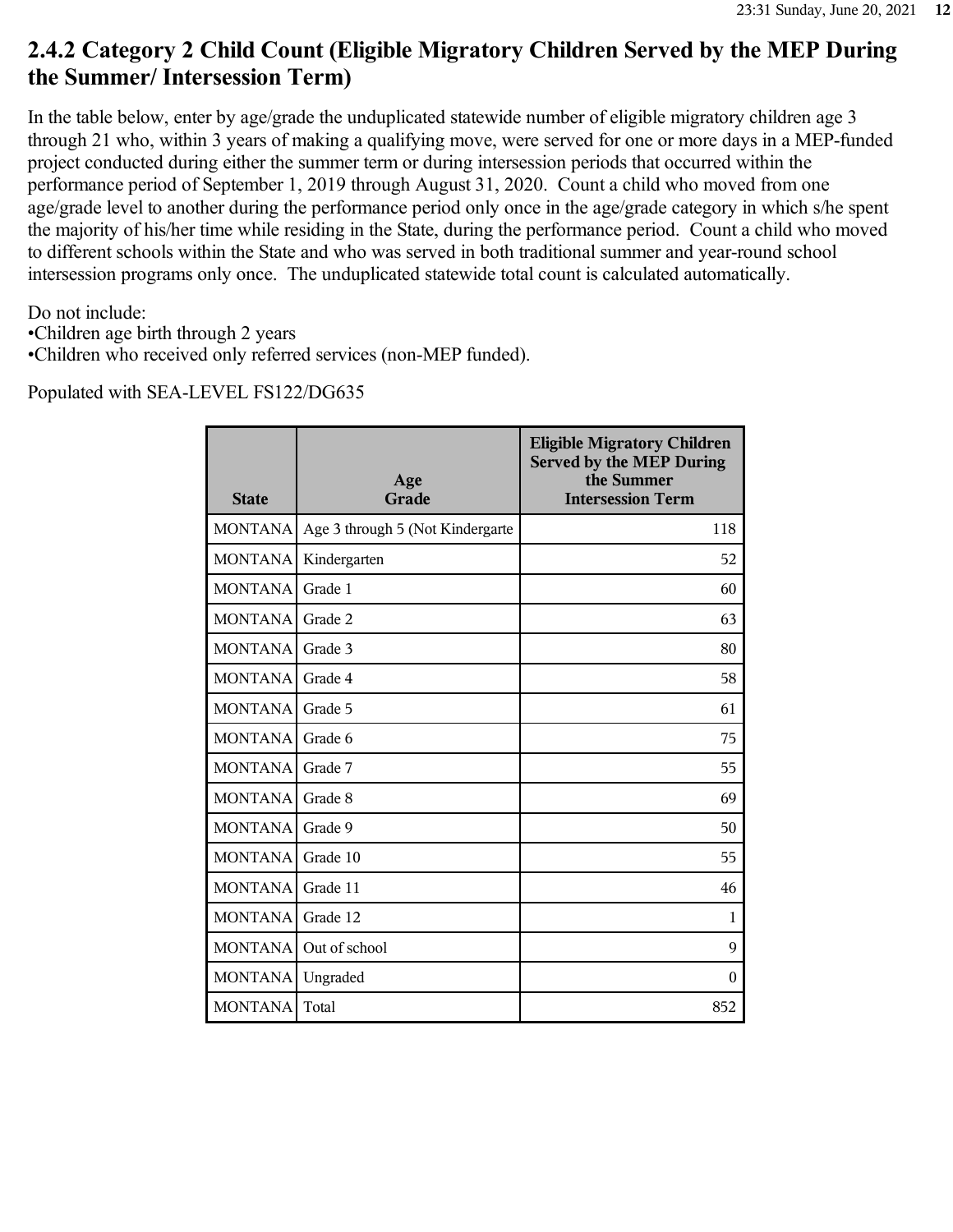# **2.4.2 Category 2 Child Count (Eligible Migratory Children Served by the MEP During the Summer/ Intersession Term)**

In the table below, enter by age/grade the unduplicated statewide number of eligible migratory children age 3 through 21 who, within 3 years of making a qualifying move, were served for one or more days in a MEP-funded project conducted during either the summer term or during intersession periods that occurred within the performance period of September 1, 2019 through August 31, 2020. Count a child who moved from one age/grade level to another during the performance period only once in the age/grade category in which s/he spent the majority of his/her time while residing in the State, during the performance period. Count a child who moved to different schools within the State and who was served in both traditional summer and year-round school intersession programs only once. The unduplicated statewide total count is calculated automatically.

Do not include:

•Children age birth through 2 years

•Children who received only referred services (non-MEP funded).

| <b>State</b>   | Age<br>Grade                     | <b>Eligible Migratory Children</b><br><b>Served by the MEP During</b><br>the Summer<br><b>Intersession Term</b> |
|----------------|----------------------------------|-----------------------------------------------------------------------------------------------------------------|
| <b>MONTANA</b> | Age 3 through 5 (Not Kindergarte | 118                                                                                                             |
| <b>MONTANA</b> | Kindergarten                     | 52                                                                                                              |
| <b>MONTANA</b> | Grade 1                          | 60                                                                                                              |
| <b>MONTANA</b> | Grade 2                          | 63                                                                                                              |
| <b>MONTANA</b> | Grade 3                          | 80                                                                                                              |
| <b>MONTANA</b> | Grade 4                          | 58                                                                                                              |
| <b>MONTANA</b> | Grade 5                          | 61                                                                                                              |
| <b>MONTANA</b> | Grade 6                          | 75                                                                                                              |
| <b>MONTANA</b> | Grade 7                          | 55                                                                                                              |
| <b>MONTANA</b> | Grade 8                          | 69                                                                                                              |
| <b>MONTANA</b> | Grade 9                          | 50                                                                                                              |
| <b>MONTANA</b> | Grade 10                         | 55                                                                                                              |
| <b>MONTANA</b> | Grade 11                         | 46                                                                                                              |
| <b>MONTANA</b> | Grade 12                         | 1                                                                                                               |
| <b>MONTANA</b> | Out of school                    | 9                                                                                                               |
| <b>MONTANA</b> | Ungraded                         | $\Omega$                                                                                                        |
| <b>MONTANA</b> | Total                            | 852                                                                                                             |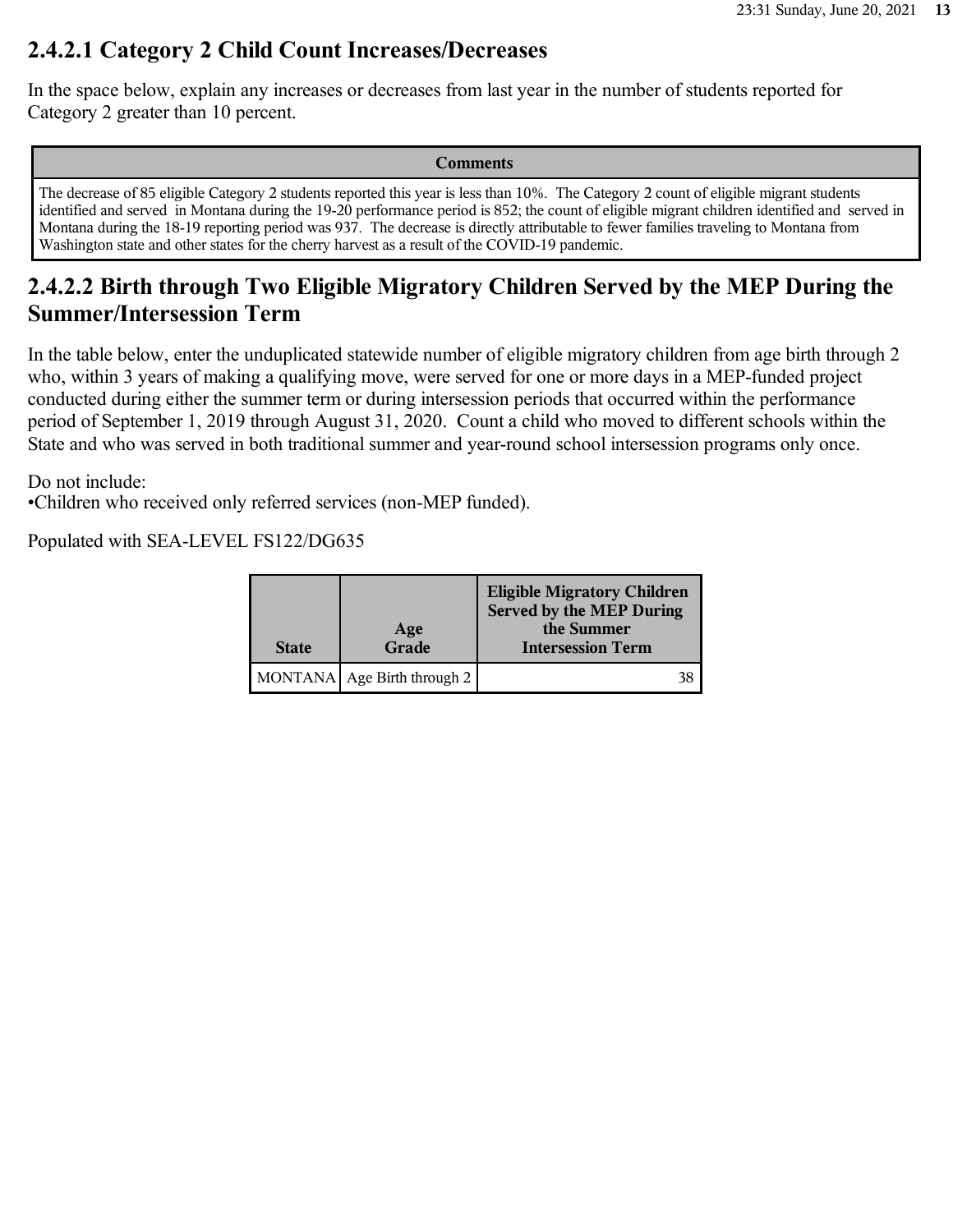## **2.4.2.1 Category 2 Child Count Increases/Decreases**

In the space below, explain any increases or decreases from last year in the number of students reported for Category 2 greater than 10 percent.

**Comments**

The decrease of 85 eligible Category 2 students reported this year is less than 10%. The Category 2 count of eligible migrant students identified and served in Montana during the 19-20 performance period is 852; the count of eligible migrant children identified and served in Montana during the 18-19 reporting period was 937. The decrease is directly attributable to fewer families traveling to Montana from Washington state and other states for the cherry harvest as a result of the COVID-19 pandemic.

# **2.4.2.2 Birth through Two Eligible Migratory Children Served by the MEP During the Summer/Intersession Term**

In the table below, enter the unduplicated statewide number of eligible migratory children from age birth through 2 who, within 3 years of making a qualifying move, were served for one or more days in a MEP-funded project conducted during either the summer term or during intersession periods that occurred within the performance period of September 1, 2019 through August 31, 2020. Count a child who moved to different schools within the State and who was served in both traditional summer and year-round school intersession programs only once.

Do not include:

•Children who received only referred services (non-MEP funded).

| <b>State</b> | Age<br>Grade                | <b>Eligible Migratory Children</b><br><b>Served by the MEP During</b><br>the Summer<br><b>Intersession Term</b> |
|--------------|-----------------------------|-----------------------------------------------------------------------------------------------------------------|
|              | MONTANA Age Birth through 2 | 38                                                                                                              |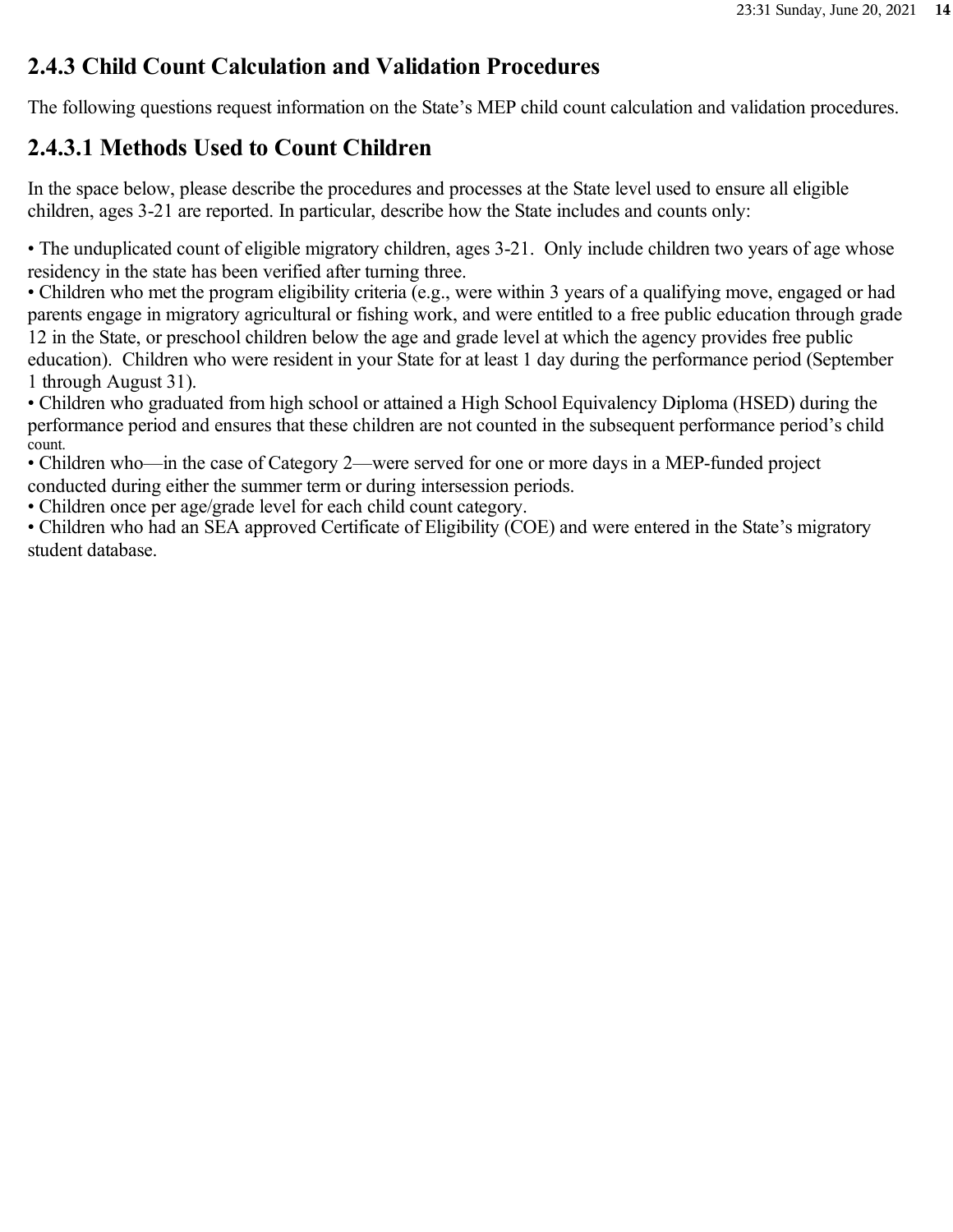### **2.4.3 Child Count Calculation and Validation Procedures**

The following questions request information on the State's MEP child count calculation and validation procedures.

## **2.4.3.1 Methods Used to Count Children**

In the space below, please describe the procedures and processes at the State level used to ensure all eligible children, ages 3-21 are reported. In particular, describe how the State includes and counts only:

• The unduplicated count of eligible migratory children, ages 3-21. Only include children two years of age whose residency in the state has been verified after turning three.

• Children who met the program eligibility criteria (e.g., were within 3 years of a qualifying move, engaged or had parents engage in migratory agricultural or fishing work, and were entitled to a free public education through grade 12 in the State, or preschool children below the age and grade level at which the agency provides free public education). Children who were resident in your State for at least 1 day during the performance period (September 1 through August 31).

• Children who graduated from high school or attained a High School Equivalency Diploma (HSED) during the performance period and ensures that these children are not counted in the subsequent performance period's child count.

• Children who—in the case of Category 2—were served for one or more days in a MEP-funded project conducted during either the summer term or during intersession periods.

• Children once per age/grade level for each child count category.

• Children who had an SEA approved Certificate of Eligibility (COE) and were entered in the State's migratory student database.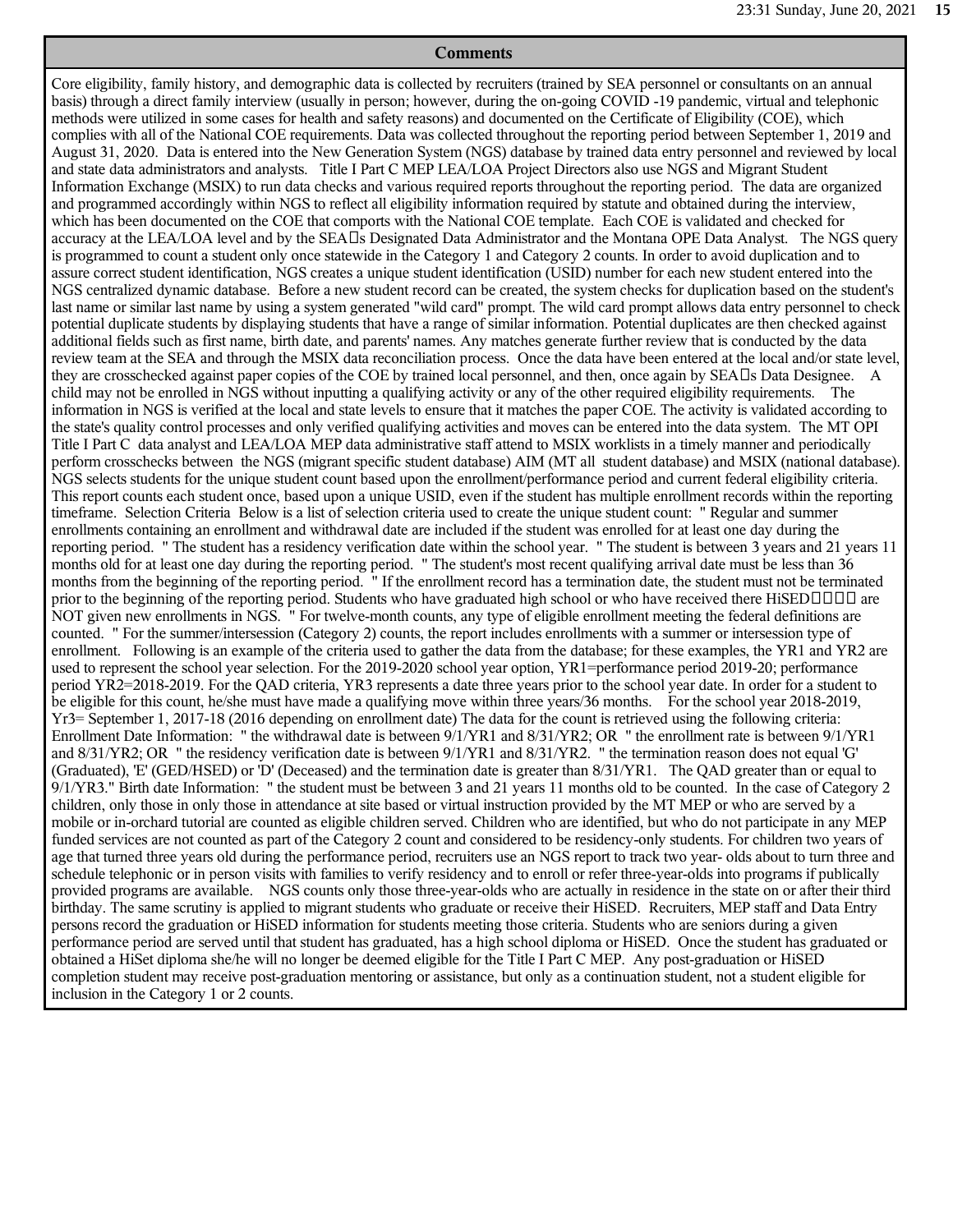#### **Comments**

Core eligibility, family history, and demographic data is collected by recruiters (trained by SEA personnel or consultants on an annual basis) through a direct family interview (usually in person; however, during the on-going COVID -19 pandemic, virtual and telephonic methods were utilized in some cases for health and safety reasons) and documented on the Certificate of Eligibility (COE), which complies with all of the National COE requirements. Data was collected throughout the reporting period between September 1, 2019 and August 31, 2020. Data is entered into the New Generation System (NGS) database by trained data entry personnel and reviewed by local and state data administrators and analysts. Title I Part C MEP LEA/LOA Project Directors also use NGS and Migrant Student Information Exchange (MSIX) to run data checks and various required reports throughout the reporting period. The data are organized and programmed accordingly within NGS to reflect all eligibility information required by statute and obtained during the interview, which has been documented on the COE that comports with the National COE template. Each COE is validated and checked for accuracy at the LEA/LOA level and by the SEA Ds Designated Data Administrator and the Montana OPE Data Analyst. The NGS query is programmed to count a student only once statewide in the Category 1 and Category 2 counts. In order to avoid duplication and to assure correct student identification, NGS creates a unique student identification (USID) number for each new student entered into the NGS centralized dynamic database. Before a new student record can be created, the system checks for duplication based on the student's last name or similar last name by using a system generated "wild card" prompt. The wild card prompt allows data entry personnel to check potential duplicate students by displaying students that have a range of similar information. Potential duplicates are then checked against additional fields such as first name, birth date, and parents' names. Any matches generate further review that is conducted by the data review team at the SEA and through the MSIX data reconciliation process. Once the data have been entered at the local and/or state level, they are crosschecked against paper copies of the COE by trained local personnel, and then, once again by SEA $\Box$ s Data Designee. A child may not be enrolled in NGS without inputting a qualifying activity or any of the other required eligibility requirements. The information in NGS is verified at the local and state levels to ensure that it matches the paper COE. The activity is validated according to the state's quality control processes and only verified qualifying activities and moves can be entered into the data system. The MT OPI Title I Part C data analyst and LEA/LOA MEP data administrative staff attend to MSIX worklists in a timely manner and periodically perform crosschecks between the NGS (migrant specific student database) AIM (MT all student database) and MSIX (national database). NGS selects students for the unique student count based upon the enrollment/performance period and current federal eligibility criteria. This report counts each student once, based upon a unique USID, even if the student has multiple enrollment records within the reporting timeframe. Selection Criteria Below is a list of selection criteria used to create the unique student count: " Regular and summer enrollments containing an enrollment and withdrawal date are included if the student was enrolled for at least one day during the reporting period. " The student has a residency verification date within the school year. " The student is between 3 years and 21 years 11 months old for at least one day during the reporting period. " The student's most recent qualifying arrival date must be less than 36 months from the beginning of the reporting period. " If the enrollment record has a termination date, the student must not be terminated prior to the beginning of the reporting period. Students who have graduated high school or who have received there HiSED $\Box\Box\Box$  are NOT given new enrollments in NGS. " For twelve-month counts, any type of eligible enrollment meeting the federal definitions are counted. " For the summer/intersession (Category 2) counts, the report includes enrollments with a summer or intersession type of enrollment. Following is an example of the criteria used to gather the data from the database; for these examples, the YR1 and YR2 are used to represent the school year selection. For the 2019-2020 school year option, YR1=performance period 2019-20; performance period YR2=2018-2019. For the QAD criteria, YR3 represents a date three years prior to the school year date. In order for a student to be eligible for this count, he/she must have made a qualifying move within three years/36 months. For the school year 2018-2019, Yr3= September 1, 2017-18 (2016 depending on enrollment date) The data for the count is retrieved using the following criteria: Enrollment Date Information: " the withdrawal date is between 9/1/YR1 and 8/31/YR2; OR " the enrollment rate is between 9/1/YR1 and 8/31/YR2; OR " the residency verification date is between 9/1/YR1 and 8/31/YR2. " the termination reason does not equal 'G' (Graduated), 'E' (GED/HSED) or 'D' (Deceased) and the termination date is greater than 8/31/YR1. The QAD greater than or equal to 9/1/YR3." Birth date Information: " the student must be between 3 and 21 years 11 months old to be counted. In the case of Category 2 children, only those in only those in attendance at site based or virtual instruction provided by the MT MEP or who are served by a mobile or in-orchard tutorial are counted as eligible children served. Children who are identified, but who do not participate in any MEP funded services are not counted as part of the Category 2 count and considered to be residency-only students. For children two years of age that turned three years old during the performance period, recruiters use an NGS report to track two year- olds about to turn three and schedule telephonic or in person visits with families to verify residency and to enroll or refer three-year-olds into programs if publically provided programs are available. NGS counts only those three-year-olds who are actually in residence in the state on or after their third birthday. The same scrutiny is applied to migrant students who graduate or receive their HiSED. Recruiters, MEP staff and Data Entry persons record the graduation or HiSED information for students meeting those criteria. Students who are seniors during a given performance period are served until that student has graduated, has a high school diploma or HiSED. Once the student has graduated or obtained a HiSet diploma she/he will no longer be deemed eligible for the Title I Part C MEP. Any post-graduation or HiSED completion student may receive post-graduation mentoring or assistance, but only as a continuation student, not a student eligible for inclusion in the Category 1 or 2 counts.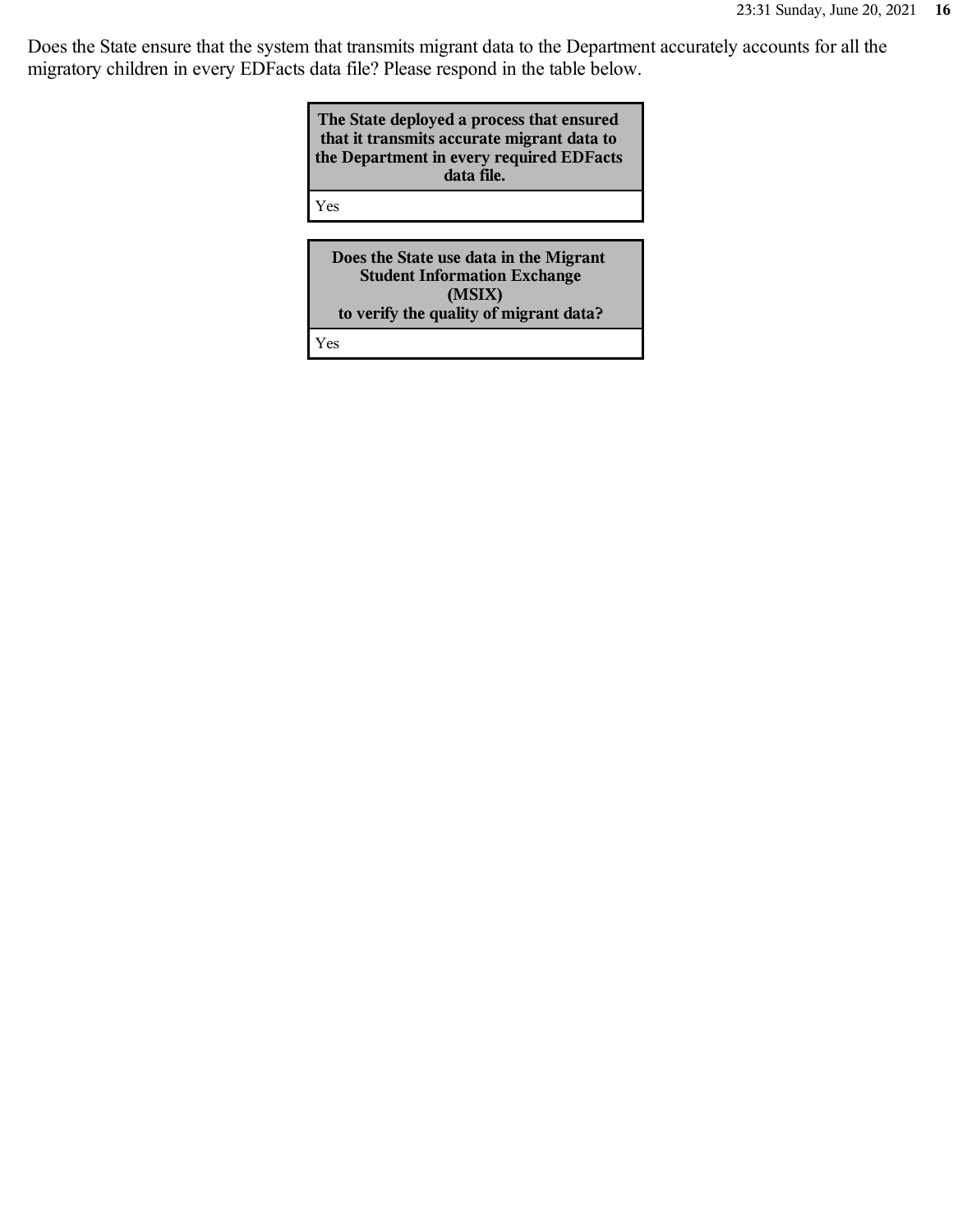Does the State ensure that the system that transmits migrant data to the Department accurately accounts for all the migratory children in every EDFacts data file? Please respond in the table below.

| The State deployed a process that ensured<br>that it transmits accurate migrant data to<br>the Department in every required EDFacts<br>data file. |
|---------------------------------------------------------------------------------------------------------------------------------------------------|
| Yes                                                                                                                                               |

**Does the State use data in the Migrant Student Information Exchange (MSIX) to verify the quality of migrant data?**

Yes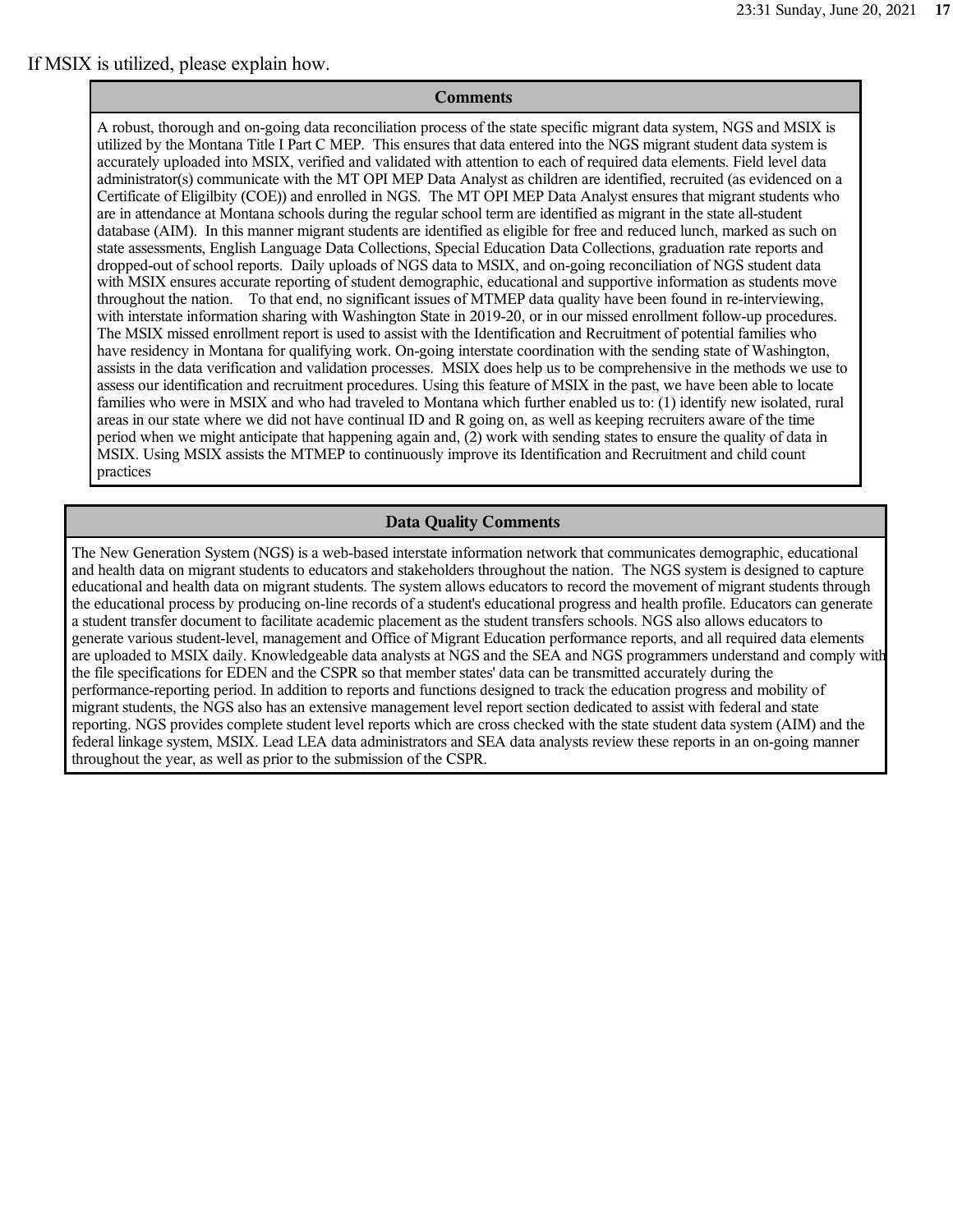If MSIX is utilized, please explain how.

#### **Comments**

A robust, thorough and on-going data reconciliation process of the state specific migrant data system, NGS and MSIX is utilized by the Montana Title I Part C MEP. This ensures that data entered into the NGS migrant student data system is accurately uploaded into MSIX, verified and validated with attention to each of required data elements. Field level data administrator(s) communicate with the MT OPI MEP Data Analyst as children are identified, recruited (as evidenced on a Certificate of Eligilbity (COE)) and enrolled in NGS. The MT OPI MEP Data Analyst ensures that migrant students who are in attendance at Montana schools during the regular school term are identified as migrant in the state all-student database (AIM). In this manner migrant students are identified as eligible for free and reduced lunch, marked as such on state assessments, English Language Data Collections, Special Education Data Collections, graduation rate reports and dropped-out of school reports. Daily uploads of NGS data to MSIX, and on-going reconciliation of NGS student data with MSIX ensures accurate reporting of student demographic, educational and supportive information as students move throughout the nation. To that end, no significant issues of MTMEP data quality have been found in re-interviewing, with interstate information sharing with Washington State in 2019-20, or in our missed enrollment follow-up procedures. The MSIX missed enrollment report is used to assist with the Identification and Recruitment of potential families who have residency in Montana for qualifying work. On-going interstate coordination with the sending state of Washington, assists in the data verification and validation processes. MSIX does help us to be comprehensive in the methods we use to assess our identification and recruitment procedures. Using this feature of MSIX in the past, we have been able to locate families who were in MSIX and who had traveled to Montana which further enabled us to: (1) identify new isolated, rural areas in our state where we did not have continual ID and R going on, as well as keeping recruiters aware of the time period when we might anticipate that happening again and, (2) work with sending states to ensure the quality of data in MSIX. Using MSIX assists the MTMEP to continuously improve its Identification and Recruitment and child count practices

#### **Data Quality Comments**

The New Generation System (NGS) is a web-based interstate information network that communicates demographic, educational and health data on migrant students to educators and stakeholders throughout the nation. The NGS system is designed to capture educational and health data on migrant students. The system allows educators to record the movement of migrant students through the educational process by producing on-line records of a student's educational progress and health profile. Educators can generate a student transfer document to facilitate academic placement as the student transfers schools. NGS also allows educators to generate various student-level, management and Office of Migrant Education performance reports, and all required data elements are uploaded to MSIX daily. Knowledgeable data analysts at NGS and the SEA and NGS programmers understand and comply with the file specifications for EDEN and the CSPR so that member states' data can be transmitted accurately during the performance-reporting period. In addition to reports and functions designed to track the education progress and mobility of migrant students, the NGS also has an extensive management level report section dedicated to assist with federal and state reporting. NGS provides complete student level reports which are cross checked with the state student data system (AIM) and the federal linkage system, MSIX. Lead LEA data administrators and SEA data analysts review these reports in an on-going manner throughout the year, as well as prior to the submission of the CSPR.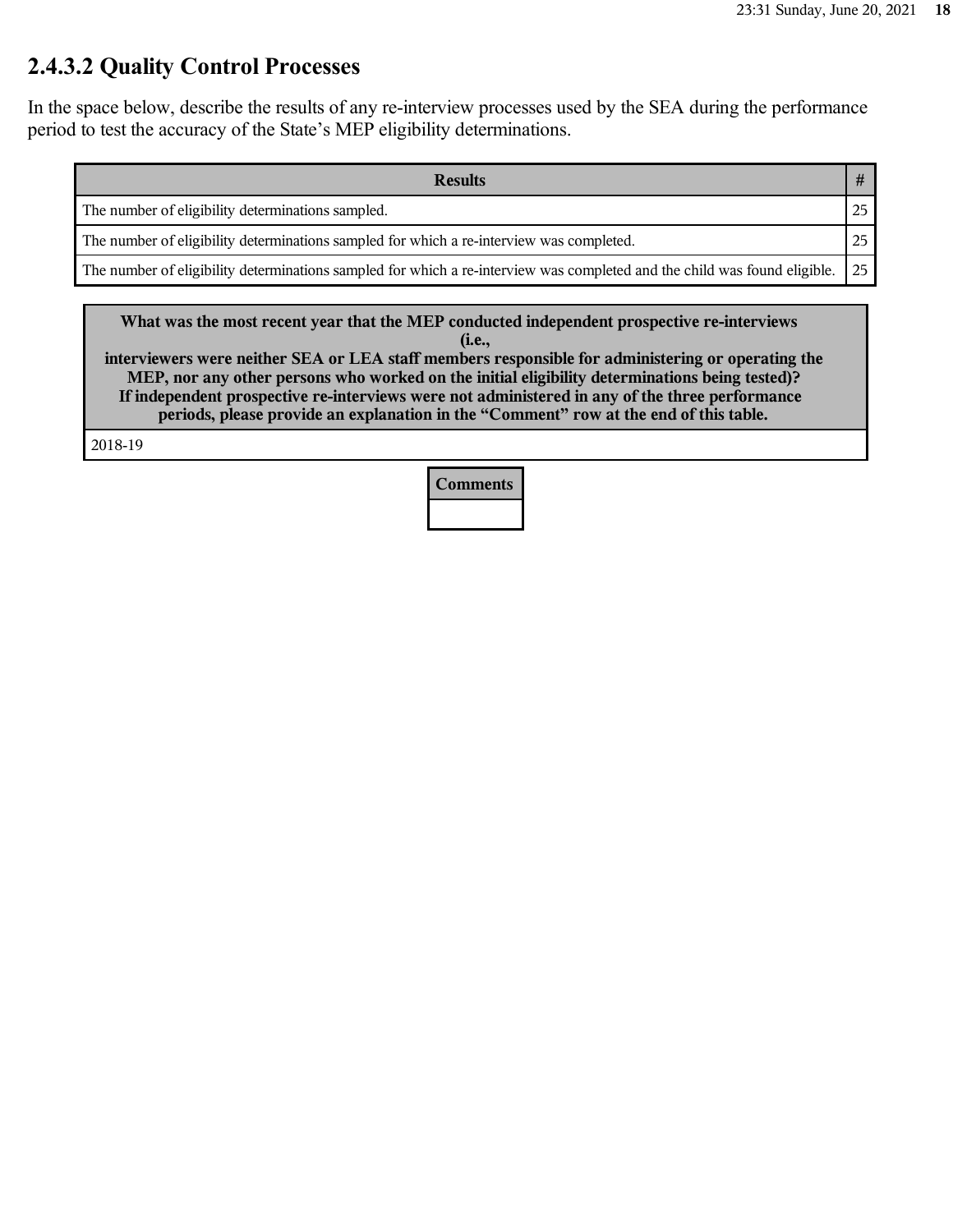### **2.4.3.2 Quality Control Processes**

In the space below, describe the results of any re-interview processes used by the SEA during the performance period to test the accuracy of the State's MEP eligibility determinations.

| <b>Results</b>                                                                                                            |    |
|---------------------------------------------------------------------------------------------------------------------------|----|
| The number of eligibility determinations sampled.                                                                         | 25 |
| The number of eligibility determinations sampled for which a re-interview was completed.                                  | 25 |
| The number of eligibility determinations sampled for which a re-interview was completed and the child was found eligible. | 25 |

**What was the most recent year that the MEP conducted independent prospective re-interviews (i.e.,**

**interviewers were neither SEA or LEA staff members responsible for administering or operating the MEP, nor any other persons who worked on the initial eligibility determinations being tested)? If independent prospective re-interviews were not administered in any of the three performance periods, please provide an explanation in the "Comment" row at the end of this table.**

2018-19

**Comments**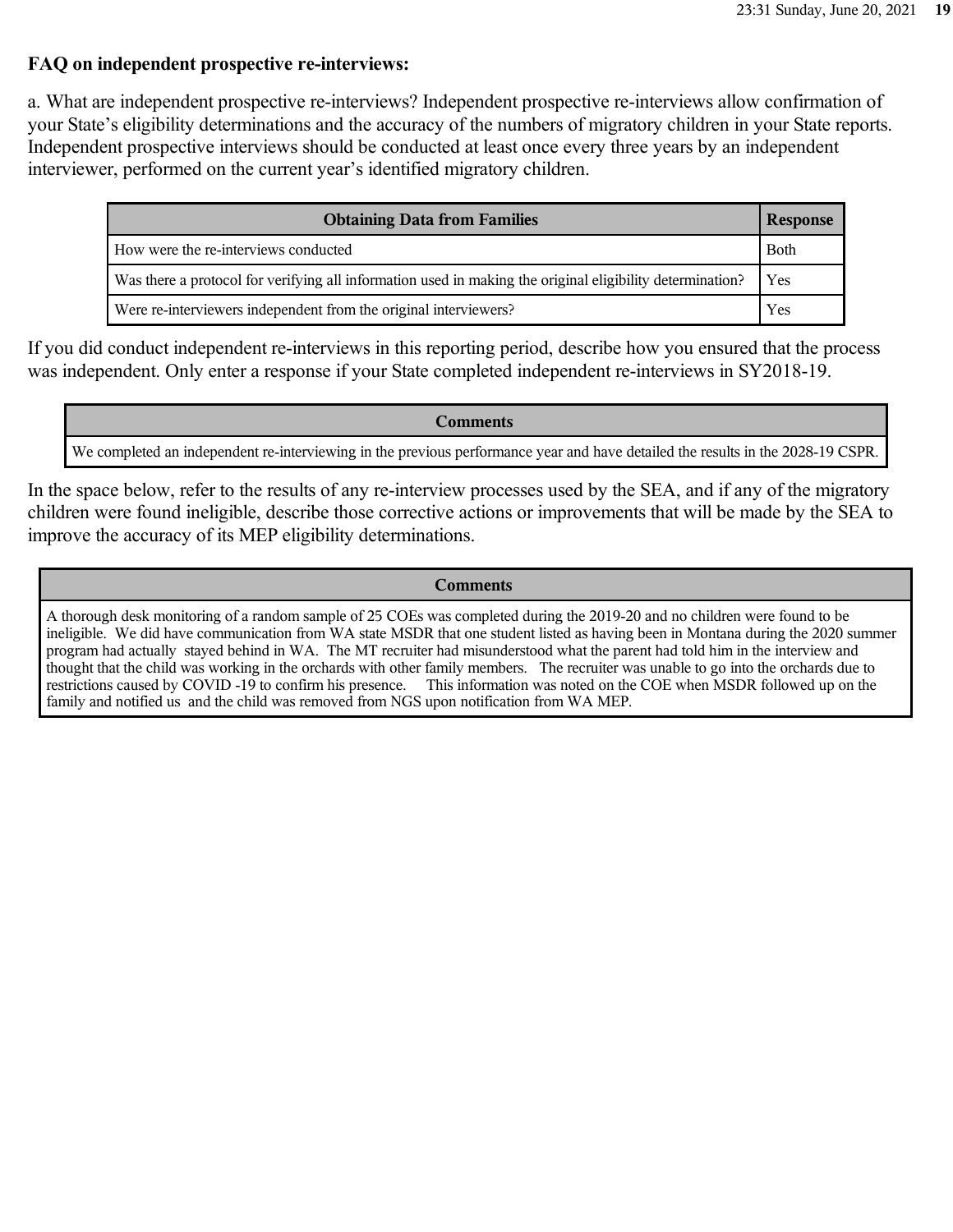#### **FAQ on independent prospective re-interviews:**

a. What are independent prospective re-interviews? Independent prospective re-interviews allow confirmation of your State's eligibility determinations and the accuracy of the numbers of migratory children in your State reports. Independent prospective interviews should be conducted at least once every three years by an independent interviewer, performed on the current year's identified migratory children.

| <b>Obtaining Data from Families</b><br><b>Response</b>                                                    |             |  |
|-----------------------------------------------------------------------------------------------------------|-------------|--|
| How were the re-interviews conducted                                                                      | <b>Both</b> |  |
| Was there a protocol for verifying all information used in making the original eligibility determination? | Yes         |  |
| Were re-interviewers independent from the original interviewers?                                          | Yes         |  |

If you did conduct independent re-interviews in this reporting period, describe how you ensured that the process was independent. Only enter a response if your State completed independent re-interviews in SY2018-19.

#### **Comments**

We completed an independent re-interviewing in the previous performance year and have detailed the results in the 2028-19 CSPR.

In the space below, refer to the results of any re-interview processes used by the SEA, and if any of the migratory children were found ineligible, describe those corrective actions or improvements that will be made by the SEA to improve the accuracy of its MEP eligibility determinations.

#### **Comments**

A thorough desk monitoring of a random sample of 25 COEs was completed during the 2019-20 and no children were found to be ineligible. We did have communication from WA state MSDR that one student listed as having been in Montana during the 2020 summer program had actually stayed behind in WA. The MT recruiter had misunderstood what the parent had told him in the interview and thought that the child was working in the orchards with other family members. The recruiter was unable to go into the orchards due to restrictions caused by COVID -19 to confirm his presence. This information was noted on the COE when MSDR followed up on the family and notified us and the child was removed from NGS upon notification from WA MEP.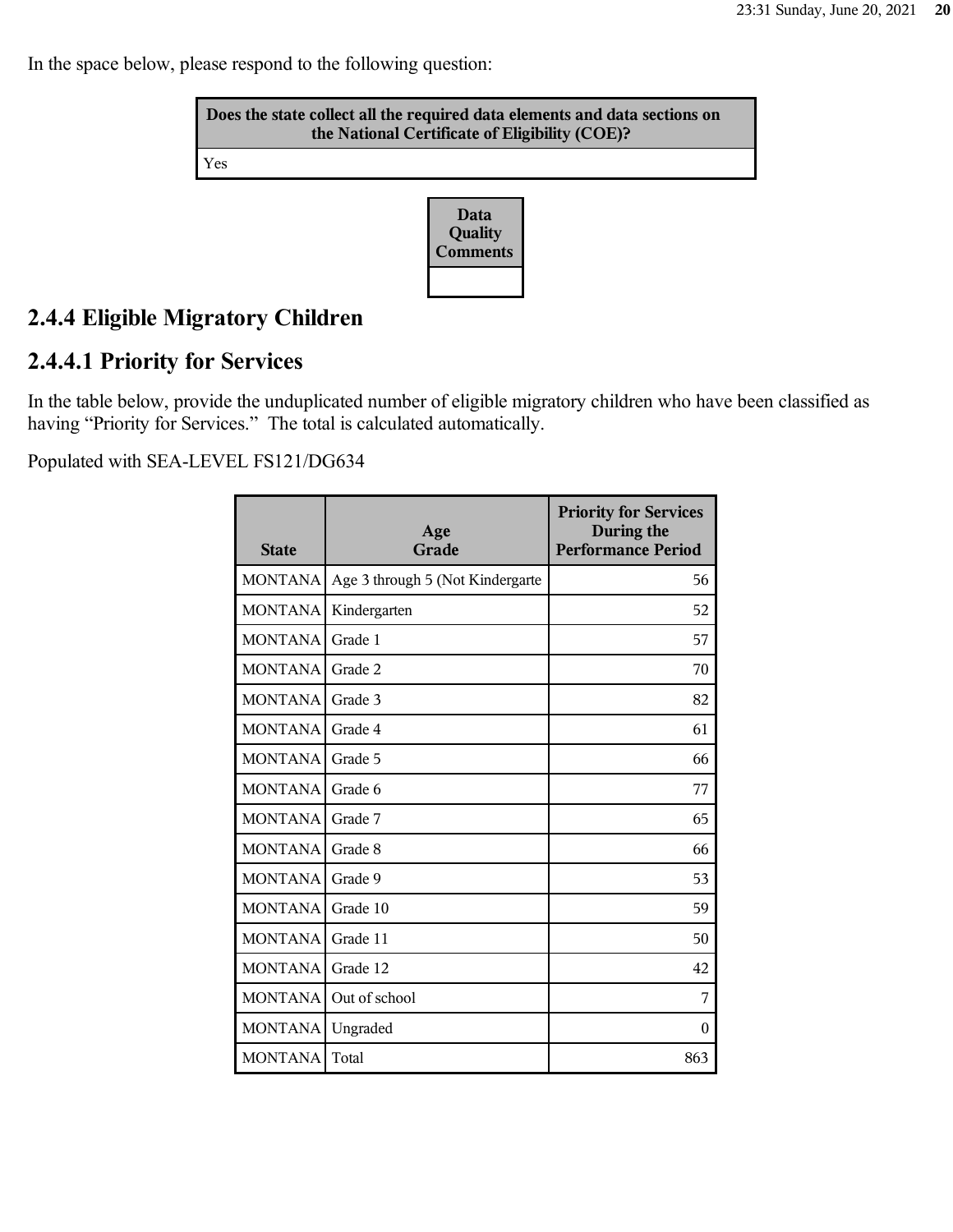In the space below, please respond to the following question:

| Does the state collect all the required data elements and data sections on<br>the National Certificate of Eligibility (COE)? |                             |  |
|------------------------------------------------------------------------------------------------------------------------------|-----------------------------|--|
| Yes                                                                                                                          |                             |  |
|                                                                                                                              | Data<br>Quality<br>Comments |  |

# **2.4.4 Eligible Migratory Children**

### **2.4.4.1 Priority for Services**

In the table below, provide the unduplicated number of eligible migratory children who have been classified as having "Priority for Services." The total is calculated automatically.

| <b>State</b>   | Age<br>Grade                     | <b>Priority for Services</b><br>During the<br><b>Performance Period</b> |
|----------------|----------------------------------|-------------------------------------------------------------------------|
| <b>MONTANA</b> | Age 3 through 5 (Not Kindergarte | 56                                                                      |
| MONTANA        | Kindergarten                     | 52                                                                      |
| MONTANA        | Grade 1                          | 57                                                                      |
| <b>MONTANA</b> | Grade 2                          | 70                                                                      |
| <b>MONTANA</b> | Grade 3                          | 82                                                                      |
| <b>MONTANA</b> | Grade 4                          | 61                                                                      |
| <b>MONTANA</b> | Grade 5                          | 66                                                                      |
| <b>MONTANA</b> | Grade 6                          | 77                                                                      |
| <b>MONTANA</b> | Grade 7                          | 65                                                                      |
| <b>MONTANA</b> | Grade 8                          | 66                                                                      |
| <b>MONTANA</b> | Grade 9                          | 53                                                                      |
| <b>MONTANA</b> | Grade 10                         | 59                                                                      |
| <b>MONTANA</b> | Grade 11                         | 50                                                                      |
| <b>MONTANA</b> | Grade 12                         | 42                                                                      |
| <b>MONTANA</b> | Out of school                    | 7                                                                       |
| <b>MONTANA</b> | Ungraded                         | $\theta$                                                                |
| <b>MONTANA</b> | Total                            | 863                                                                     |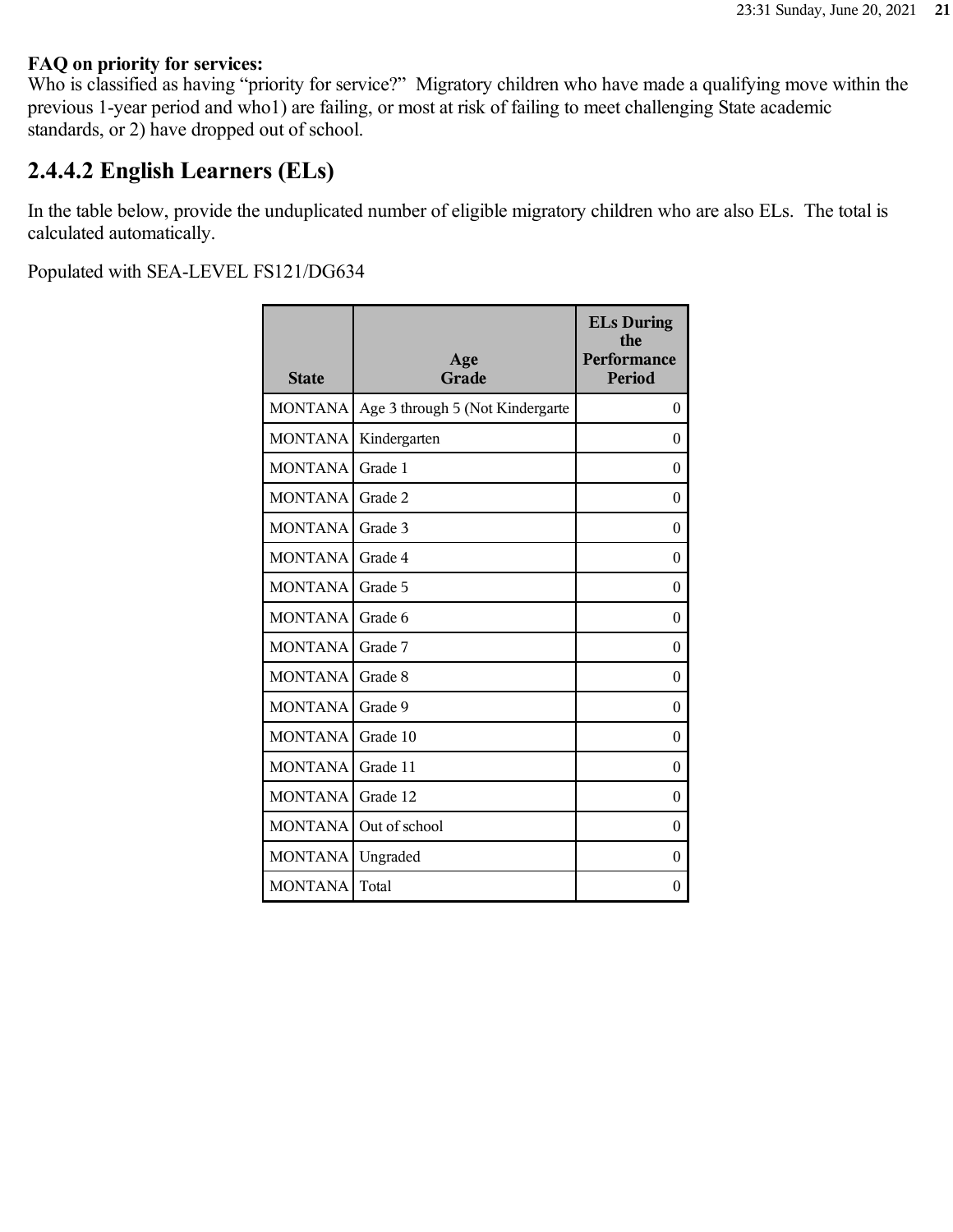#### **FAQ on priority for services:**

Who is classified as having "priority for service?" Migratory children who have made a qualifying move within the previous 1-year period and who1) are failing, or most at risk of failing to meet challenging State academic standards, or 2) have dropped out of school.

### **2.4.4.2 English Learners (ELs)**

In the table below, provide the unduplicated number of eligible migratory children who are also ELs. The total is calculated automatically.

| <b>State</b>   | Age<br>Grade                     | <b>ELs During</b><br>the<br>Performance<br><b>Period</b> |
|----------------|----------------------------------|----------------------------------------------------------|
| <b>MONTANA</b> | Age 3 through 5 (Not Kindergarte | $\theta$                                                 |
| <b>MONTANA</b> | Kindergarten                     | $\theta$                                                 |
| <b>MONTANA</b> | Grade 1                          | $\theta$                                                 |
| <b>MONTANA</b> | Grade 2                          | $\Omega$                                                 |
| <b>MONTANA</b> | Grade 3                          | $\theta$                                                 |
| <b>MONTANA</b> | Grade 4                          | $\theta$                                                 |
| <b>MONTANA</b> | Grade 5                          | $\theta$                                                 |
| <b>MONTANA</b> | Grade 6                          | $\theta$                                                 |
| <b>MONTANA</b> | Grade 7                          | $\theta$                                                 |
| <b>MONTANA</b> | Grade 8                          | $\theta$                                                 |
| <b>MONTANA</b> | Grade 9                          | $\theta$                                                 |
| <b>MONTANA</b> | Grade 10                         | $\Omega$                                                 |
| <b>MONTANA</b> | Grade 11                         | $\theta$                                                 |
| <b>MONTANA</b> | Grade 12                         | $\boldsymbol{0}$                                         |
| <b>MONTANA</b> | Out of school                    | $\theta$                                                 |
| <b>MONTANA</b> | Ungraded                         | $\theta$                                                 |
| <b>MONTANA</b> | Total                            | $\theta$                                                 |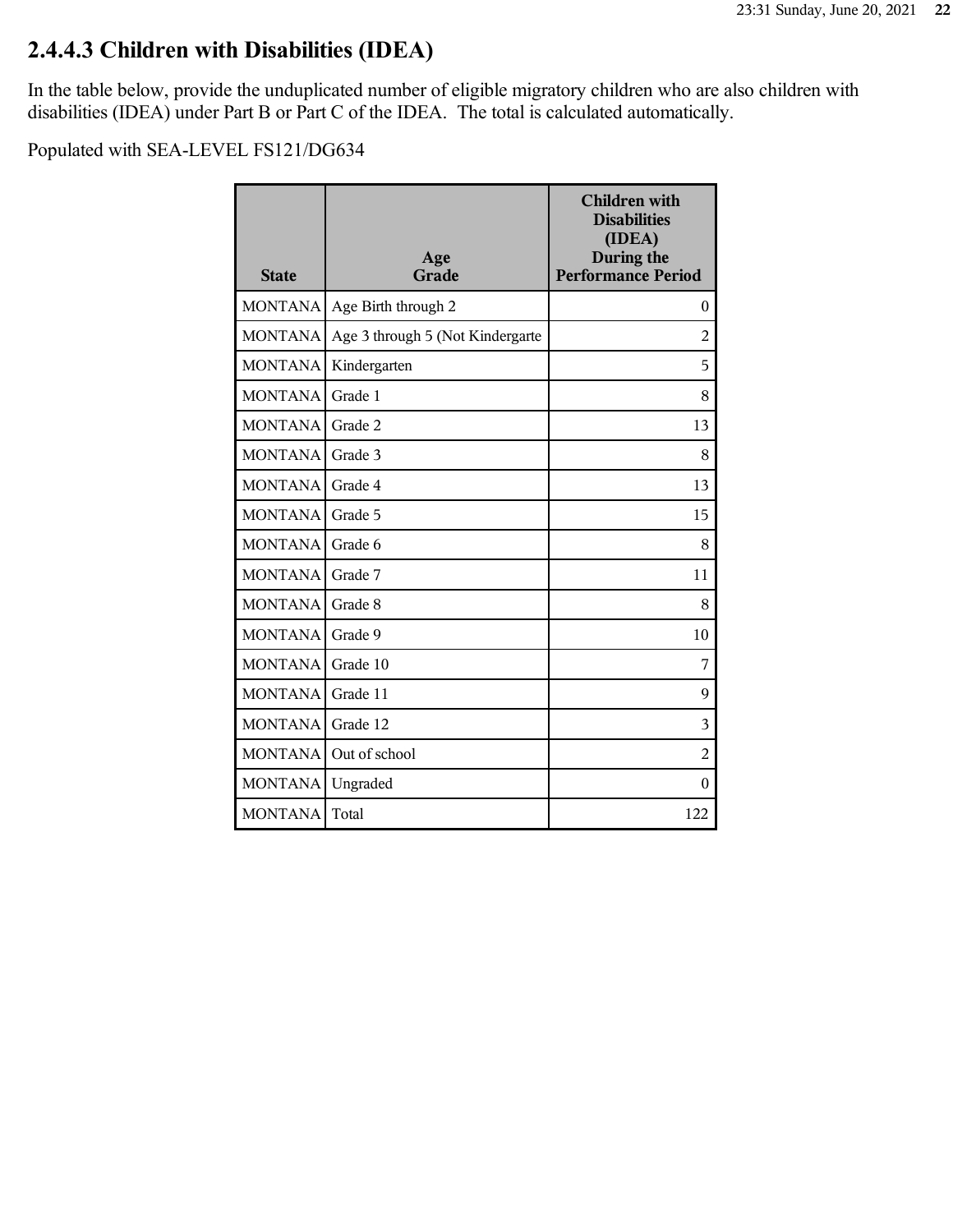# **2.4.4.3 Children with Disabilities (IDEA)**

In the table below, provide the unduplicated number of eligible migratory children who are also children with disabilities (IDEA) under Part B or Part C of the IDEA. The total is calculated automatically.

| <b>State</b>   | Age<br>Grade                     | <b>Children with</b><br><b>Disabilities</b><br>(IDEA)<br>During the<br><b>Performance Period</b> |
|----------------|----------------------------------|--------------------------------------------------------------------------------------------------|
| <b>MONTANA</b> | Age Birth through 2              | $\boldsymbol{0}$                                                                                 |
| <b>MONTANA</b> | Age 3 through 5 (Not Kindergarte | 2                                                                                                |
| <b>MONTANA</b> | Kindergarten                     | 5                                                                                                |
| <b>MONTANA</b> | Grade 1                          | 8                                                                                                |
| <b>MONTANA</b> | Grade 2                          | 13                                                                                               |
| <b>MONTANA</b> | Grade 3                          | 8                                                                                                |
| <b>MONTANA</b> | Grade 4                          | 13                                                                                               |
| <b>MONTANA</b> | Grade 5                          | 15                                                                                               |
| <b>MONTANA</b> | Grade 6                          | 8                                                                                                |
| <b>MONTANA</b> | Grade 7                          | 11                                                                                               |
| <b>MONTANA</b> | Grade 8                          | 8                                                                                                |
| <b>MONTANA</b> | Grade 9                          | 10                                                                                               |
| <b>MONTANA</b> | Grade 10                         | 7                                                                                                |
| <b>MONTANA</b> | Grade 11                         | 9                                                                                                |
| <b>MONTANA</b> | Grade 12                         | 3                                                                                                |
| <b>MONTANA</b> | Out of school                    | $\overline{2}$                                                                                   |
| <b>MONTANA</b> | Ungraded                         | $\boldsymbol{0}$                                                                                 |
| <b>MONTANA</b> | Total                            | 122                                                                                              |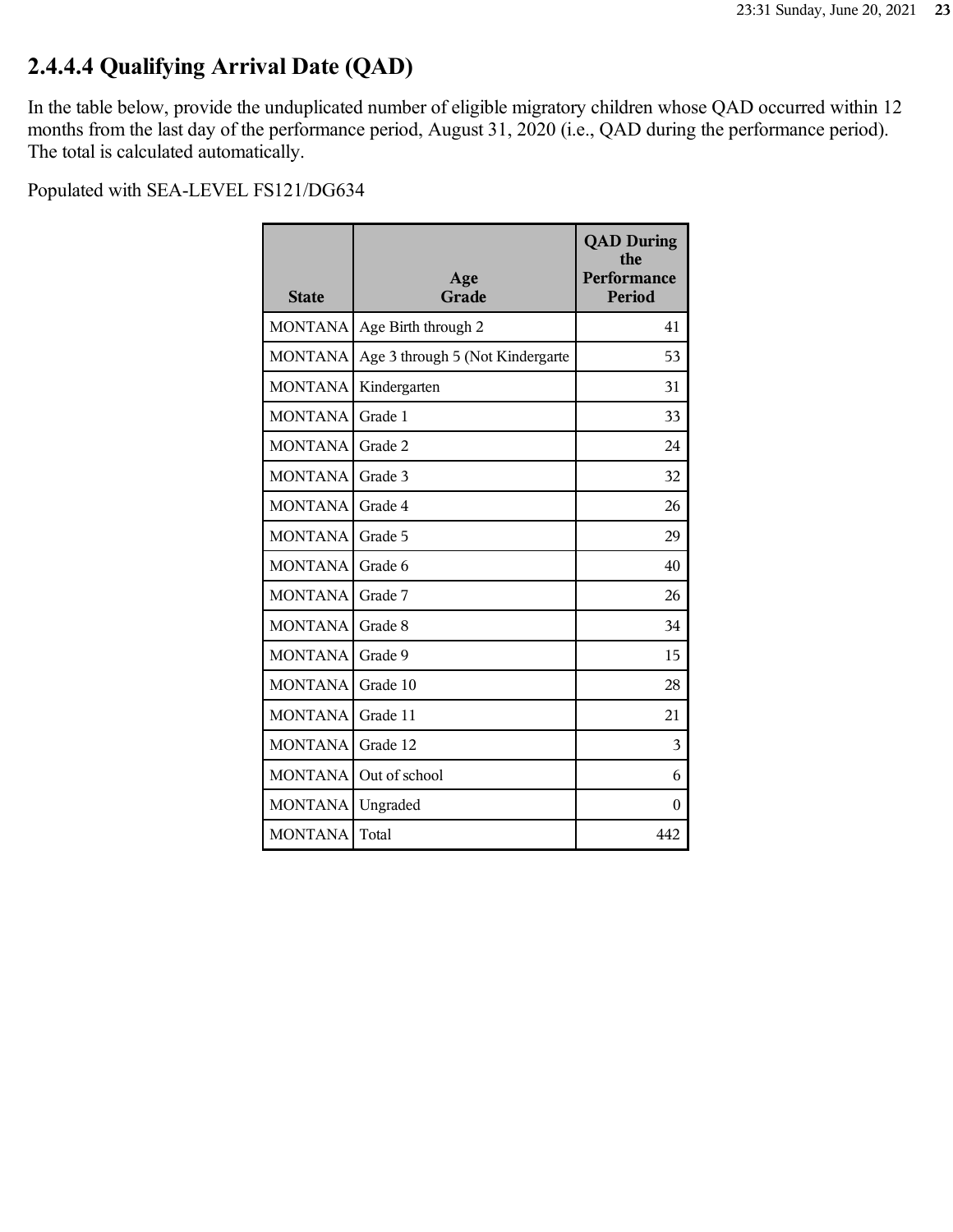# **2.4.4.4 Qualifying Arrival Date (QAD)**

In the table below, provide the unduplicated number of eligible migratory children whose QAD occurred within 12 months from the last day of the performance period, August 31, 2020 (i.e., QAD during the performance period). The total is calculated automatically.

| <b>State</b>   | Age<br>Grade                     | <b>QAD During</b><br>the<br>Performance<br><b>Period</b> |
|----------------|----------------------------------|----------------------------------------------------------|
| <b>MONTANA</b> | Age Birth through 2              | 41                                                       |
| <b>MONTANA</b> | Age 3 through 5 (Not Kindergarte | 53                                                       |
| <b>MONTANA</b> | Kindergarten                     | 31                                                       |
| <b>MONTANA</b> | Grade 1                          | 33                                                       |
| <b>MONTANA</b> | Grade 2                          | 24                                                       |
| <b>MONTANA</b> | Grade 3                          | 32                                                       |
| <b>MONTANA</b> | Grade 4                          | 26                                                       |
| <b>MONTANA</b> | Grade 5                          | 29                                                       |
| <b>MONTANA</b> | Grade 6                          | 40                                                       |
| <b>MONTANA</b> | Grade 7                          | 26                                                       |
| <b>MONTANA</b> | Grade 8                          | 34                                                       |
| <b>MONTANA</b> | Grade 9                          | 15                                                       |
| <b>MONTANA</b> | Grade 10                         | 28                                                       |
| <b>MONTANA</b> | Grade 11                         | 21                                                       |
| <b>MONTANA</b> | Grade 12                         | 3                                                        |
| <b>MONTANA</b> | Out of school                    | 6                                                        |
| <b>MONTANA</b> | Ungraded                         | 0                                                        |
| <b>MONTANA</b> | Total                            | 442                                                      |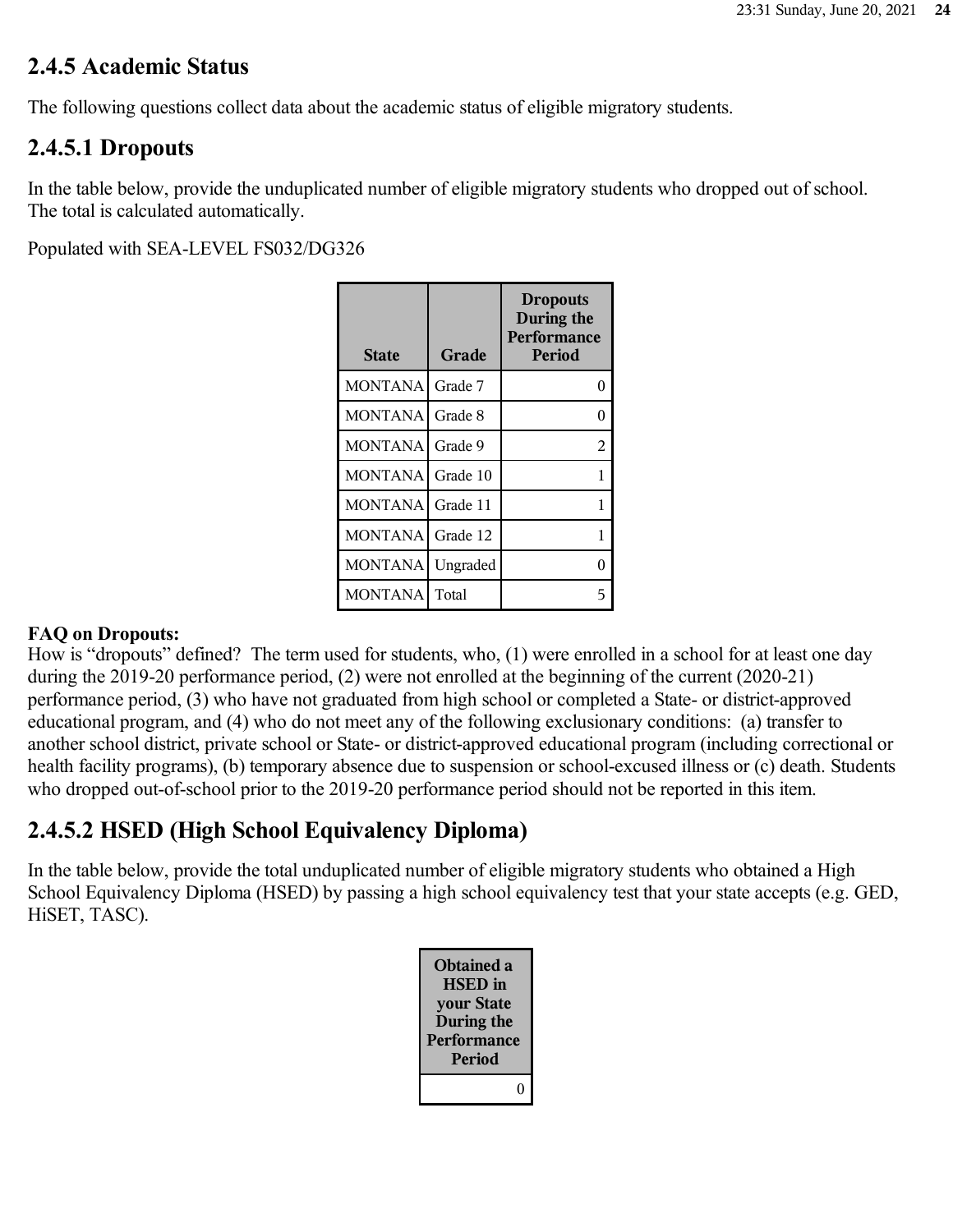### **2.4.5 Academic Status**

The following questions collect data about the academic status of eligible migratory students.

### **2.4.5.1 Dropouts**

In the table below, provide the unduplicated number of eligible migratory students who dropped out of school. The total is calculated automatically.

Populated with SEA-LEVEL FS032/DG326

| <b>State</b>   | Grade    | <b>Dropouts</b><br>During the<br>Performance<br>Period |
|----------------|----------|--------------------------------------------------------|
| <b>MONTANA</b> | Grade 7  | 0                                                      |
| <b>MONTANA</b> | Grade 8  | 0                                                      |
| <b>MONTANA</b> | Grade 9  | 2                                                      |
| <b>MONTANA</b> | Grade 10 | 1                                                      |
| <b>MONTANA</b> | Grade 11 | 1                                                      |
| <b>MONTANA</b> | Grade 12 | 1                                                      |
| MONTANA        | Ungraded | 0                                                      |
| <b>MONTANA</b> | Total    | 5                                                      |

### **FAQ on Dropouts:**

How is "dropouts" defined? The term used for students, who, (1) were enrolled in a school for at least one day during the 2019-20 performance period, (2) were not enrolled at the beginning of the current (2020-21) performance period, (3) who have not graduated from high school or completed a State- or district-approved educational program, and (4) who do not meet any of the following exclusionary conditions: (a) transfer to another school district, private school or State- or district-approved educational program (including correctional or health facility programs), (b) temporary absence due to suspension or school-excused illness or (c) death. Students who dropped out-of-school prior to the 2019-20 performance period should not be reported in this item.

## **2.4.5.2 HSED (High School Equivalency Diploma)**

In the table below, provide the total unduplicated number of eligible migratory students who obtained a High School Equivalency Diploma (HSED) by passing a high school equivalency test that your state accepts (e.g. GED, HiSET, TASC).

| Obtained a<br><b>HSED</b> in<br><b>your State</b><br>During the<br>Performance<br><b>Period</b> |
|-------------------------------------------------------------------------------------------------|
|                                                                                                 |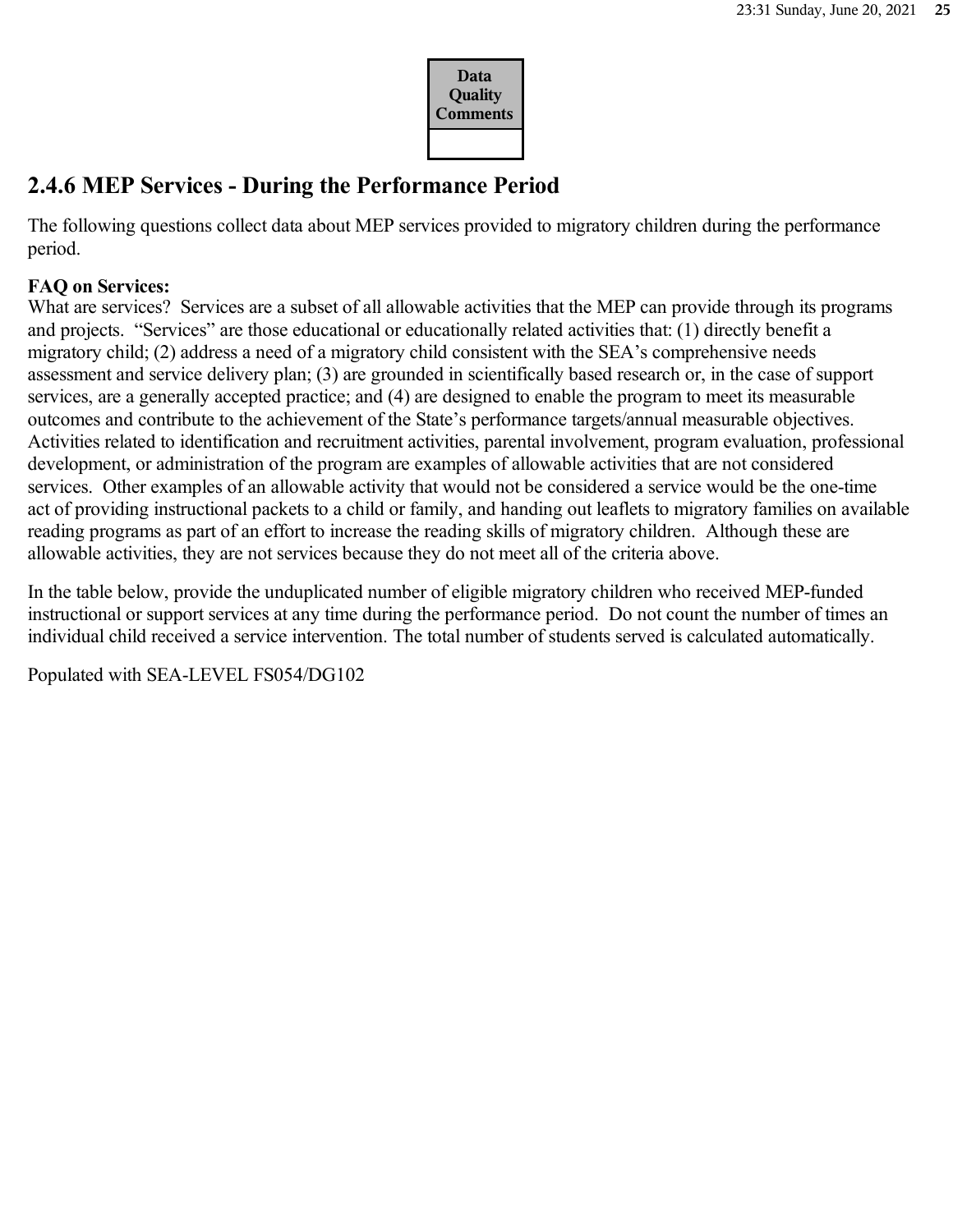

## **2.4.6 MEP Services - During the Performance Period**

The following questions collect data about MEP services provided to migratory children during the performance period.

### **FAQ on Services:**

What are services? Services are a subset of all allowable activities that the MEP can provide through its programs and projects. "Services" are those educational or educationally related activities that: (1) directly benefit a migratory child; (2) address a need of a migratory child consistent with the SEA's comprehensive needs assessment and service delivery plan; (3) are grounded in scientifically based research or, in the case of support services, are a generally accepted practice; and (4) are designed to enable the program to meet its measurable outcomes and contribute to the achievement of the State's performance targets/annual measurable objectives. Activities related to identification and recruitment activities, parental involvement, program evaluation, professional development, or administration of the program are examples of allowable activities that are not considered services. Other examples of an allowable activity that would not be considered a service would be the one-time act of providing instructional packets to a child or family, and handing out leaflets to migratory families on available reading programs as part of an effort to increase the reading skills of migratory children. Although these are allowable activities, they are not services because they do not meet all of the criteria above.

In the table below, provide the unduplicated number of eligible migratory children who received MEP-funded instructional or support services at any time during the performance period. Do not count the number of times an individual child received a service intervention. The total number of students served is calculated automatically.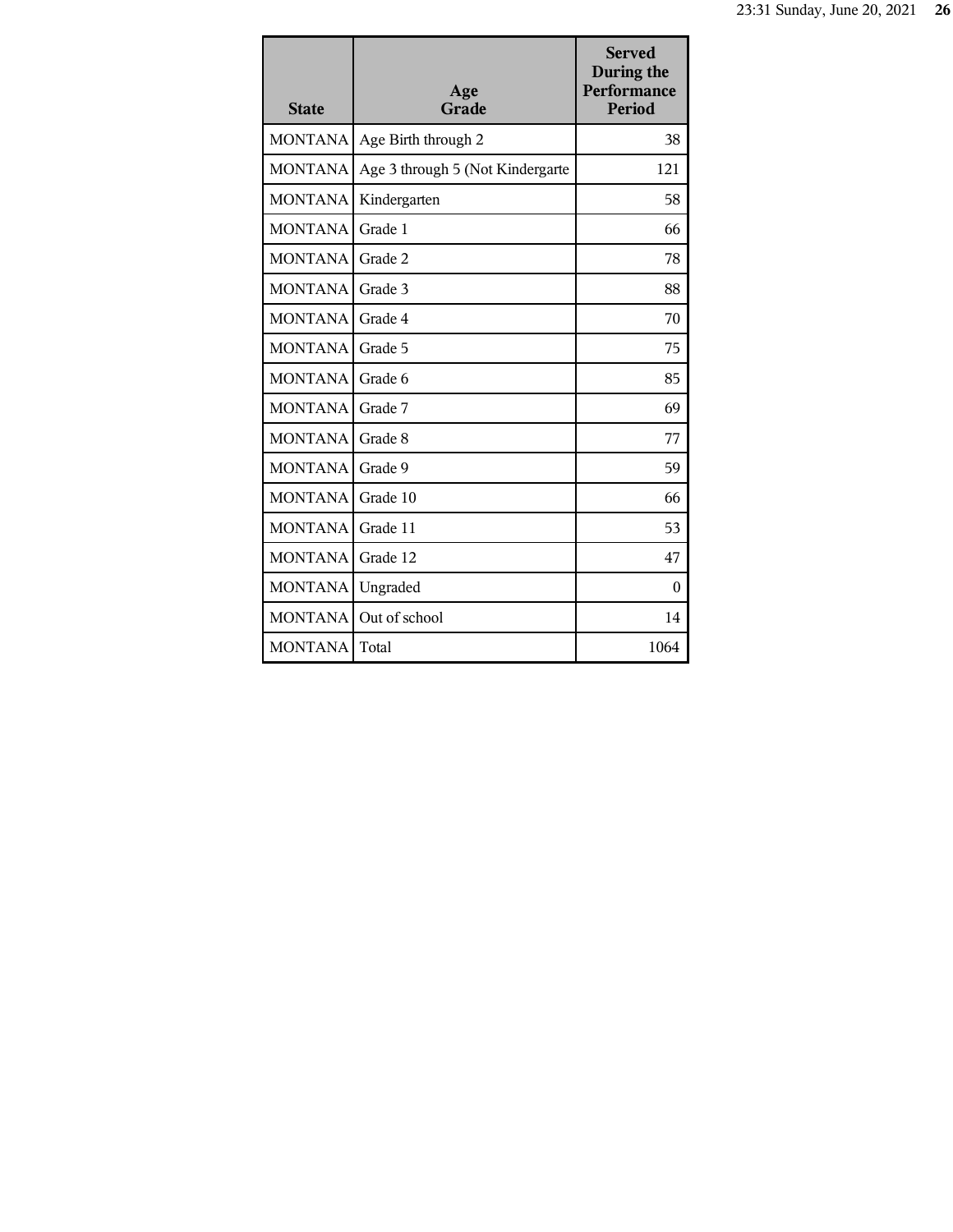| <b>State</b>   | Age<br>Grade                     | <b>Served</b><br>During the<br><b>Performance</b><br>Period |
|----------------|----------------------------------|-------------------------------------------------------------|
| <b>MONTANA</b> | Age Birth through 2              | 38                                                          |
| <b>MONTANA</b> | Age 3 through 5 (Not Kindergarte | 121                                                         |
| <b>MONTANA</b> | Kindergarten                     | 58                                                          |
| <b>MONTANA</b> | Grade 1                          | 66                                                          |
| <b>MONTANA</b> | Grade 2                          | 78                                                          |
| <b>MONTANA</b> | Grade 3                          | 88                                                          |
| <b>MONTANA</b> | Grade 4                          | 70                                                          |
| <b>MONTANA</b> | Grade 5                          | 75                                                          |
| <b>MONTANA</b> | Grade 6                          | 85                                                          |
| <b>MONTANA</b> | Grade 7                          | 69                                                          |
| <b>MONTANA</b> | Grade 8                          | 77                                                          |
| <b>MONTANA</b> | Grade 9                          | 59                                                          |
| <b>MONTANA</b> | Grade 10                         | 66                                                          |
| <b>MONTANA</b> | Grade 11                         | 53                                                          |
| <b>MONTANA</b> | Grade 12                         | 47                                                          |
| <b>MONTANA</b> | Ungraded                         | $\theta$                                                    |
| <b>MONTANA</b> | Out of school                    | 14                                                          |
| <b>MONTANA</b> | Total                            | 1064                                                        |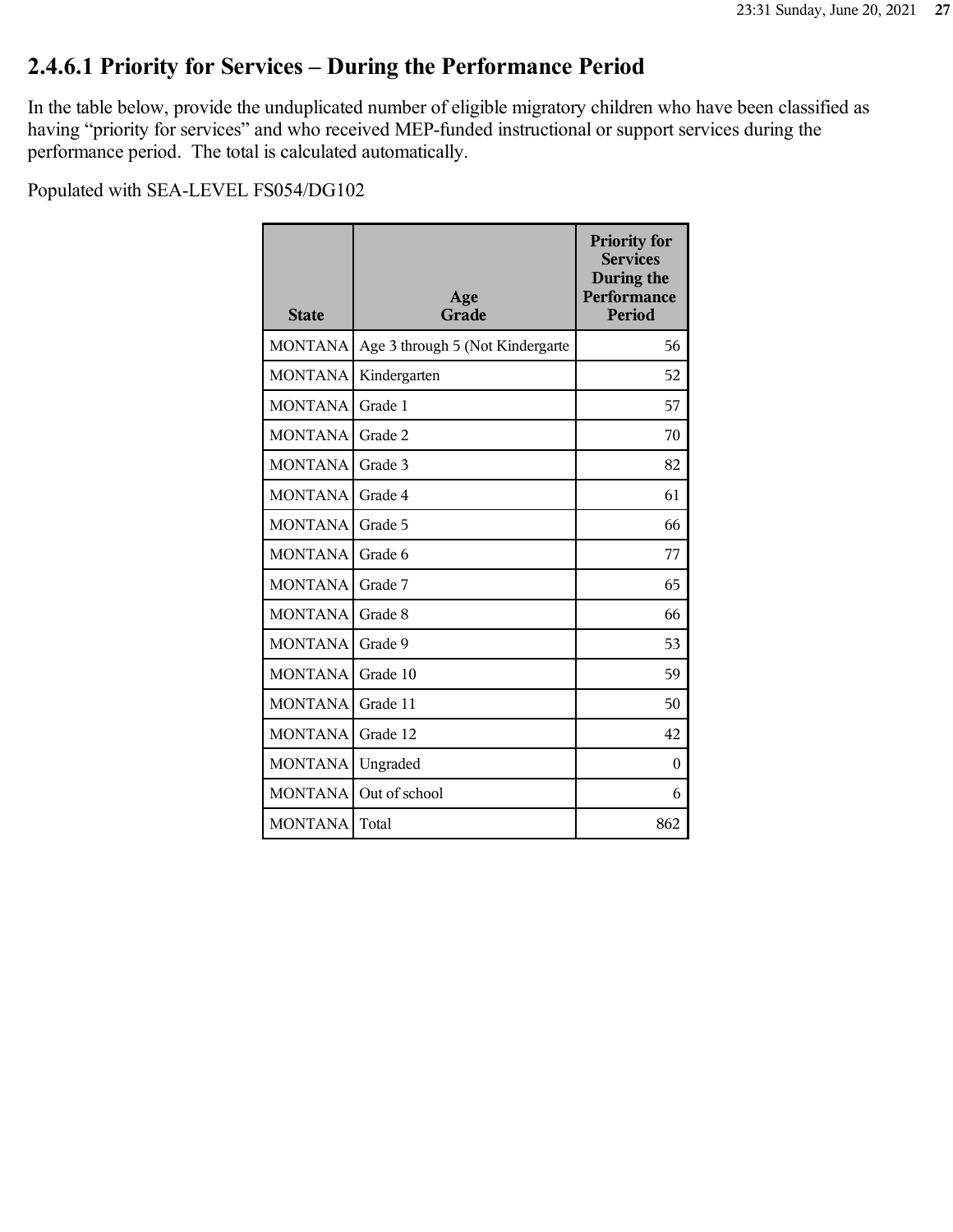# **2.4.6.1 Priority for Services – During the Performance Period**

In the table below, provide the unduplicated number of eligible migratory children who have been classified as having "priority for services" and who received MEP-funded instructional or support services during the performance period. The total is calculated automatically.

| <b>State</b>   | Age<br>Grade                     | <b>Priority for</b><br><b>Services</b><br>During the<br>Performance<br><b>Period</b> |
|----------------|----------------------------------|--------------------------------------------------------------------------------------|
| <b>MONTANA</b> | Age 3 through 5 (Not Kindergarte | 56                                                                                   |
| <b>MONTANA</b> | Kindergarten                     | 52                                                                                   |
| <b>MONTANA</b> | Grade 1                          | 57                                                                                   |
| <b>MONTANA</b> | Grade 2                          | 70                                                                                   |
| <b>MONTANA</b> | Grade 3                          | 82                                                                                   |
| <b>MONTANA</b> | Grade 4                          | 61                                                                                   |
| <b>MONTANA</b> | Grade 5                          | 66                                                                                   |
| <b>MONTANA</b> | Grade 6                          | 77                                                                                   |
| <b>MONTANA</b> | Grade 7                          | 65                                                                                   |
| <b>MONTANA</b> | Grade 8                          | 66                                                                                   |
| <b>MONTANA</b> | Grade 9                          | 53                                                                                   |
| <b>MONTANA</b> | Grade 10                         | 59                                                                                   |
| <b>MONTANA</b> | Grade 11                         | 50                                                                                   |
| <b>MONTANA</b> | Grade 12                         | 42                                                                                   |
| <b>MONTANA</b> | Ungraded                         | $\theta$                                                                             |
| <b>MONTANA</b> | Out of school                    | 6                                                                                    |
| <b>MONTANA</b> | Total                            | 862                                                                                  |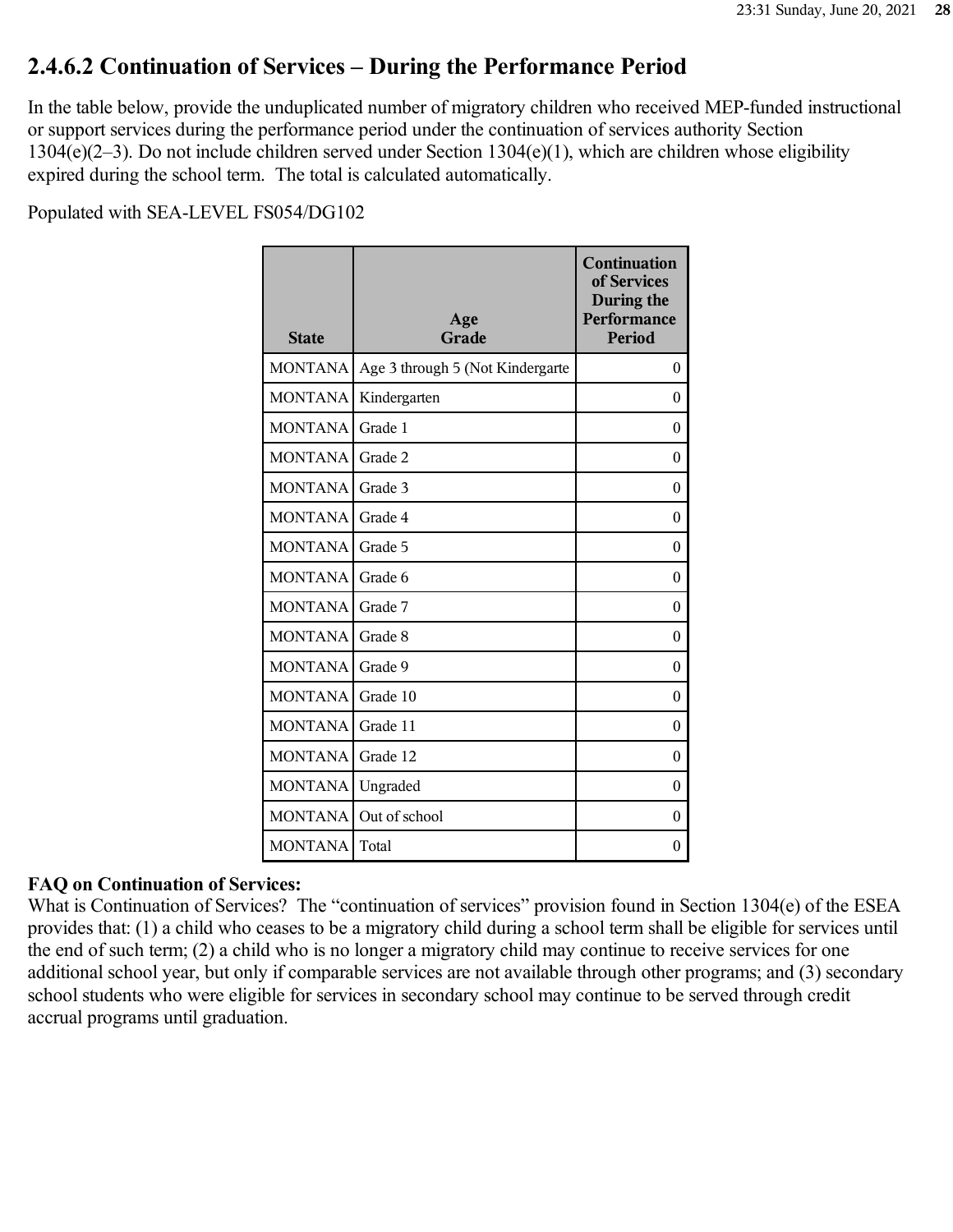## **2.4.6.2 Continuation of Services – During the Performance Period**

In the table below, provide the unduplicated number of migratory children who received MEP-funded instructional or support services during the performance period under the continuation of services authority Section 1304(e)(2–3). Do not include children served under Section 1304(e)(1), which are children whose eligibility expired during the school term. The total is calculated automatically.

Populated with SEA-LEVEL FS054/DG102

| <b>State</b>   | Age<br>Grade                     | <b>Continuation</b><br>of Services<br>During the<br>Performance<br><b>Period</b> |
|----------------|----------------------------------|----------------------------------------------------------------------------------|
| <b>MONTANA</b> | Age 3 through 5 (Not Kindergarte | $\theta$                                                                         |
| <b>MONTANA</b> | Kindergarten                     | $\theta$                                                                         |
| <b>MONTANA</b> | Grade 1                          | $\theta$                                                                         |
| <b>MONTANA</b> | Grade 2                          | $\theta$                                                                         |
| <b>MONTANA</b> | Grade 3                          | $\theta$                                                                         |
| <b>MONTANA</b> | Grade 4                          | $\theta$                                                                         |
| <b>MONTANA</b> | Grade 5                          | $\theta$                                                                         |
| <b>MONTANA</b> | Grade 6                          | $\theta$                                                                         |
| <b>MONTANA</b> | Grade 7                          | $\boldsymbol{0}$                                                                 |
| <b>MONTANA</b> | Grade 8                          | $\theta$                                                                         |
| <b>MONTANA</b> | Grade 9                          | $\theta$                                                                         |
| <b>MONTANA</b> | Grade 10                         | $\theta$                                                                         |
| <b>MONTANA</b> | Grade 11                         | $\theta$                                                                         |
| <b>MONTANA</b> | Grade 12                         | $\boldsymbol{0}$                                                                 |
| <b>MONTANA</b> | Ungraded                         | $\boldsymbol{0}$                                                                 |
| <b>MONTANA</b> | Out of school                    | $\theta$                                                                         |
| <b>MONTANA</b> | Total                            | $\boldsymbol{0}$                                                                 |

#### **FAQ on Continuation of Services:**

What is Continuation of Services? The "continuation of services" provision found in Section 1304(e) of the ESEA provides that: (1) a child who ceases to be a migratory child during a school term shall be eligible for services until the end of such term; (2) a child who is no longer a migratory child may continue to receive services for one additional school year, but only if comparable services are not available through other programs; and (3) secondary school students who were eligible for services in secondary school may continue to be served through credit accrual programs until graduation.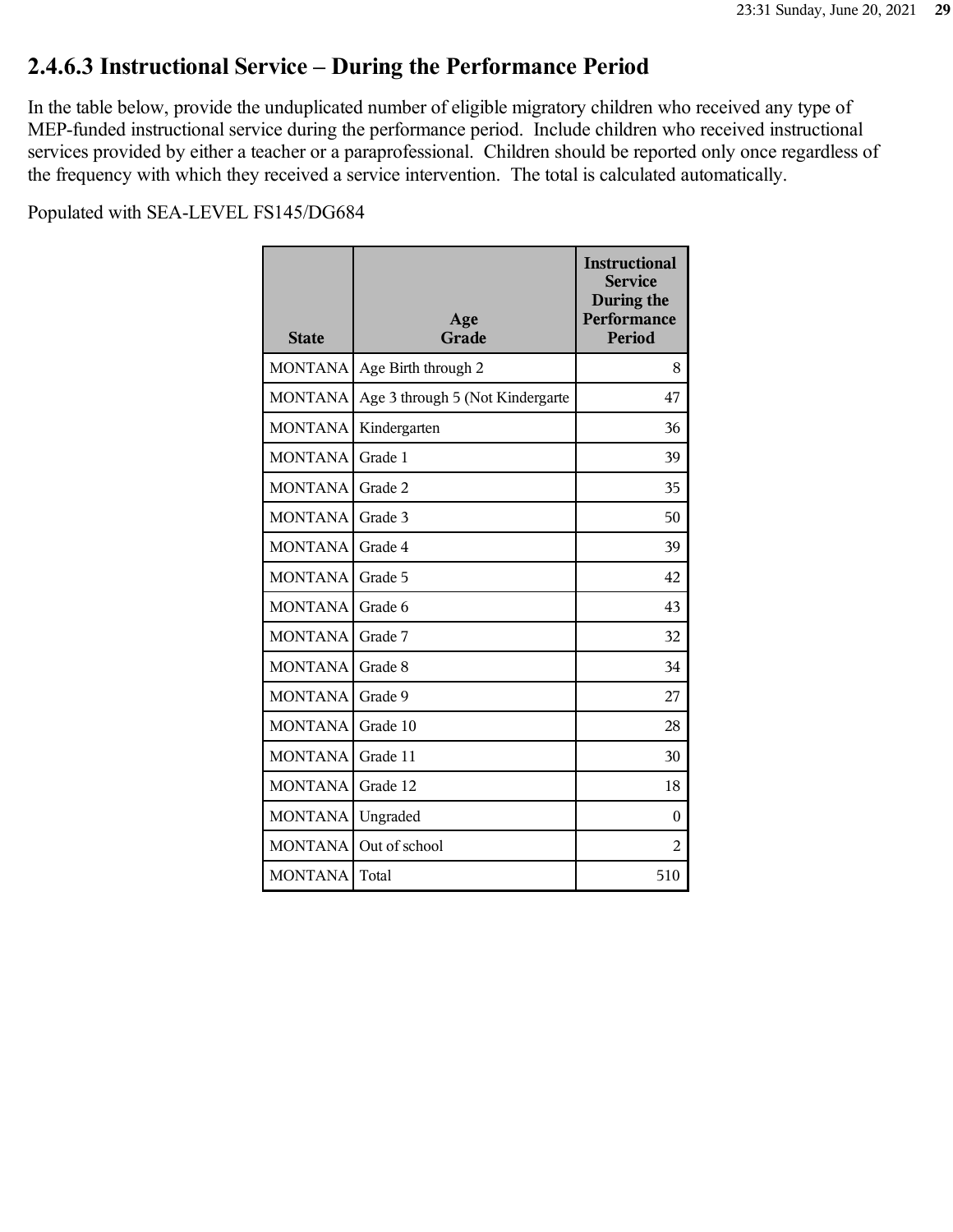### **2.4.6.3 Instructional Service – During the Performance Period**

In the table below, provide the unduplicated number of eligible migratory children who received any type of MEP-funded instructional service during the performance period. Include children who received instructional services provided by either a teacher or a paraprofessional. Children should be reported only once regardless of the frequency with which they received a service intervention. The total is calculated automatically.

| <b>State</b>   | Age<br>Grade                     | <b>Instructional</b><br><b>Service</b><br>During the<br>Performance<br><b>Period</b> |
|----------------|----------------------------------|--------------------------------------------------------------------------------------|
| <b>MONTANA</b> | Age Birth through 2              | 8                                                                                    |
| <b>MONTANA</b> | Age 3 through 5 (Not Kindergarte | 47                                                                                   |
| <b>MONTANA</b> | Kindergarten                     | 36                                                                                   |
| <b>MONTANA</b> | Grade 1                          | 39                                                                                   |
| <b>MONTANA</b> | Grade 2                          | 35                                                                                   |
| <b>MONTANA</b> | Grade 3                          | 50                                                                                   |
| <b>MONTANA</b> | Grade 4                          | 39                                                                                   |
| <b>MONTANA</b> | Grade 5                          | 42                                                                                   |
| <b>MONTANA</b> | Grade 6                          | 43                                                                                   |
| <b>MONTANA</b> | Grade 7                          | 32                                                                                   |
| <b>MONTANA</b> | Grade 8                          | 34                                                                                   |
| <b>MONTANA</b> | Grade 9                          | 27                                                                                   |
| <b>MONTANA</b> | Grade 10                         | 28                                                                                   |
| <b>MONTANA</b> | Grade 11                         | 30                                                                                   |
| <b>MONTANA</b> | Grade 12                         | 18                                                                                   |
| <b>MONTANA</b> | Ungraded                         | $\theta$                                                                             |
| <b>MONTANA</b> | Out of school                    | 2                                                                                    |
| <b>MONTANA</b> | Total                            | 510                                                                                  |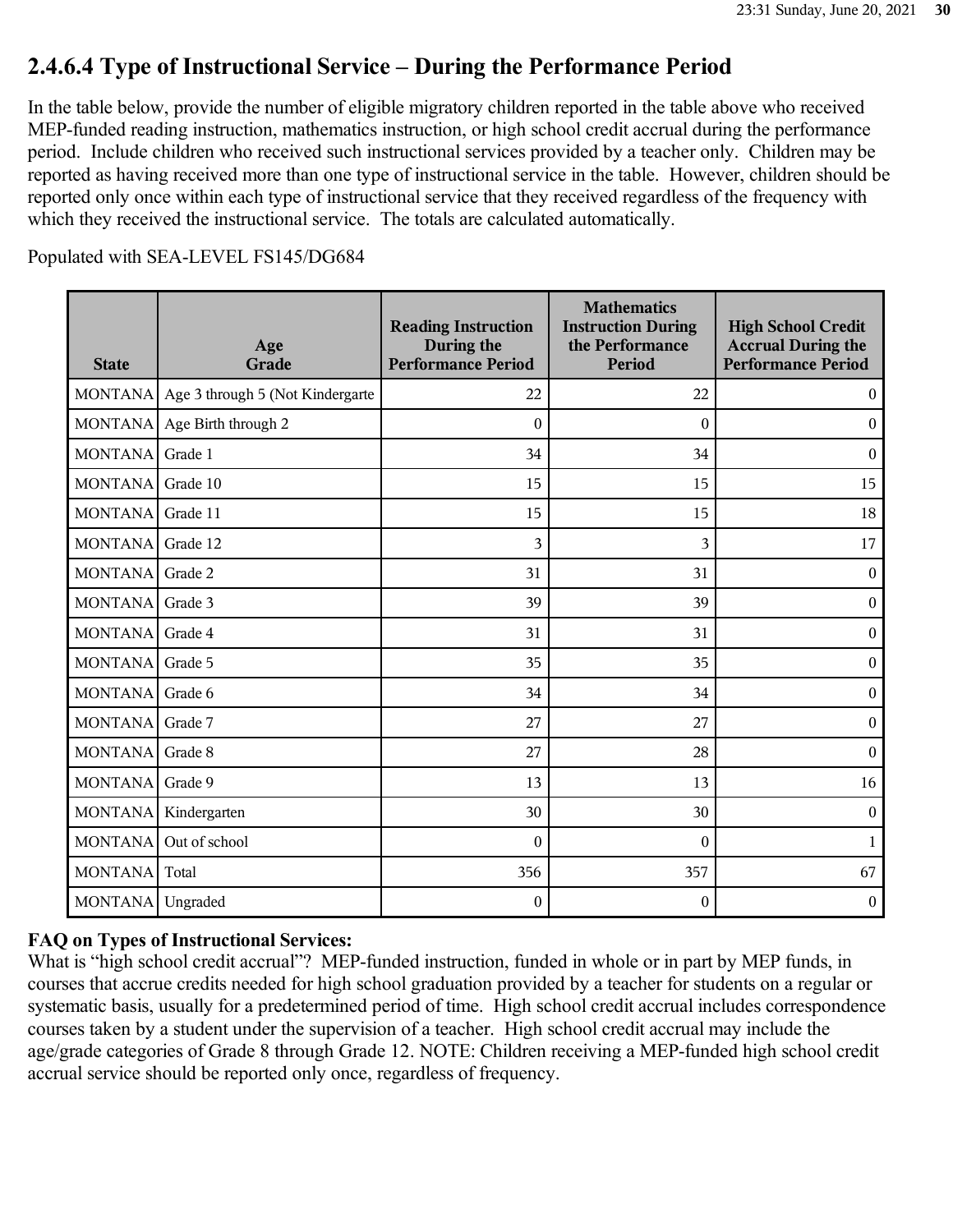# **2.4.6.4 Type of Instructional Service – During the Performance Period**

In the table below, provide the number of eligible migratory children reported in the table above who received MEP-funded reading instruction, mathematics instruction, or high school credit accrual during the performance period. Include children who received such instructional services provided by a teacher only. Children may be reported as having received more than one type of instructional service in the table. However, children should be reported only once within each type of instructional service that they received regardless of the frequency with which they received the instructional service. The totals are calculated automatically.

Populated with SEA-LEVEL FS145/DG684

| <b>State</b>   | Age<br>Grade                     | <b>Reading Instruction</b><br>During the<br><b>Performance Period</b> | <b>Mathematics</b><br><b>Instruction During</b><br>the Performance<br><b>Period</b> | <b>High School Credit</b><br><b>Accrual During the</b><br><b>Performance Period</b> |
|----------------|----------------------------------|-----------------------------------------------------------------------|-------------------------------------------------------------------------------------|-------------------------------------------------------------------------------------|
| <b>MONTANA</b> | Age 3 through 5 (Not Kindergarte | 22                                                                    | 22                                                                                  | $\boldsymbol{0}$                                                                    |
| <b>MONTANA</b> | Age Birth through 2              | $\boldsymbol{0}$                                                      | $\mathbf{0}$                                                                        | $\boldsymbol{0}$                                                                    |
| <b>MONTANA</b> | Grade 1                          | 34                                                                    | 34                                                                                  | $\boldsymbol{0}$                                                                    |
| <b>MONTANA</b> | Grade 10                         | 15                                                                    | 15                                                                                  | 15                                                                                  |
| <b>MONTANA</b> | Grade 11                         | 15                                                                    | 15                                                                                  | 18                                                                                  |
| <b>MONTANA</b> | Grade 12                         | 3                                                                     | 3                                                                                   | 17                                                                                  |
| <b>MONTANA</b> | Grade 2                          | 31                                                                    | 31                                                                                  | $\boldsymbol{0}$                                                                    |
| <b>MONTANA</b> | Grade 3                          | 39                                                                    | 39                                                                                  | $\boldsymbol{0}$                                                                    |
| <b>MONTANA</b> | Grade 4                          | 31                                                                    | 31                                                                                  | $\boldsymbol{0}$                                                                    |
| <b>MONTANA</b> | Grade 5                          | 35                                                                    | 35                                                                                  | $\boldsymbol{0}$                                                                    |
| <b>MONTANA</b> | Grade 6                          | 34                                                                    | 34                                                                                  | $\boldsymbol{0}$                                                                    |
| <b>MONTANA</b> | Grade 7                          | 27                                                                    | 27                                                                                  | $\boldsymbol{0}$                                                                    |
| <b>MONTANA</b> | Grade 8                          | 27                                                                    | 28                                                                                  | $\mathbf{0}$                                                                        |
| <b>MONTANA</b> | Grade 9                          | 13                                                                    | 13                                                                                  | 16                                                                                  |
| <b>MONTANA</b> | Kindergarten                     | 30                                                                    | 30                                                                                  | $\boldsymbol{0}$                                                                    |
| <b>MONTANA</b> | Out of school                    | $\mathbf{0}$                                                          | $\mathbf{0}$                                                                        | $\mathbf{1}$                                                                        |
| <b>MONTANA</b> | Total                            | 356                                                                   | 357                                                                                 | 67                                                                                  |
| <b>MONTANA</b> | Ungraded                         | $\boldsymbol{0}$                                                      | $\boldsymbol{0}$                                                                    | $\boldsymbol{0}$                                                                    |

### **FAQ on Types of Instructional Services:**

What is "high school credit accrual"? MEP-funded instruction, funded in whole or in part by MEP funds, in courses that accrue credits needed for high school graduation provided by a teacher for students on a regular or systematic basis, usually for a predetermined period of time. High school credit accrual includes correspondence courses taken by a student under the supervision of a teacher. High school credit accrual may include the age/grade categories of Grade 8 through Grade 12. NOTE: Children receiving a MEP-funded high school credit accrual service should be reported only once, regardless of frequency.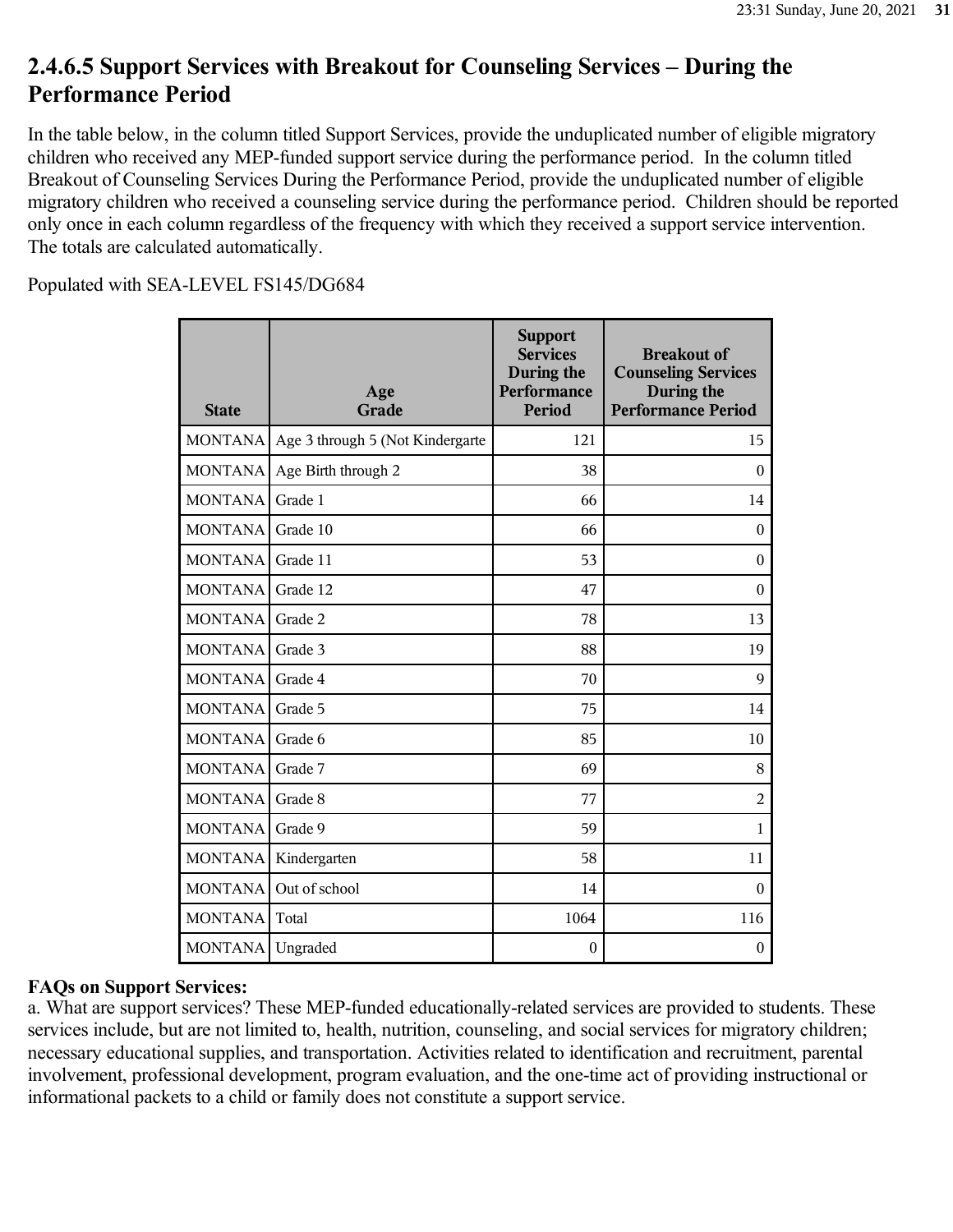# **2.4.6.5 Support Services with Breakout for Counseling Services – During the Performance Period**

In the table below, in the column titled Support Services, provide the unduplicated number of eligible migratory children who received any MEP-funded support service during the performance period. In the column titled Breakout of Counseling Services During the Performance Period, provide the unduplicated number of eligible migratory children who received a counseling service during the performance period. Children should be reported only once in each column regardless of the frequency with which they received a support service intervention. The totals are calculated automatically.

Populated with SEA-LEVEL FS145/DG684

| <b>State</b>     | Age<br>Grade                     | <b>Support</b><br><b>Services</b><br>During the<br>Performance<br><b>Period</b> | <b>Breakout of</b><br><b>Counseling Services</b><br>During the<br><b>Performance Period</b> |
|------------------|----------------------------------|---------------------------------------------------------------------------------|---------------------------------------------------------------------------------------------|
| <b>MONTANA</b>   | Age 3 through 5 (Not Kindergarte | 121                                                                             | 15                                                                                          |
| <b>MONTANA</b>   | Age Birth through 2              | 38                                                                              | $\mathbf{0}$                                                                                |
| <b>MONTANA</b>   | Grade 1                          | 66                                                                              | 14                                                                                          |
| <b>MONTANA</b>   | Grade 10                         | 66                                                                              | $\mathbf{0}$                                                                                |
| <b>MONTANA</b>   | Grade 11                         | 53                                                                              | $\mathbf{0}$                                                                                |
| <b>MONTANA</b>   | Grade 12                         | 47                                                                              | $\mathbf{0}$                                                                                |
| <b>MONTANA</b>   | Grade 2                          | 78                                                                              | 13                                                                                          |
| <b>MONTANA</b>   | Grade 3                          | 88                                                                              | 19                                                                                          |
| <b>MONTANA</b>   | Grade 4                          | 70                                                                              | 9                                                                                           |
| <b>MONTANA</b>   | Grade 5                          | 75                                                                              | 14                                                                                          |
| <b>MONTANA</b>   | Grade 6                          | 85                                                                              | 10                                                                                          |
| <b>MONTANA</b>   | Grade 7                          | 69                                                                              | 8                                                                                           |
| <b>MONTANA</b>   | Grade 8                          | 77                                                                              | 2                                                                                           |
| <b>MONTANA</b>   | Grade 9                          | 59                                                                              | 1                                                                                           |
| <b>MONTANA</b>   | Kindergarten                     | 58                                                                              | 11                                                                                          |
| <b>MONTANA</b>   | Out of school                    | 14                                                                              | $\theta$                                                                                    |
| <b>MONTANA</b>   | Total                            | 1064                                                                            | 116                                                                                         |
| MONTANA Ungraded |                                  | $\boldsymbol{0}$                                                                | $\boldsymbol{0}$                                                                            |

### **FAQs on Support Services:**

a. What are support services? These MEP-funded educationally-related services are provided to students. These services include, but are not limited to, health, nutrition, counseling, and social services for migratory children; necessary educational supplies, and transportation. Activities related to identification and recruitment, parental involvement, professional development, program evaluation, and the one-time act of providing instructional or informational packets to a child or family does not constitute a support service.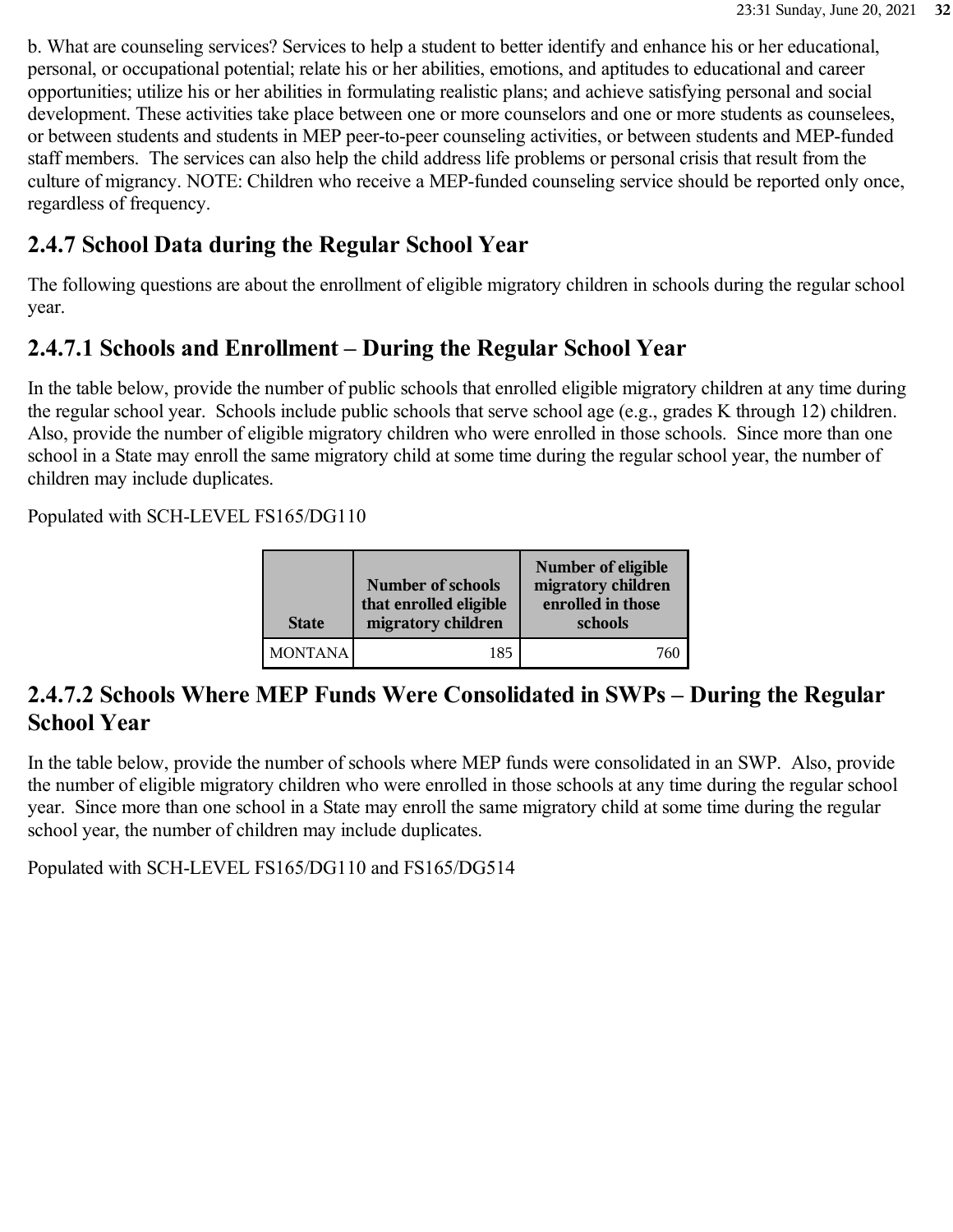b. What are counseling services? Services to help a student to better identify and enhance his or her educational, personal, or occupational potential; relate his or her abilities, emotions, and aptitudes to educational and career opportunities; utilize his or her abilities in formulating realistic plans; and achieve satisfying personal and social development. These activities take place between one or more counselors and one or more students as counselees, or between students and students in MEP peer-to-peer counseling activities, or between students and MEP-funded staff members. The services can also help the child address life problems or personal crisis that result from the culture of migrancy. NOTE: Children who receive a MEP-funded counseling service should be reported only once, regardless of frequency.

## **2.4.7 School Data during the Regular School Year**

The following questions are about the enrollment of eligible migratory children in schools during the regular school year.

### **2.4.7.1 Schools and Enrollment – During the Regular School Year**

In the table below, provide the number of public schools that enrolled eligible migratory children at any time during the regular school year. Schools include public schools that serve school age (e.g., grades K through 12) children. Also, provide the number of eligible migratory children who were enrolled in those schools. Since more than one school in a State may enroll the same migratory child at some time during the regular school year, the number of children may include duplicates.

Populated with SCH-LEVEL FS165/DG110

| <b>State</b>   | <b>Number of schools</b><br>that enrolled eligible<br>migratory children | Number of eligible<br>migratory children<br>enrolled in those<br>schools |
|----------------|--------------------------------------------------------------------------|--------------------------------------------------------------------------|
| <b>MONTANA</b> | 185                                                                      |                                                                          |

### **2.4.7.2 Schools Where MEP Funds Were Consolidated in SWPs – During the Regular School Year**

In the table below, provide the number of schools where MEP funds were consolidated in an SWP. Also, provide the number of eligible migratory children who were enrolled in those schools at any time during the regular school year. Since more than one school in a State may enroll the same migratory child at some time during the regular school year, the number of children may include duplicates.

Populated with SCH-LEVEL FS165/DG110 and FS165/DG514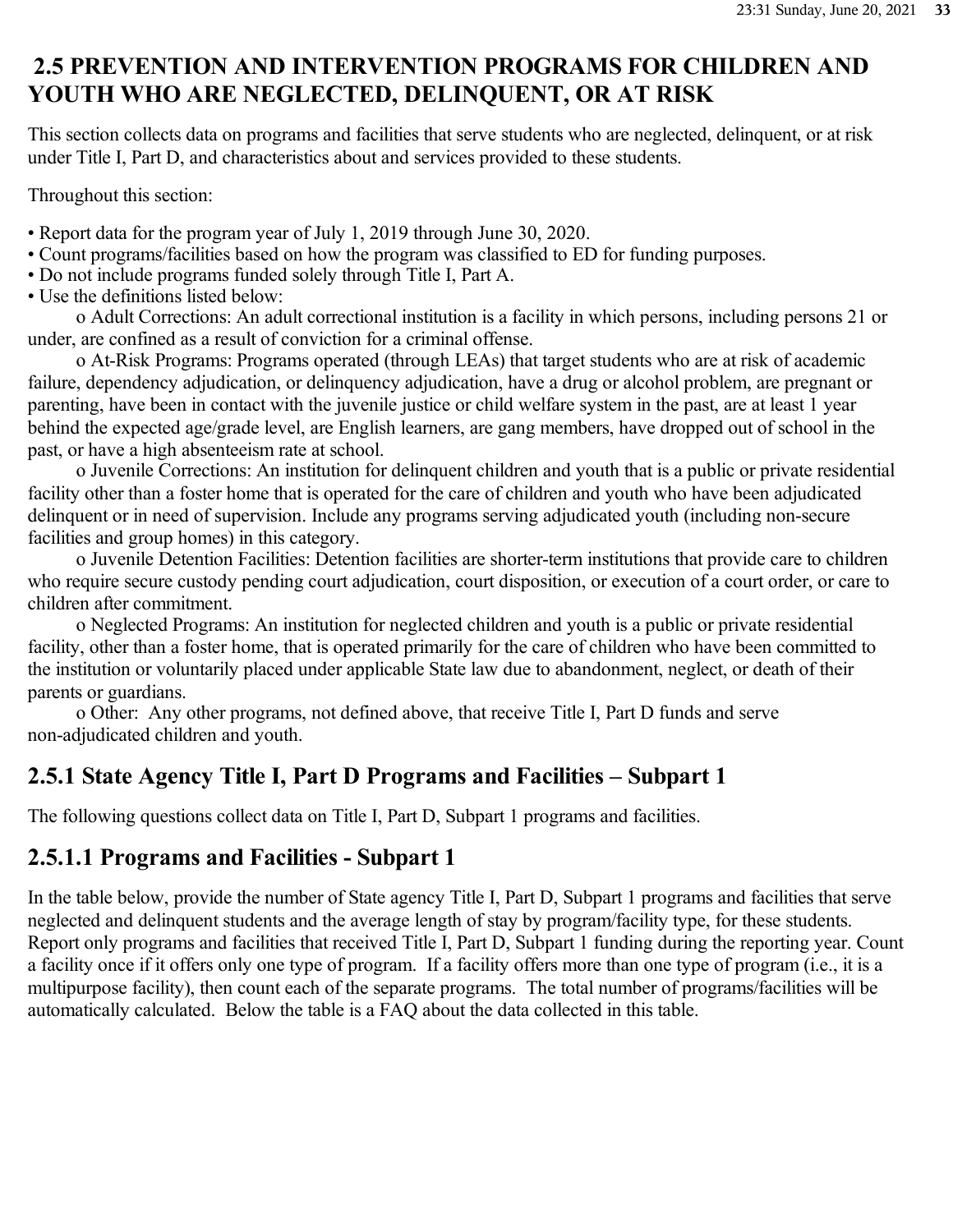## **2.5 PREVENTION AND INTERVENTION PROGRAMS FOR CHILDREN AND YOUTH WHO ARE NEGLECTED, DELINQUENT, OR AT RISK**

This section collects data on programs and facilities that serve students who are neglected, delinquent, or at risk under Title I, Part D, and characteristics about and services provided to these students.

Throughout this section:

- Report data for the program year of July 1, 2019 through June 30, 2020.
- Count programs/facilities based on how the program was classified to ED for funding purposes.
- Do not include programs funded solely through Title I, Part A.
- Use the definitions listed below:

 o Adult Corrections: An adult correctional institution is a facility in which persons, including persons 21 or under, are confined as a result of conviction for a criminal offense.

 o At-Risk Programs: Programs operated (through LEAs) that target students who are at risk of academic failure, dependency adjudication, or delinquency adjudication, have a drug or alcohol problem, are pregnant or parenting, have been in contact with the juvenile justice or child welfare system in the past, are at least 1 year behind the expected age/grade level, are English learners, are gang members, have dropped out of school in the past, or have a high absenteeism rate at school.

 o Juvenile Corrections: An institution for delinquent children and youth that is a public or private residential facility other than a foster home that is operated for the care of children and youth who have been adjudicated delinquent or in need of supervision. Include any programs serving adjudicated youth (including non-secure facilities and group homes) in this category.

 o Juvenile Detention Facilities: Detention facilities are shorter-term institutions that provide care to children who require secure custody pending court adjudication, court disposition, or execution of a court order, or care to children after commitment.

 o Neglected Programs: An institution for neglected children and youth is a public or private residential facility, other than a foster home, that is operated primarily for the care of children who have been committed to the institution or voluntarily placed under applicable State law due to abandonment, neglect, or death of their parents or guardians.

 o Other: Any other programs, not defined above, that receive Title I, Part D funds and serve non-adjudicated children and youth.

### **2.5.1 State Agency Title I, Part D Programs and Facilities – Subpart 1**

The following questions collect data on Title I, Part D, Subpart 1 programs and facilities.

### **2.5.1.1 Programs and Facilities - Subpart 1**

In the table below, provide the number of State agency Title I, Part D, Subpart 1 programs and facilities that serve neglected and delinquent students and the average length of stay by program/facility type, for these students. Report only programs and facilities that received Title I, Part D, Subpart 1 funding during the reporting year. Count a facility once if it offers only one type of program. If a facility offers more than one type of program (i.e., it is a multipurpose facility), then count each of the separate programs. The total number of programs/facilities will be automatically calculated. Below the table is a FAQ about the data collected in this table.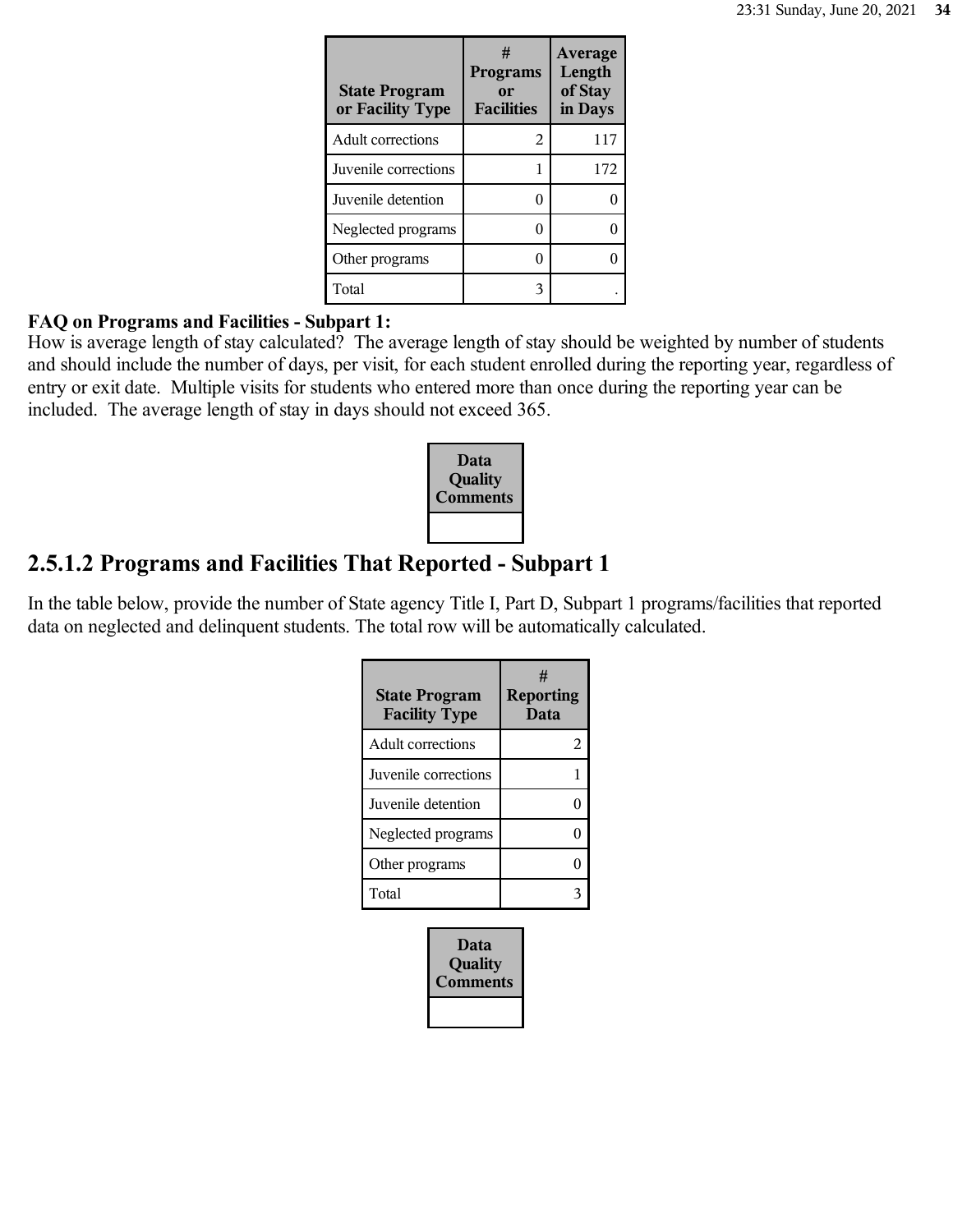| <b>State Program</b><br>or Facility Type | #<br><b>Programs</b><br>or<br><b>Facilities</b> | <b>Average</b><br>Length<br>of Stay<br>in Days |
|------------------------------------------|-------------------------------------------------|------------------------------------------------|
| <b>Adult corrections</b>                 | 2                                               | 117                                            |
| Juvenile corrections                     |                                                 | 172                                            |
| Juvenile detention                       |                                                 |                                                |
| Neglected programs                       |                                                 |                                                |
| Other programs                           |                                                 |                                                |
| Total                                    | 3                                               |                                                |

#### **FAQ on Programs and Facilities - Subpart 1:**

How is average length of stay calculated? The average length of stay should be weighted by number of students and should include the number of days, per visit, for each student enrolled during the reporting year, regardless of entry or exit date. Multiple visits for students who entered more than once during the reporting year can be included. The average length of stay in days should not exceed 365.



### **2.5.1.2 Programs and Facilities That Reported - Subpart 1**

In the table below, provide the number of State agency Title I, Part D, Subpart 1 programs/facilities that reported data on neglected and delinquent students. The total row will be automatically calculated.

| <b>State Program</b><br><b>Facility Type</b> | #<br><b>Reporting</b><br>Data |
|----------------------------------------------|-------------------------------|
| <b>Adult corrections</b>                     | 2                             |
| Juvenile corrections                         |                               |
| Juvenile detention                           |                               |
| Neglected programs                           |                               |
| Other programs                               |                               |
| Total                                        |                               |

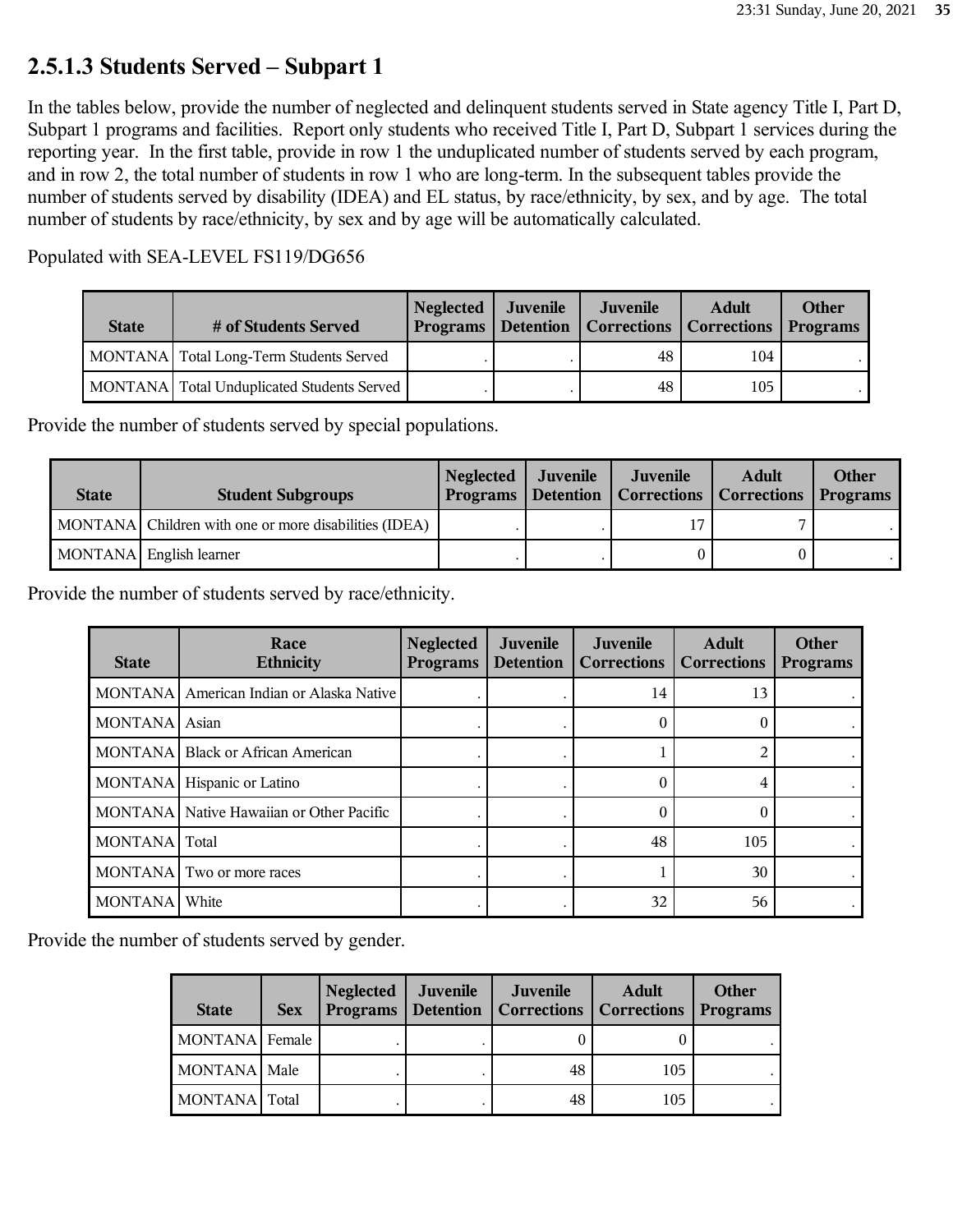### **2.5.1.3 Students Served – Subpart 1**

In the tables below, provide the number of neglected and delinquent students served in State agency Title I, Part D, Subpart 1 programs and facilities. Report only students who received Title I, Part D, Subpart 1 services during the reporting year. In the first table, provide in row 1 the unduplicated number of students served by each program, and in row 2, the total number of students in row 1 who are long-term. In the subsequent tables provide the number of students served by disability (IDEA) and EL status, by race/ethnicity, by sex, and by age. The total number of students by race/ethnicity, by sex and by age will be automatically calculated.

Populated with SEA-LEVEL FS119/DG656

| <b>State</b> | # of Students Served                         | Neglected Juvenile | Juvenile<br>Programs   Detention   Corrections   Corrections   Programs | <b>Adult</b> | <b>Other</b> |
|--------------|----------------------------------------------|--------------------|-------------------------------------------------------------------------|--------------|--------------|
|              | MONTANA   Total Long-Term Students Served    |                    | 48                                                                      | 104          |              |
|              | MONTANA   Total Unduplicated Students Served |                    | 48                                                                      | 105          |              |

Provide the number of students served by special populations.

| <b>State</b> | <b>Student Subgroups</b>                              | <b>Neglected</b> | Juvenile | Juvenile<br>Programs   Detention   Corrections   Corrections   Programs | <b>Adult</b> | <b>Other</b> |
|--------------|-------------------------------------------------------|------------------|----------|-------------------------------------------------------------------------|--------------|--------------|
|              | MONTANA Children with one or more disabilities (IDEA) |                  |          |                                                                         | ⇁            |              |
|              | MONTANA English learner                               |                  |          |                                                                         |              |              |

Provide the number of students served by race/ethnicity.

| <b>State</b>   | Race<br><b>Ethnicity</b>                 | <b>Neglected</b><br><b>Programs</b> | <b>Juvenile</b><br><b>Detention</b> | Juvenile<br><b>Corrections</b> | <b>Adult</b><br><b>Corrections</b> | <b>Other</b><br><b>Programs</b> |
|----------------|------------------------------------------|-------------------------------------|-------------------------------------|--------------------------------|------------------------------------|---------------------------------|
| <b>MONTANA</b> | American Indian or Alaska Native         |                                     |                                     | 14                             | 13                                 |                                 |
| <b>MONTANA</b> | Asian                                    |                                     |                                     | 0                              | 0                                  |                                 |
| MONTANA        | <b>Black or African American</b>         |                                     |                                     |                                | $\mathfrak{D}_{1}$                 |                                 |
| <b>MONTANA</b> | Hispanic or Latino                       |                                     |                                     |                                | 4                                  |                                 |
|                | MONTANA Native Hawaiian or Other Pacific |                                     |                                     |                                |                                    |                                 |
| MONTANA Total  |                                          |                                     |                                     | 48                             | 105                                |                                 |
| <b>MONTANA</b> | Two or more races                        |                                     |                                     |                                | 30                                 |                                 |
| <b>MONTANA</b> | White                                    |                                     |                                     | 32                             | 56                                 |                                 |

Provide the number of students served by gender.

| <b>State</b>   | <b>Sex</b> | <b>Neglected</b> | Juvenile | Juvenile<br><b>Programs   Detention   Corrections   Corrections</b> | <b>Adult</b> | Other<br><b>Programs</b> |
|----------------|------------|------------------|----------|---------------------------------------------------------------------|--------------|--------------------------|
| MONTANA Female |            |                  |          |                                                                     |              |                          |
| MONTANA Male   |            |                  |          | 48                                                                  | 105          |                          |
| MONTANA Total  |            |                  |          | 48                                                                  | 105          |                          |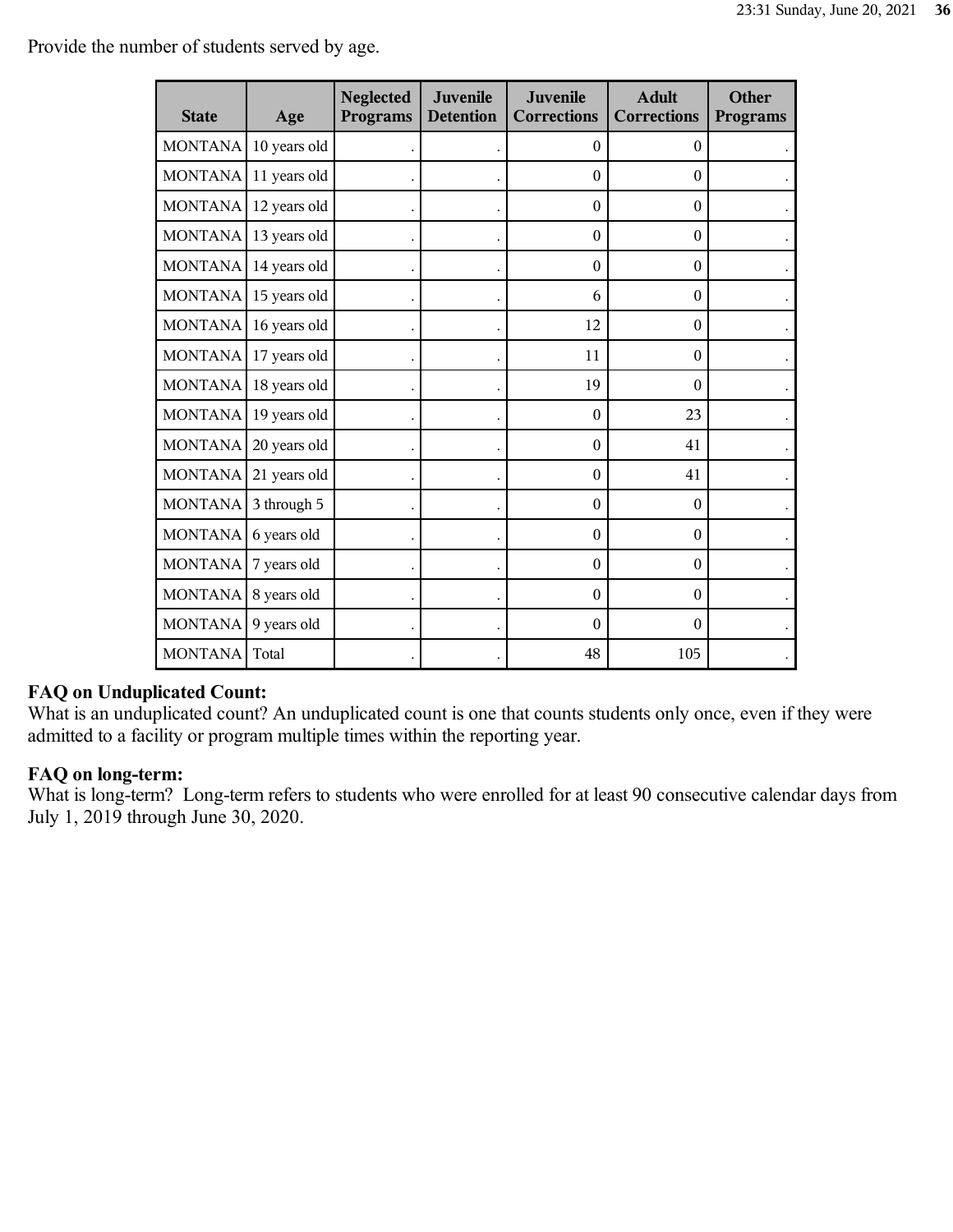Provide the number of students served by age.

| <b>State</b>   | Age          | <b>Neglected</b><br><b>Programs</b> | <b>Juvenile</b><br><b>Detention</b> | Juvenile<br><b>Corrections</b> | <b>Adult</b><br><b>Corrections</b> | <b>Other</b><br><b>Programs</b> |
|----------------|--------------|-------------------------------------|-------------------------------------|--------------------------------|------------------------------------|---------------------------------|
| <b>MONTANA</b> | 10 years old |                                     |                                     | $\theta$                       | $\Omega$                           |                                 |
| <b>MONTANA</b> | 11 years old |                                     |                                     | $\theta$                       | $\theta$                           |                                 |
| <b>MONTANA</b> | 12 years old |                                     |                                     | $\mathbf{0}$                   | $\mathbf{0}$                       |                                 |
| <b>MONTANA</b> | 13 years old |                                     |                                     | $\theta$                       | $\theta$                           |                                 |
| <b>MONTANA</b> | 14 years old |                                     |                                     | $\boldsymbol{0}$               | $\boldsymbol{0}$                   |                                 |
| <b>MONTANA</b> | 15 years old |                                     |                                     | 6                              | $\Omega$                           |                                 |
| <b>MONTANA</b> | 16 years old |                                     |                                     | 12                             | $\theta$                           |                                 |
| <b>MONTANA</b> | 17 years old |                                     |                                     | 11                             | $\Omega$                           |                                 |
| <b>MONTANA</b> | 18 years old |                                     |                                     | 19                             | $\Omega$                           |                                 |
| <b>MONTANA</b> | 19 years old |                                     |                                     | $\theta$                       | 23                                 |                                 |
| <b>MONTANA</b> | 20 years old |                                     |                                     | $\theta$                       | 41                                 |                                 |
| <b>MONTANA</b> | 21 years old |                                     |                                     | $\theta$                       | 41                                 |                                 |
| <b>MONTANA</b> | 3 through 5  |                                     |                                     | $\boldsymbol{0}$               | $\theta$                           |                                 |
| <b>MONTANA</b> | 6 years old  |                                     |                                     | $\boldsymbol{0}$               | $\boldsymbol{0}$                   |                                 |
| <b>MONTANA</b> | 7 years old  |                                     |                                     | $\theta$                       | $\Omega$                           |                                 |
| <b>MONTANA</b> | 8 years old  |                                     |                                     | $\theta$                       | $\theta$                           |                                 |
| <b>MONTANA</b> | 9 years old  |                                     |                                     | $\Omega$                       | $\Omega$                           |                                 |
| MONTANA        | Total        |                                     |                                     | 48                             | 105                                |                                 |

### **FAQ on Unduplicated Count:**

What is an unduplicated count? An unduplicated count is one that counts students only once, even if they were admitted to a facility or program multiple times within the reporting year.

### **FAQ on long-term:**

What is long-term? Long-term refers to students who were enrolled for at least 90 consecutive calendar days from July 1, 2019 through June 30, 2020.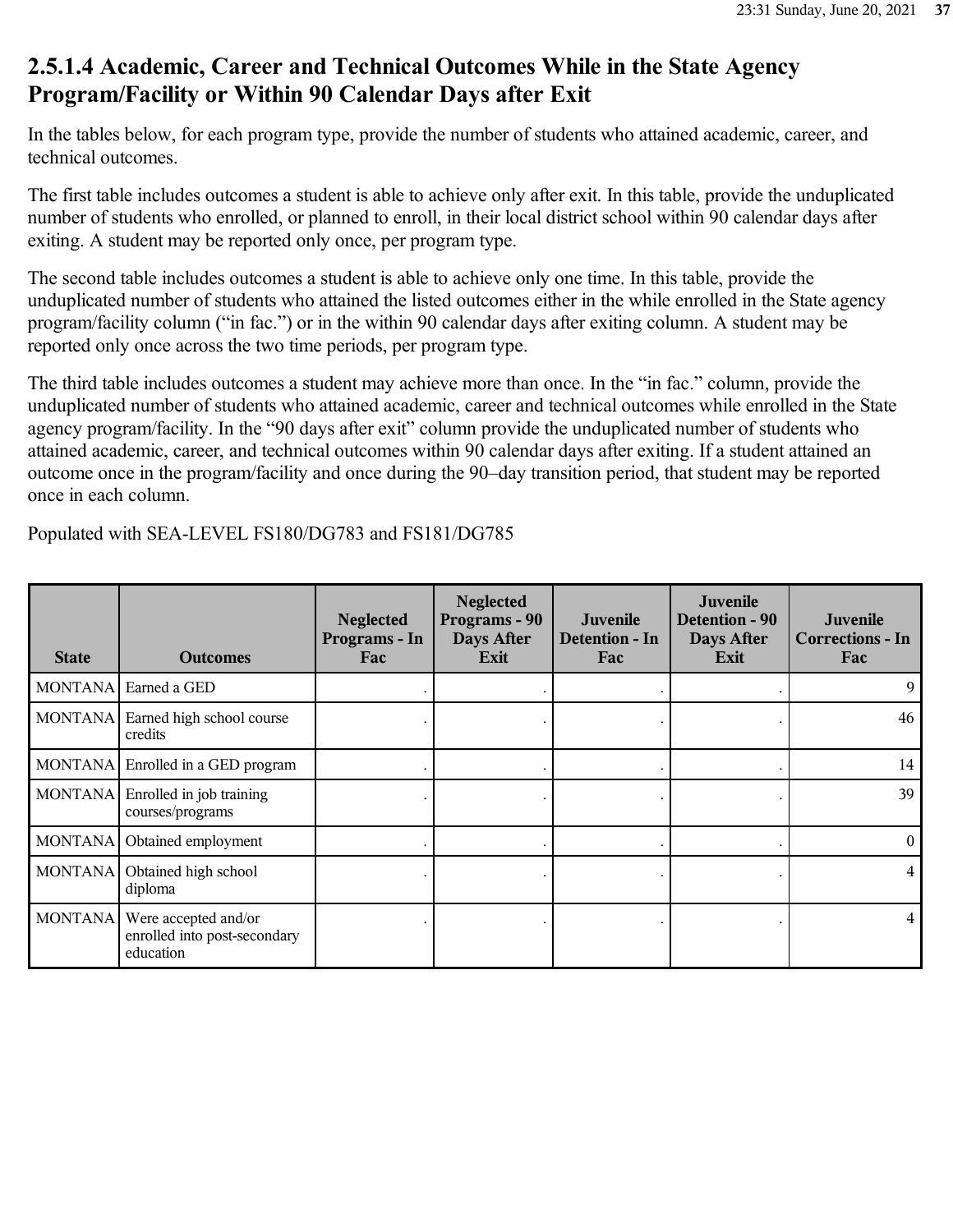### **2.5.1.4 Academic, Career and Technical Outcomes While in the State Agency Program/Facility or Within 90 Calendar Days after Exit**

In the tables below, for each program type, provide the number of students who attained academic, career, and technical outcomes.

The first table includes outcomes a student is able to achieve only after exit. In this table, provide the unduplicated number of students who enrolled, or planned to enroll, in their local district school within 90 calendar days after exiting. A student may be reported only once, per program type.

The second table includes outcomes a student is able to achieve only one time. In this table, provide the unduplicated number of students who attained the listed outcomes either in the while enrolled in the State agency program/facility column ("in fac.") or in the within 90 calendar days after exiting column. A student may be reported only once across the two time periods, per program type.

The third table includes outcomes a student may achieve more than once. In the "in fac." column, provide the unduplicated number of students who attained academic, career and technical outcomes while enrolled in the State agency program/facility. In the "90 days after exit" column provide the unduplicated number of students who attained academic, career, and technical outcomes within 90 calendar days after exiting. If a student attained an outcome once in the program/facility and once during the 90–day transition period, that student may be reported once in each column.

| <b>State</b> | <b>Outcomes</b>                                                             | <b>Neglected</b><br>Programs - In<br>Fac | <b>Neglected</b><br>Programs - 90<br>Days After<br>Exit | Juvenile<br>Detention - In<br>Fac | Juvenile<br>Detention - 90<br>Days After<br>Exit | <b>Juvenile</b><br><b>Corrections - In</b><br>Fac |
|--------------|-----------------------------------------------------------------------------|------------------------------------------|---------------------------------------------------------|-----------------------------------|--------------------------------------------------|---------------------------------------------------|
|              | MONTANA Earned a GED                                                        |                                          |                                                         |                                   |                                                  | 9                                                 |
|              | MONTANA Earned high school course<br>credits                                |                                          |                                                         |                                   |                                                  | 46                                                |
|              | MONTANA Enrolled in a GED program                                           |                                          |                                                         |                                   |                                                  | 14                                                |
| MONTANA      | Enrolled in job training<br>courses/programs                                |                                          |                                                         |                                   |                                                  | 39                                                |
|              | MONTANA   Obtained employment                                               |                                          |                                                         |                                   |                                                  | $\theta$                                          |
| MONTANA      | Obtained high school<br>diploma                                             |                                          |                                                         |                                   |                                                  | $\overline{4}$                                    |
|              | MONTANA   Were accepted and/or<br>enrolled into post-secondary<br>education |                                          |                                                         |                                   |                                                  | $\overline{4}$                                    |

Populated with SEA-LEVEL FS180/DG783 and FS181/DG785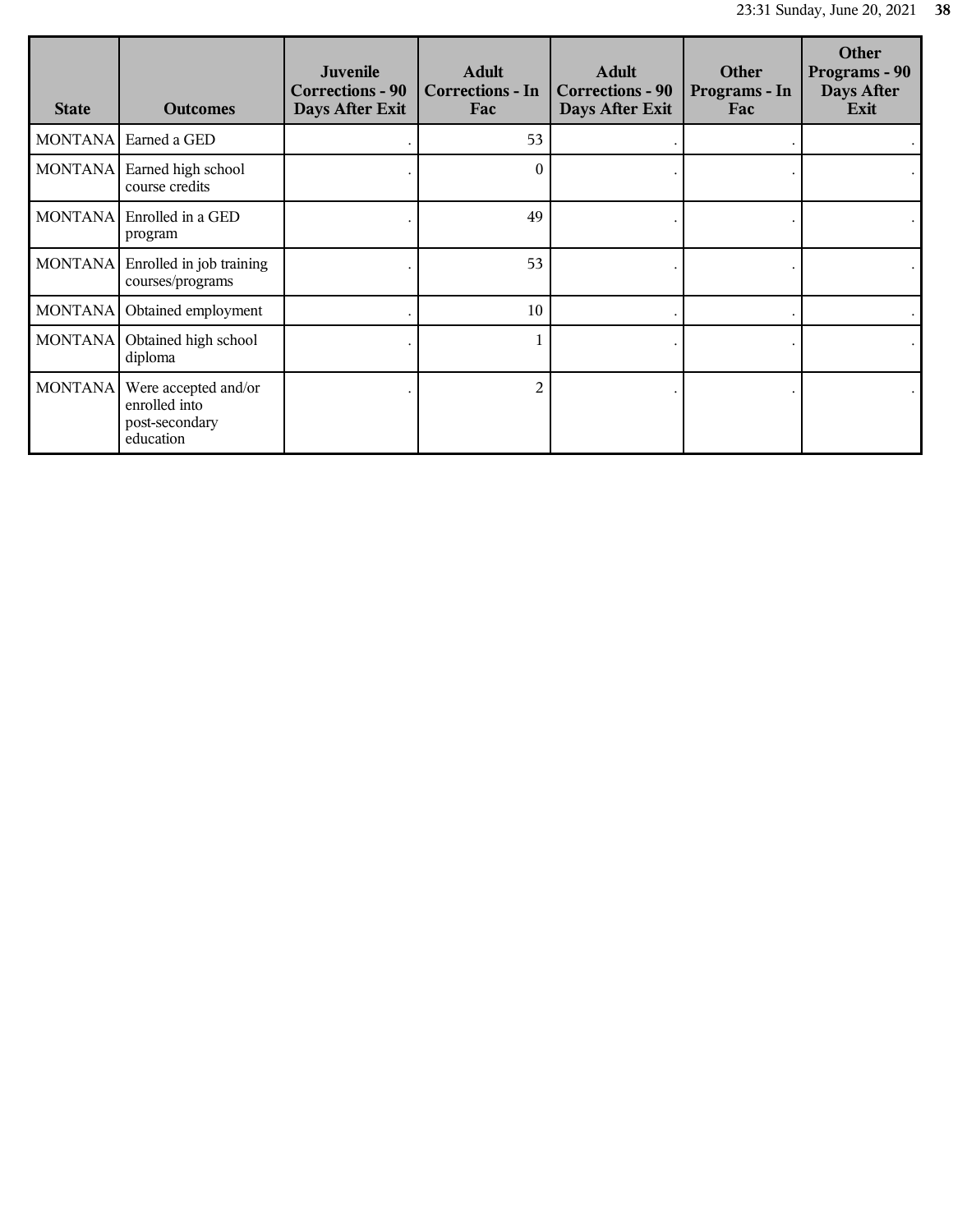| <b>State</b> | <b>Outcomes</b>                                                      | <b>Juvenile</b><br><b>Corrections - 90</b><br>Days After Exit | <b>Adult</b><br><b>Corrections - In</b><br>Fac | <b>Adult</b><br><b>Corrections - 90</b><br>Days After Exit | <b>Other</b><br>Programs - In<br>Fac | <b>Other</b><br>Programs - 90<br>Days After<br>Exit |
|--------------|----------------------------------------------------------------------|---------------------------------------------------------------|------------------------------------------------|------------------------------------------------------------|--------------------------------------|-----------------------------------------------------|
|              | MONTANA   Earned a GED                                               |                                                               | 53                                             |                                                            |                                      |                                                     |
|              | MONTANA   Earned high school<br>course credits                       |                                                               | $\theta$                                       |                                                            |                                      |                                                     |
| MONTANA      | Enrolled in a GED<br>program                                         |                                                               | 49                                             |                                                            |                                      |                                                     |
|              | MONTANA Enrolled in job training<br>courses/programs                 |                                                               | 53                                             |                                                            |                                      |                                                     |
|              | MONTANA   Obtained employment                                        |                                                               | 10                                             |                                                            |                                      |                                                     |
|              | MONTANA   Obtained high school<br>diploma                            |                                                               |                                                |                                                            |                                      |                                                     |
| MONTANA      | Were accepted and/or<br>enrolled into<br>post-secondary<br>education |                                                               | $\overline{2}$                                 |                                                            |                                      |                                                     |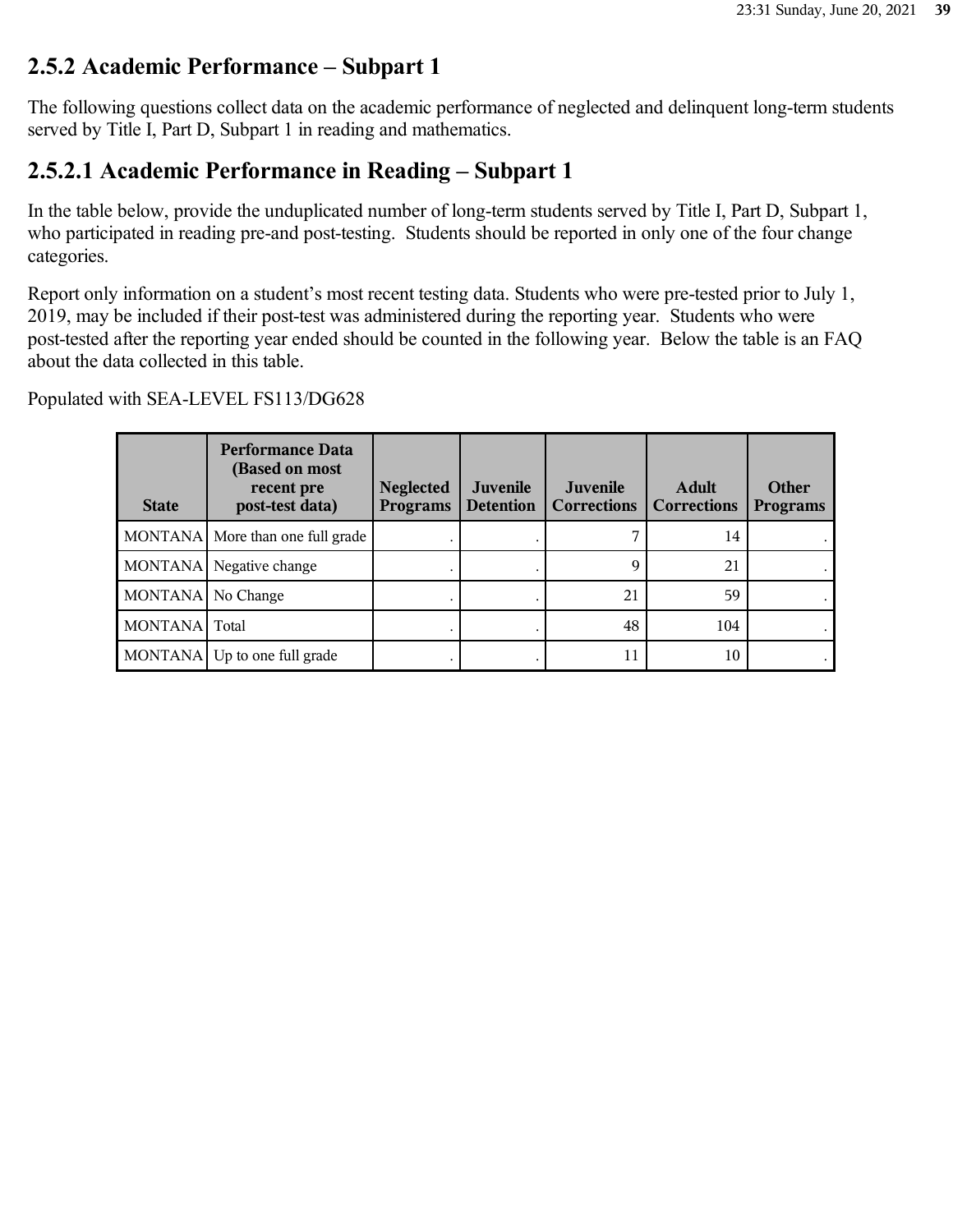### **2.5.2 Academic Performance – Subpart 1**

The following questions collect data on the academic performance of neglected and delinquent long-term students served by Title I, Part D, Subpart 1 in reading and mathematics.

### **2.5.2.1 Academic Performance in Reading – Subpart 1**

In the table below, provide the unduplicated number of long-term students served by Title I, Part D, Subpart 1, who participated in reading pre-and post-testing. Students should be reported in only one of the four change categories.

Report only information on a student's most recent testing data. Students who were pre-tested prior to July 1, 2019, may be included if their post-test was administered during the reporting year. Students who were post-tested after the reporting year ended should be counted in the following year. Below the table is an FAQ about the data collected in this table.

| <b>State</b>      | <b>Performance Data</b><br>(Based on most<br>recent pre<br>post-test data) | <b>Neglected</b><br><b>Programs</b> | <b>Juvenile</b><br><b>Detention</b> | <b>Juvenile</b><br><b>Corrections</b> | <b>Adult</b><br><b>Corrections</b> | <b>Other</b><br><b>Programs</b> |
|-------------------|----------------------------------------------------------------------------|-------------------------------------|-------------------------------------|---------------------------------------|------------------------------------|---------------------------------|
|                   | MONTANA More than one full grade                                           |                                     |                                     |                                       | 14                                 |                                 |
|                   | MONTANA Negative change                                                    |                                     |                                     | 9                                     | 21                                 |                                 |
| MONTANA No Change |                                                                            |                                     |                                     | 21                                    | 59                                 |                                 |
| MONTANA Total     |                                                                            |                                     |                                     | 48                                    | 104                                |                                 |
|                   | MONTANA Up to one full grade                                               |                                     |                                     | 11                                    | 10                                 |                                 |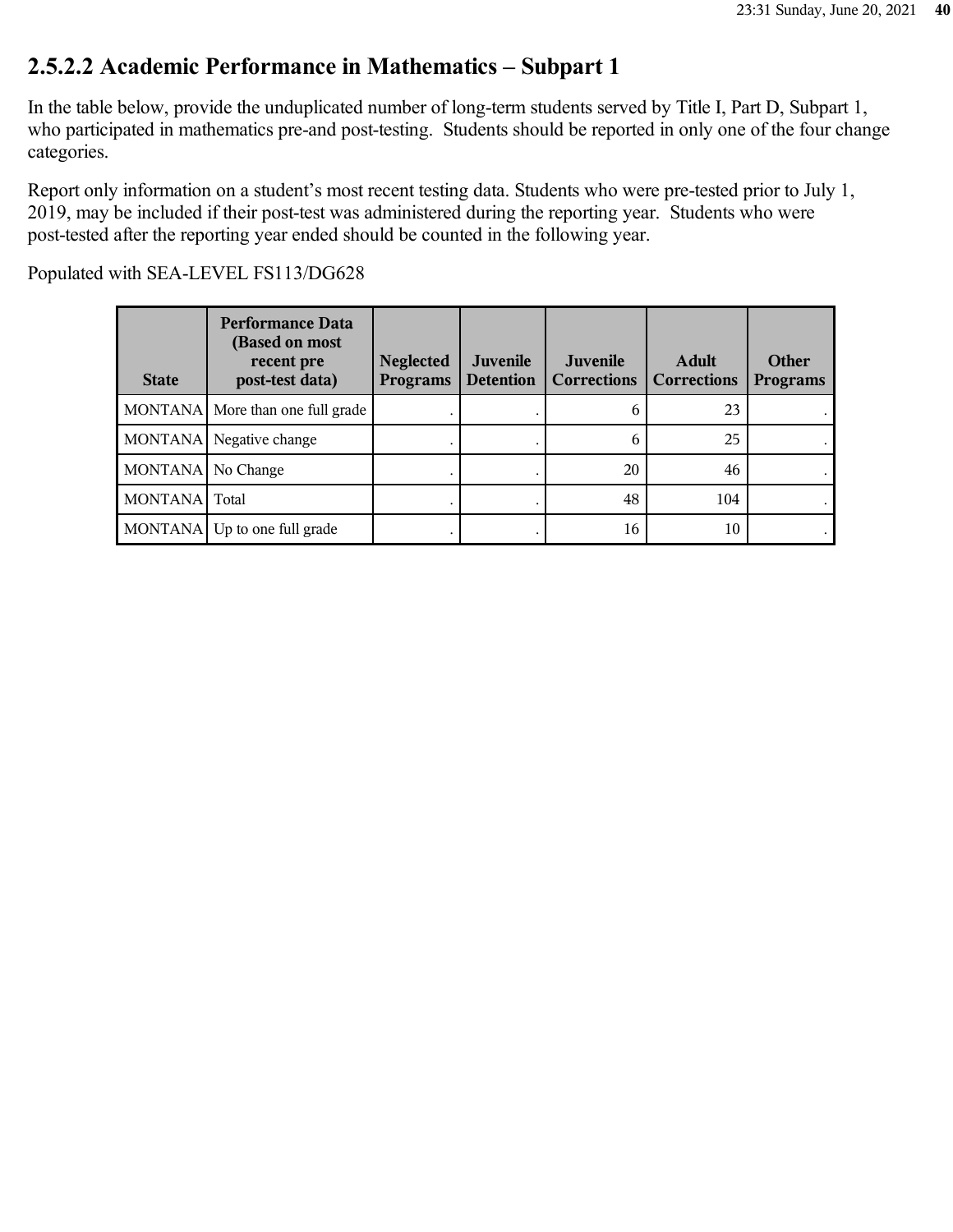### **2.5.2.2 Academic Performance in Mathematics – Subpart 1**

In the table below, provide the unduplicated number of long-term students served by Title I, Part D, Subpart 1, who participated in mathematics pre-and post-testing. Students should be reported in only one of the four change categories.

Report only information on a student's most recent testing data. Students who were pre-tested prior to July 1, 2019, may be included if their post-test was administered during the reporting year. Students who were post-tested after the reporting year ended should be counted in the following year.

| <b>State</b>        | <b>Performance Data</b><br>(Based on most<br>recent pre<br>post-test data) | <b>Neglected</b><br><b>Programs</b> | Juvenile<br><b>Detention</b> | Juvenile<br><b>Corrections</b> | <b>Adult</b><br><b>Corrections</b> | Other<br><b>Programs</b> |
|---------------------|----------------------------------------------------------------------------|-------------------------------------|------------------------------|--------------------------------|------------------------------------|--------------------------|
|                     | MONTANA More than one full grade                                           |                                     |                              | 0                              | 23                                 |                          |
|                     | MONTANA Negative change                                                    |                                     |                              | 6                              | 25                                 |                          |
| MONTANA   No Change |                                                                            |                                     |                              | 20                             | 46                                 |                          |
| MONTANA Total       |                                                                            |                                     |                              | 48                             | 104                                |                          |
|                     | MONTANA Up to one full grade                                               |                                     |                              | 16                             | 10                                 |                          |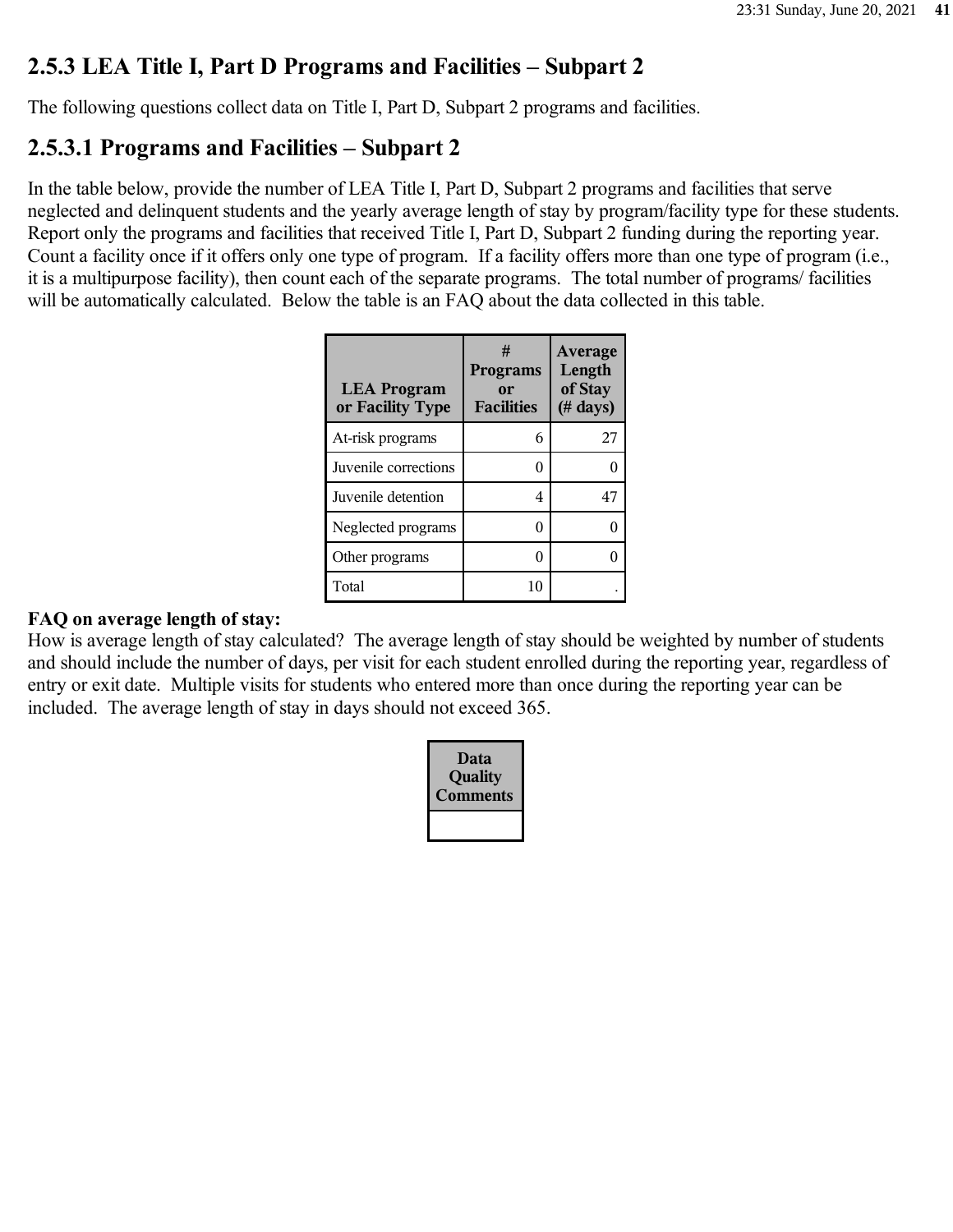### **2.5.3 LEA Title I, Part D Programs and Facilities – Subpart 2**

The following questions collect data on Title I, Part D, Subpart 2 programs and facilities.

### **2.5.3.1 Programs and Facilities – Subpart 2**

In the table below, provide the number of LEA Title I, Part D, Subpart 2 programs and facilities that serve neglected and delinquent students and the yearly average length of stay by program/facility type for these students. Report only the programs and facilities that received Title I, Part D, Subpart 2 funding during the reporting year. Count a facility once if it offers only one type of program. If a facility offers more than one type of program (i.e., it is a multipurpose facility), then count each of the separate programs. The total number of programs/ facilities will be automatically calculated. Below the table is an FAQ about the data collected in this table.

| <b>LEA Program</b><br>or Facility Type | #<br><b>Programs</b><br>or<br><b>Facilities</b> | Average<br>Length<br>of Stay<br>$($ # days $)$ |
|----------------------------------------|-------------------------------------------------|------------------------------------------------|
| At-risk programs                       | 6                                               | 27                                             |
| Juvenile corrections                   | 0                                               |                                                |
| Juvenile detention                     | 4                                               | 47                                             |
| Neglected programs                     | 0                                               |                                                |
| Other programs                         | 0                                               |                                                |
| Total                                  | 10                                              |                                                |

### **FAQ on average length of stay:**

How is average length of stay calculated? The average length of stay should be weighted by number of students and should include the number of days, per visit for each student enrolled during the reporting year, regardless of entry or exit date. Multiple visits for students who entered more than once during the reporting year can be included. The average length of stay in days should not exceed 365.

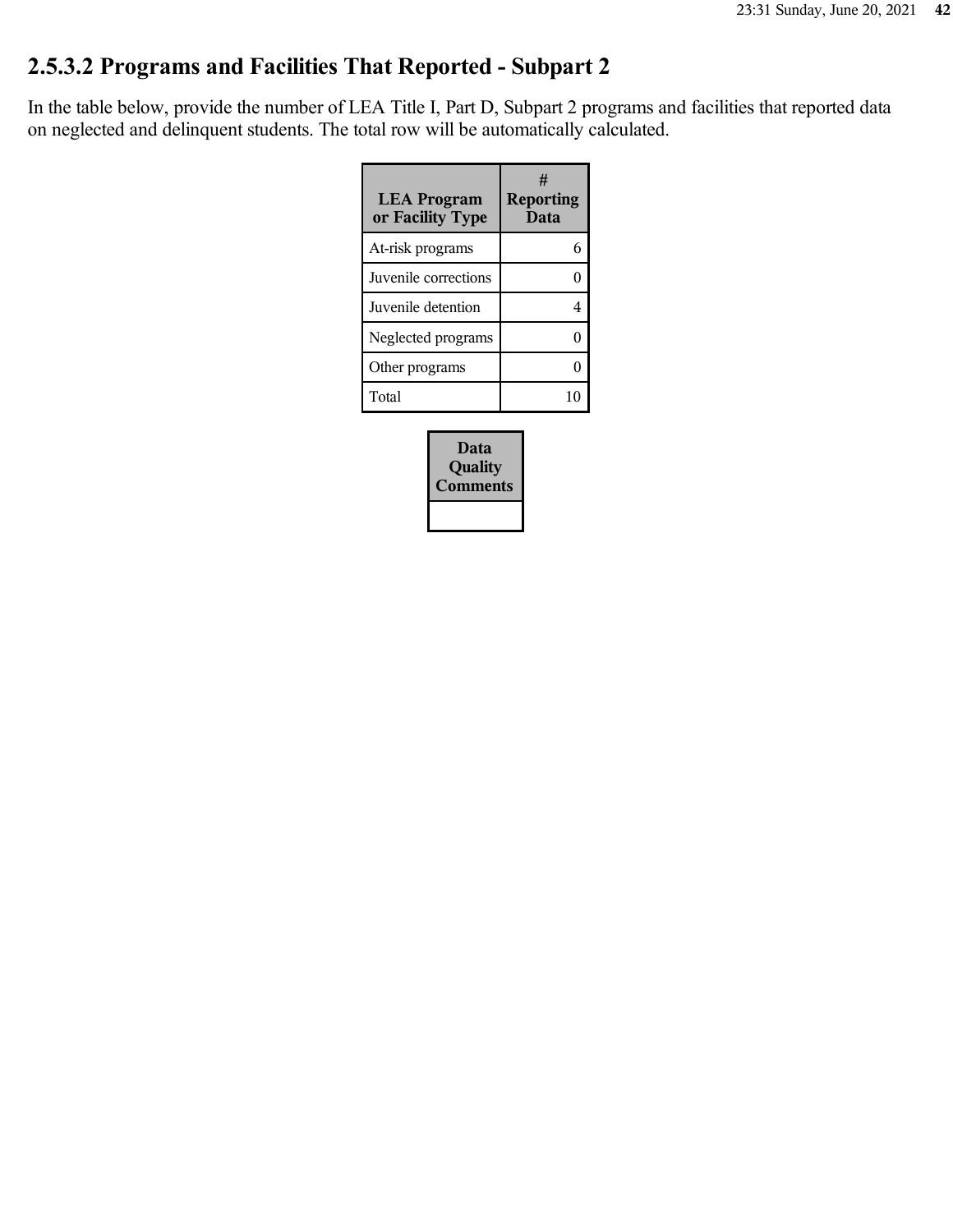# **2.5.3.2 Programs and Facilities That Reported - Subpart 2**

In the table below, provide the number of LEA Title I, Part D, Subpart 2 programs and facilities that reported data on neglected and delinquent students. The total row will be automatically calculated.

| <b>LEA Program</b><br>or Facility Type | #<br><b>Reporting</b><br>Data |
|----------------------------------------|-------------------------------|
| At-risk programs                       |                               |
| Juvenile corrections                   |                               |
| Juvenile detention                     | 4                             |
| Neglected programs                     |                               |
| Other programs                         |                               |
| Total                                  |                               |

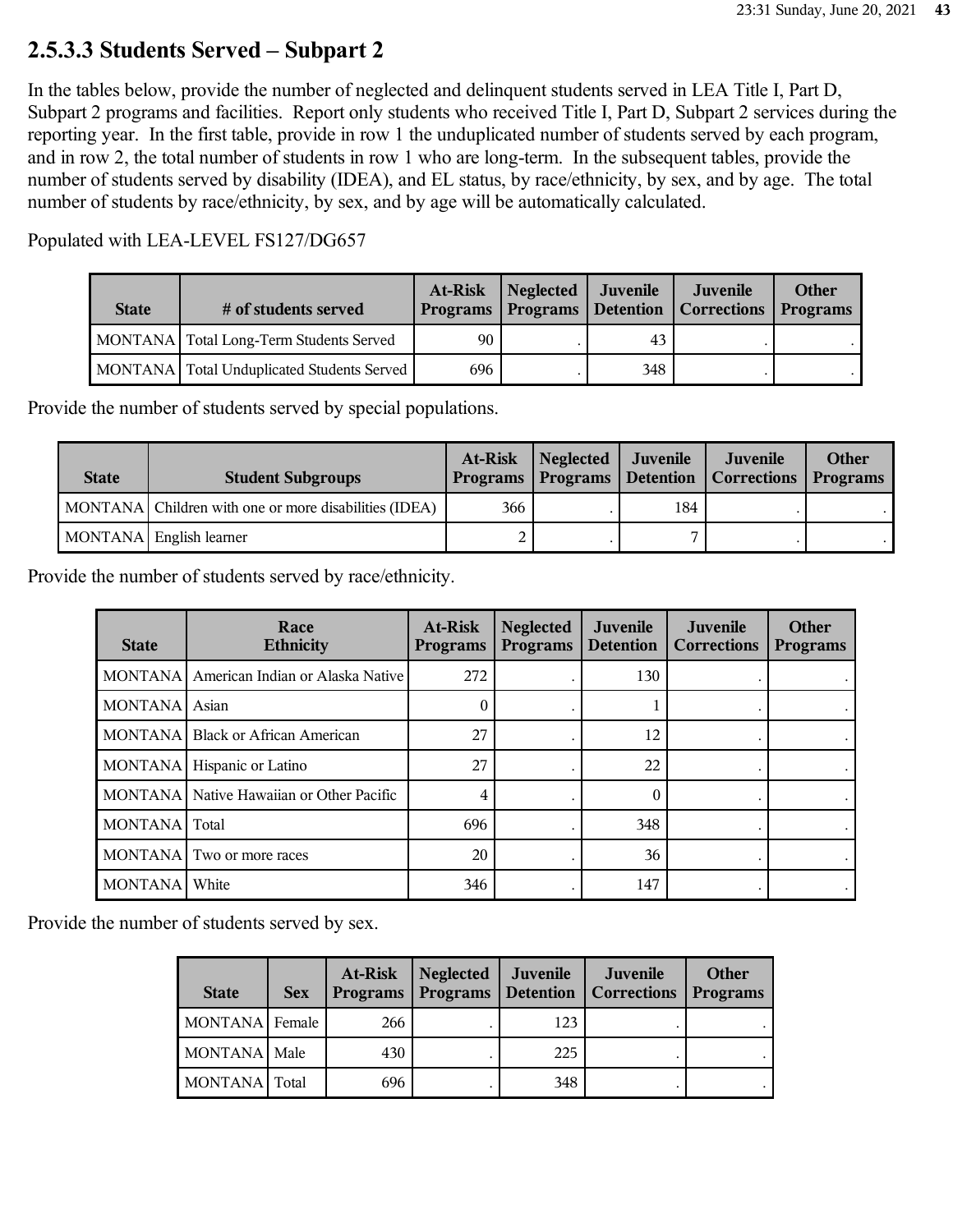### **2.5.3.3 Students Served – Subpart 2**

In the tables below, provide the number of neglected and delinquent students served in LEA Title I, Part D, Subpart 2 programs and facilities. Report only students who received Title I, Part D, Subpart 2 services during the reporting year. In the first table, provide in row 1 the unduplicated number of students served by each program, and in row 2, the total number of students in row 1 who are long-term. In the subsequent tables, provide the number of students served by disability (IDEA), and EL status, by race/ethnicity, by sex, and by age. The total number of students by race/ethnicity, by sex, and by age will be automatically calculated.

Populated with LEA-LEVEL FS127/DG657

| <b>State</b> | # of students served                         | At-Risk | Neglected Juvenile |     | Juvenile<br>Programs   Programs   Detention   Corrections   Programs | <b>Other</b> |
|--------------|----------------------------------------------|---------|--------------------|-----|----------------------------------------------------------------------|--------------|
|              | MONTANA   Total Long-Term Students Served    | 90      |                    | 43  |                                                                      |              |
|              | MONTANA   Total Unduplicated Students Served | 696     |                    | 348 |                                                                      |              |

Provide the number of students served by special populations.

| <b>State</b> | <b>Student Subgroups</b>                              | At-Risk | Neglected Juvenile |     | Juvenile<br>Programs   Programs   Detention   Corrections   Programs | <b>Other</b> |
|--------------|-------------------------------------------------------|---------|--------------------|-----|----------------------------------------------------------------------|--------------|
|              | MONTANA Children with one or more disabilities (IDEA) | 366     |                    | 184 |                                                                      |              |
|              | MONTANA English learner                               |         |                    |     |                                                                      |              |

Provide the number of students served by race/ethnicity.

| <b>State</b>   | Race<br><b>Ethnicity</b>                 | At-Risk<br><b>Programs</b> | <b>Neglected</b><br><b>Programs</b> | <b>Juvenile</b><br><b>Detention</b> | Juvenile<br><b>Corrections</b> | <b>Other</b><br><b>Programs</b> |
|----------------|------------------------------------------|----------------------------|-------------------------------------|-------------------------------------|--------------------------------|---------------------------------|
| <b>MONTANA</b> | American Indian or Alaska Native         | 272                        |                                     | 130                                 |                                |                                 |
| <b>MONTANA</b> | Asian                                    | 0                          |                                     |                                     |                                |                                 |
| <b>MONTANA</b> | <b>Black or African American</b>         | 27                         |                                     | 12                                  |                                |                                 |
| MONTANA        | Hispanic or Latino                       | 27                         |                                     | 22                                  |                                |                                 |
|                | MONTANA Native Hawaiian or Other Pacific | 4                          |                                     | 0                                   |                                |                                 |
| MONTANA Total  |                                          | 696                        |                                     | 348                                 |                                |                                 |
|                | MONTANA Two or more races                | 20                         |                                     | 36                                  |                                |                                 |
| <b>MONTANA</b> | White                                    | 346                        |                                     | 147                                 |                                |                                 |

Provide the number of students served by sex.

| <b>State</b>   | <b>Sex</b> | At-Risk<br><b>Programs</b> | <b>Neglected</b><br><b>Programs</b> Detention | Juvenile | <b>Juvenile</b><br><b>Corrections</b> | <b>Other</b><br><b>Programs</b> |
|----------------|------------|----------------------------|-----------------------------------------------|----------|---------------------------------------|---------------------------------|
| MONTANA Female |            | 266                        |                                               | 123      |                                       |                                 |
| MONTANA Male   |            | 430                        |                                               | 225      |                                       |                                 |
| MONTANA Total  |            | 696                        |                                               | 348      |                                       |                                 |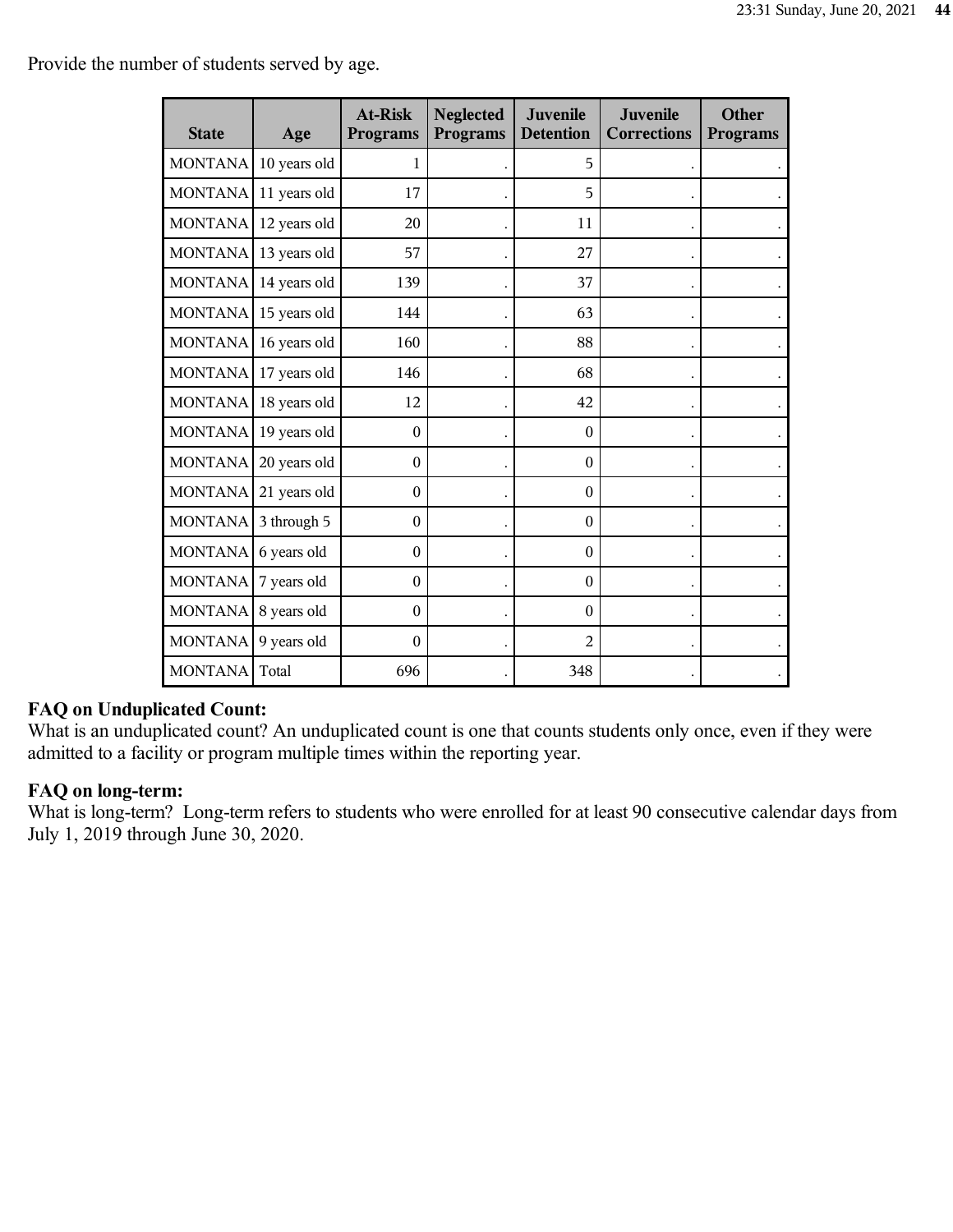Provide the number of students served by age.

| <b>State</b>   | Age          | <b>At-Risk</b><br><b>Programs</b> | <b>Neglected</b><br><b>Programs</b> | Juvenile<br><b>Detention</b> | Juvenile<br><b>Corrections</b> | <b>Other</b><br><b>Programs</b> |
|----------------|--------------|-----------------------------------|-------------------------------------|------------------------------|--------------------------------|---------------------------------|
| <b>MONTANA</b> | 10 years old | 1                                 |                                     | 5                            |                                |                                 |
| <b>MONTANA</b> | 11 years old | 17                                |                                     | 5                            |                                |                                 |
| <b>MONTANA</b> | 12 years old | 20                                |                                     | 11                           |                                |                                 |
| <b>MONTANA</b> | 13 years old | 57                                |                                     | 27                           |                                |                                 |
| <b>MONTANA</b> | 14 years old | 139                               |                                     | 37                           |                                |                                 |
| <b>MONTANA</b> | 15 years old | 144                               |                                     | 63                           |                                |                                 |
| <b>MONTANA</b> | 16 years old | 160                               |                                     | 88                           |                                |                                 |
| <b>MONTANA</b> | 17 years old | 146                               |                                     | 68                           |                                |                                 |
| <b>MONTANA</b> | 18 years old | 12                                |                                     | 42                           |                                |                                 |
| <b>MONTANA</b> | 19 years old | $\mathbf{0}$                      |                                     | $\theta$                     |                                |                                 |
| <b>MONTANA</b> | 20 years old | $\Omega$                          |                                     | $\theta$                     |                                |                                 |
| <b>MONTANA</b> | 21 years old | $\mathbf{0}$                      |                                     | $\boldsymbol{0}$             |                                |                                 |
| <b>MONTANA</b> | 3 through 5  | $\mathbf{0}$                      |                                     | $\theta$                     |                                |                                 |
| MONTANA        | 6 years old  | $\mathbf{0}$                      |                                     | $\boldsymbol{0}$             |                                |                                 |
| <b>MONTANA</b> | 7 years old  | $\mathbf{0}$                      |                                     | $\boldsymbol{0}$             |                                |                                 |
| <b>MONTANA</b> | 8 years old  | $\boldsymbol{0}$                  |                                     | $\boldsymbol{0}$             |                                |                                 |
| <b>MONTANA</b> | 9 years old  | $\theta$                          |                                     | $\overline{2}$               |                                |                                 |
| <b>MONTANA</b> | Total        | 696                               |                                     | 348                          |                                |                                 |

### **FAQ on Unduplicated Count:**

What is an unduplicated count? An unduplicated count is one that counts students only once, even if they were admitted to a facility or program multiple times within the reporting year.

### **FAQ on long-term:**

What is long-term? Long-term refers to students who were enrolled for at least 90 consecutive calendar days from July 1, 2019 through June 30, 2020.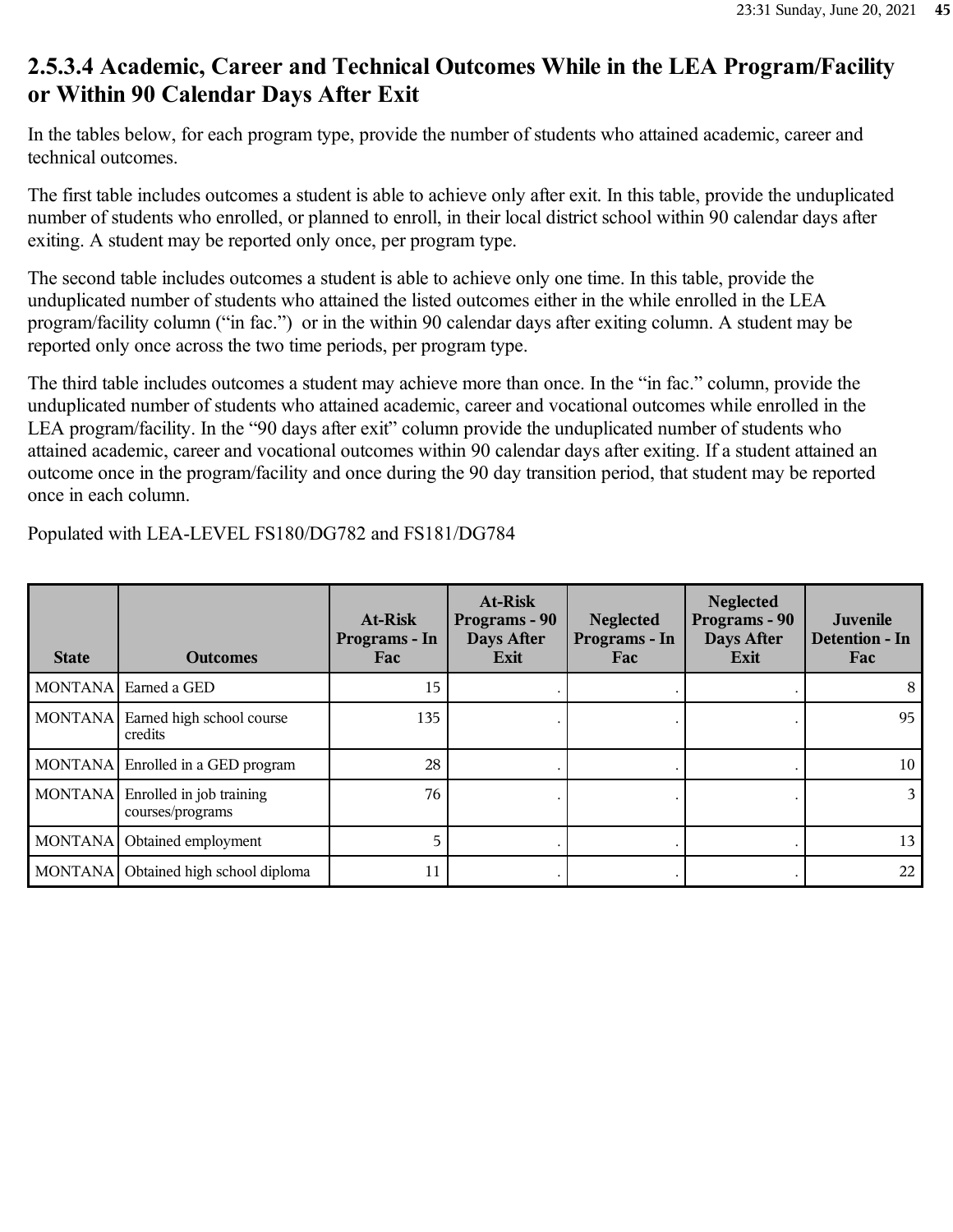### **2.5.3.4 Academic, Career and Technical Outcomes While in the LEA Program/Facility or Within 90 Calendar Days After Exit**

In the tables below, for each program type, provide the number of students who attained academic, career and technical outcomes.

The first table includes outcomes a student is able to achieve only after exit. In this table, provide the unduplicated number of students who enrolled, or planned to enroll, in their local district school within 90 calendar days after exiting. A student may be reported only once, per program type.

The second table includes outcomes a student is able to achieve only one time. In this table, provide the unduplicated number of students who attained the listed outcomes either in the while enrolled in the LEA program/facility column ("in fac.") or in the within 90 calendar days after exiting column. A student may be reported only once across the two time periods, per program type.

The third table includes outcomes a student may achieve more than once. In the "in fac." column, provide the unduplicated number of students who attained academic, career and vocational outcomes while enrolled in the LEA program/facility. In the "90 days after exit" column provide the unduplicated number of students who attained academic, career and vocational outcomes within 90 calendar days after exiting. If a student attained an outcome once in the program/facility and once during the 90 day transition period, that student may be reported once in each column.

**State Outcomes At-Risk Programs - In Fac At-Risk Programs - 90 Days After Exit Neglected Programs - In Fac Neglected Programs - 90 Days After Exit Juvenile Detention - In Fac** MONTANA Earned a GED 15 . . . 8 MONTANA Earned high school course credits 135 . . . 95 MONTANA Enrolled in a GED program 28 . . . 10 MONTANA Enrolled in job training courses/programs 76 . . . 3 MONTANA Obtained employment 13 MONTANA Obtained high school diploma  $\begin{vmatrix} 1 & 1 \\ 2 & 1 \end{vmatrix}$  .

Populated with LEA-LEVEL FS180/DG782 and FS181/DG784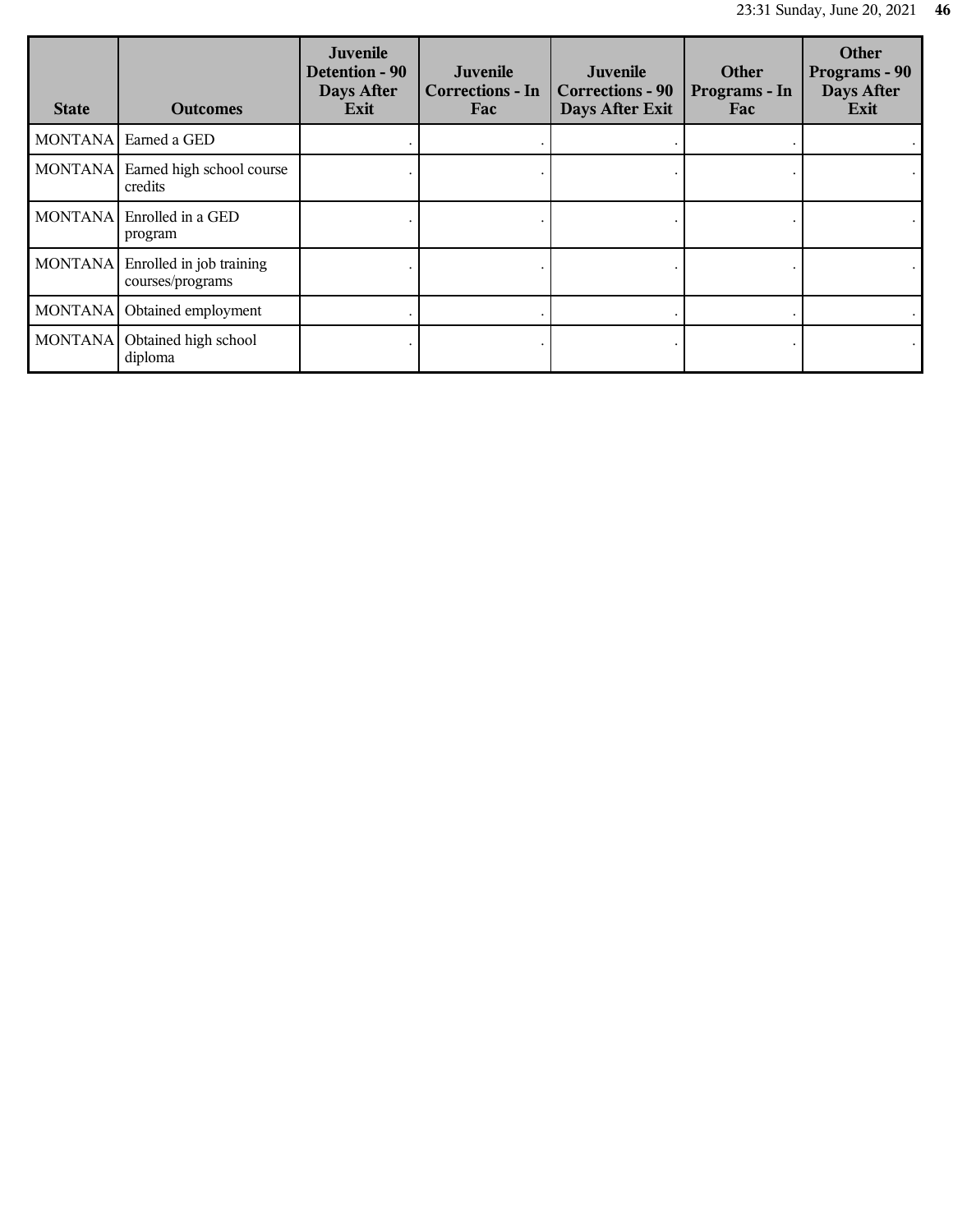| <b>State</b>   | <b>Outcomes</b>                              | Juvenile<br><b>Detention - 90</b><br>Days After<br>Exit | Juvenile<br><b>Corrections - In</b><br>Fac | Juvenile<br><b>Corrections - 90</b><br>Days After Exit | <b>Other</b><br>Programs - In<br>Fac | <b>Other</b><br>Programs - 90<br>Days After<br>Exit |
|----------------|----------------------------------------------|---------------------------------------------------------|--------------------------------------------|--------------------------------------------------------|--------------------------------------|-----------------------------------------------------|
|                | MONTANA Earned a GED                         |                                                         |                                            |                                                        |                                      |                                                     |
| MONTANA        | Earned high school course<br>credits         |                                                         |                                            |                                                        |                                      |                                                     |
| MONTANA        | Enrolled in a GED<br>program                 |                                                         |                                            |                                                        |                                      |                                                     |
| <b>MONTANA</b> | Enrolled in job training<br>courses/programs |                                                         |                                            |                                                        |                                      |                                                     |
| <b>MONTANA</b> | Obtained employment                          |                                                         |                                            |                                                        |                                      |                                                     |
| <b>MONTANA</b> | Obtained high school<br>diploma              |                                                         |                                            |                                                        |                                      |                                                     |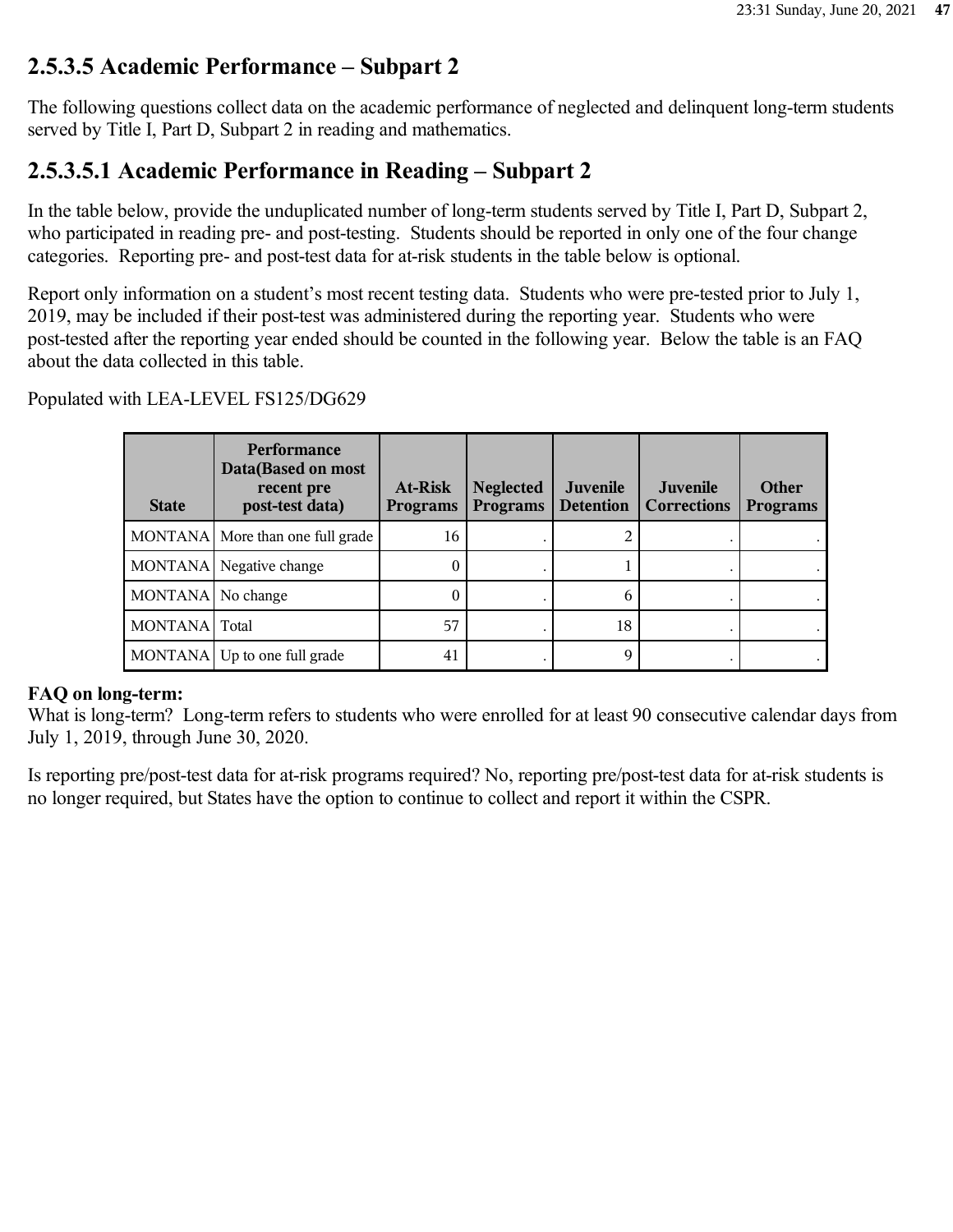### **2.5.3.5 Academic Performance – Subpart 2**

The following questions collect data on the academic performance of neglected and delinquent long-term students served by Title I, Part D, Subpart 2 in reading and mathematics.

### **2.5.3.5.1 Academic Performance in Reading – Subpart 2**

In the table below, provide the unduplicated number of long-term students served by Title I, Part D, Subpart 2, who participated in reading pre- and post-testing. Students should be reported in only one of the four change categories. Reporting pre- and post-test data for at-risk students in the table below is optional.

Report only information on a student's most recent testing data. Students who were pre-tested prior to July 1, 2019, may be included if their post-test was administered during the reporting year. Students who were post-tested after the reporting year ended should be counted in the following year. Below the table is an FAQ about the data collected in this table.

> **State Performance Data(Based on most recent pre post-test data) At-Risk Programs Neglected Programs Juvenile Detention Juvenile Corrections Other Programs** MONTANA More than one full grade  $\begin{vmatrix} 16 & 16 \end{vmatrix}$  . MONTANA Negative change  $\begin{array}{ccc} 0 & 0 & 1 \end{array}$  $MONTANA \vert No change$  0 . 6 MONTANA Total 18 MONTANA Up to one full grade  $\begin{array}{|c|c|c|c|c|c|} \hline 41 & . & . & . \hline \end{array}$

Populated with LEA-LEVEL FS125/DG629

#### **FAQ on long-term:**

What is long-term? Long-term refers to students who were enrolled for at least 90 consecutive calendar days from July 1, 2019, through June 30, 2020.

Is reporting pre/post-test data for at-risk programs required? No, reporting pre/post-test data for at-risk students is no longer required, but States have the option to continue to collect and report it within the CSPR.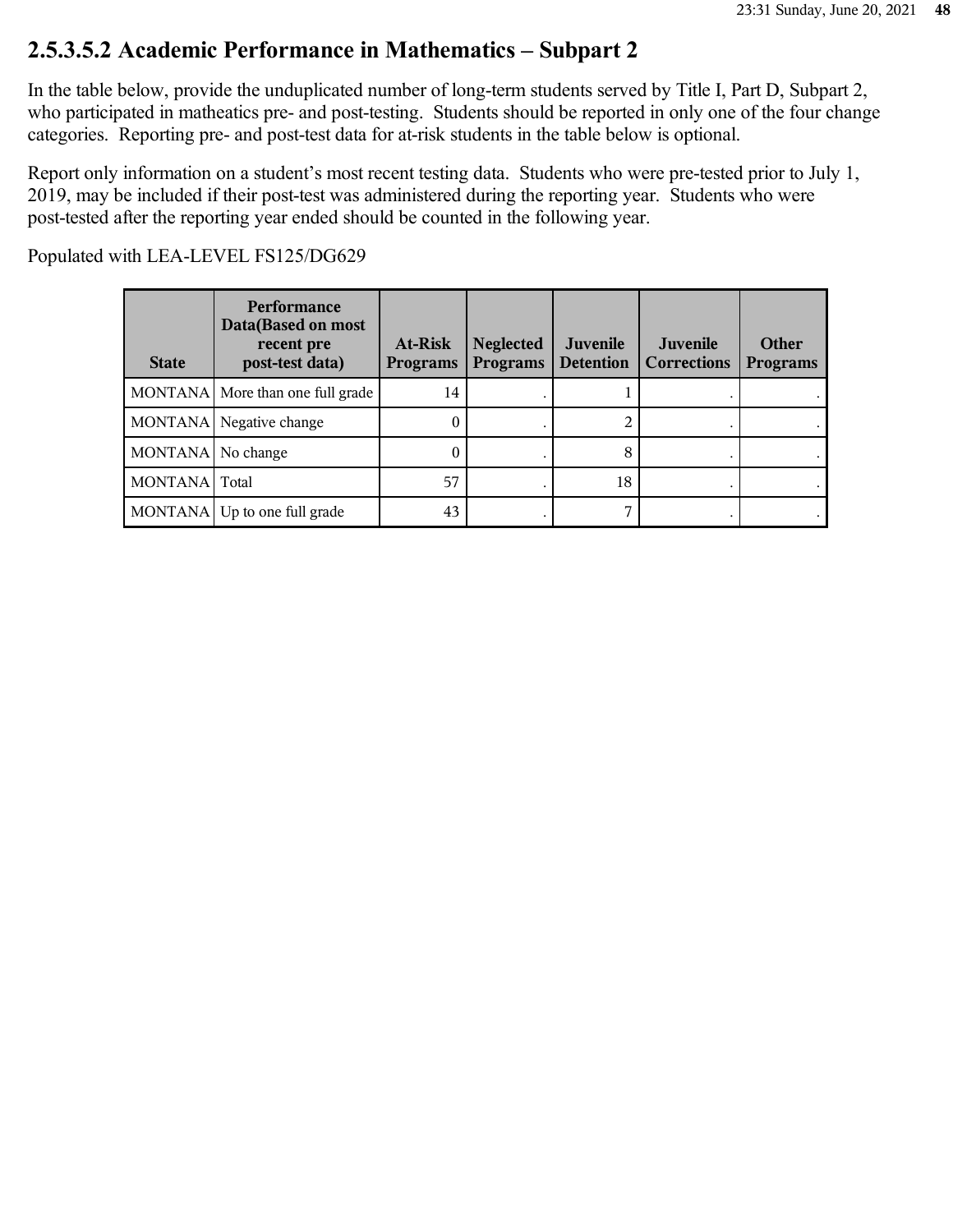### **2.5.3.5.2 Academic Performance in Mathematics – Subpart 2**

In the table below, provide the unduplicated number of long-term students served by Title I, Part D, Subpart 2, who participated in matheatics pre- and post-testing. Students should be reported in only one of the four change categories. Reporting pre- and post-test data for at-risk students in the table below is optional.

Report only information on a student's most recent testing data. Students who were pre-tested prior to July 1, 2019, may be included if their post-test was administered during the reporting year. Students who were post-tested after the reporting year ended should be counted in the following year.

| <b>State</b>  | <b>Performance</b><br>Data(Based on most<br>recent pre<br>post-test data) | At-Risk<br><b>Programs</b> | <b>Neglected</b><br><b>Programs</b> | <b>Juvenile</b><br><b>Detention</b> | Juvenile<br><b>Corrections</b> | Other<br><b>Programs</b> |
|---------------|---------------------------------------------------------------------------|----------------------------|-------------------------------------|-------------------------------------|--------------------------------|--------------------------|
|               | MONTANA More than one full grade                                          | 14                         |                                     |                                     |                                |                          |
|               | MONTANA Negative change                                                   |                            |                                     |                                     |                                |                          |
| MONTANA       | No change                                                                 |                            |                                     | 8                                   |                                |                          |
| MONTANA Total |                                                                           | 57                         |                                     | 18                                  |                                |                          |
|               | MONTANA Up to one full grade                                              | 43                         |                                     |                                     |                                |                          |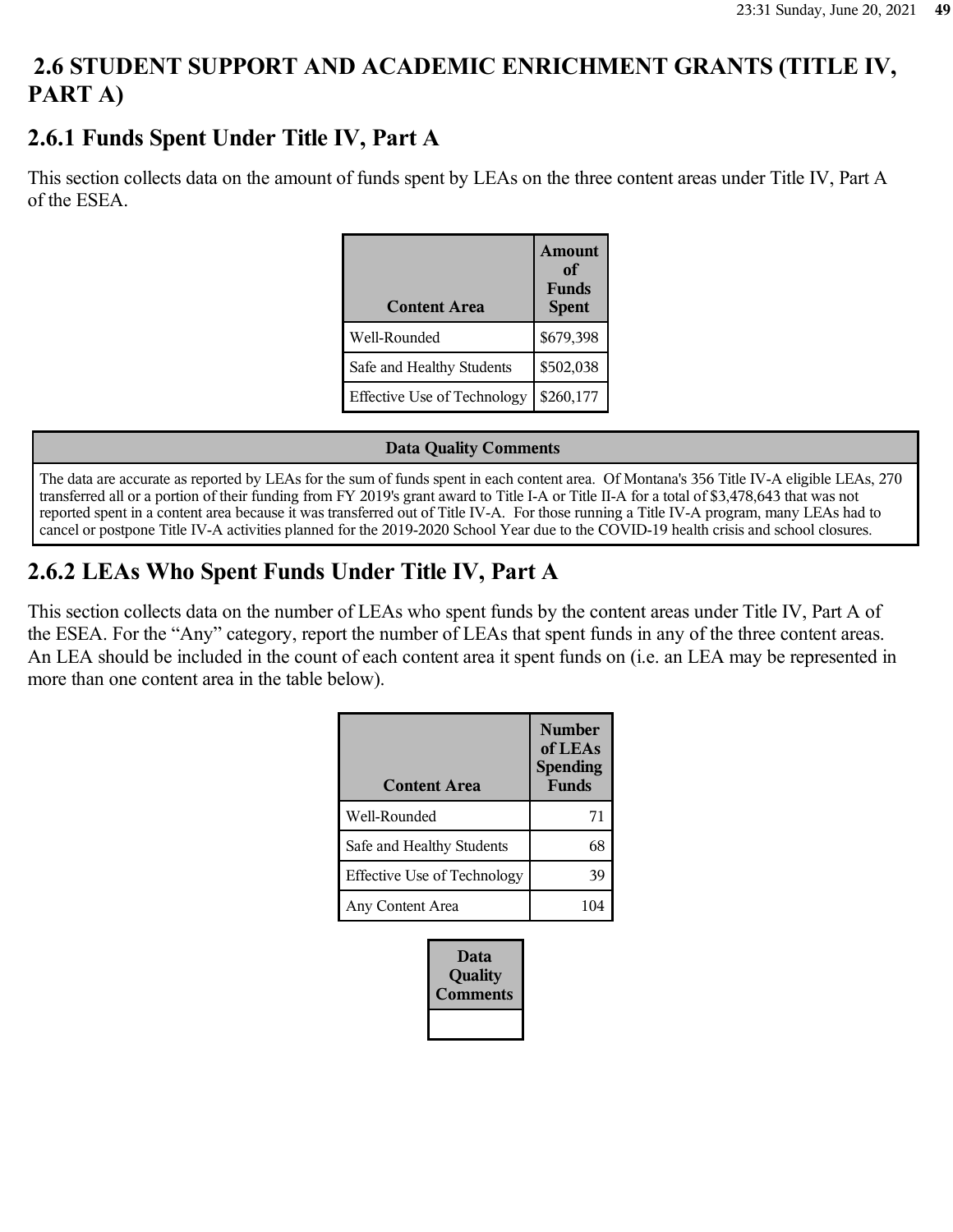# **2.6 STUDENT SUPPORT AND ACADEMIC ENRICHMENT GRANTS (TITLE IV, PART A)**

### **2.6.1 Funds Spent Under Title IV, Part A**

This section collects data on the amount of funds spent by LEAs on the three content areas under Title IV, Part A of the ESEA.

| <b>Content Area</b>                | Amount<br>оf<br><b>Funds</b><br><b>Spent</b> |
|------------------------------------|----------------------------------------------|
| Well-Rounded                       | \$679,398                                    |
| Safe and Healthy Students          | \$502,038                                    |
| <b>Effective Use of Technology</b> | \$260,177                                    |

#### **Data Quality Comments**

The data are accurate as reported by LEAs for the sum of funds spent in each content area. Of Montana's 356 Title IV-A eligible LEAs, 270 transferred all or a portion of their funding from FY 2019's grant award to Title I-A or Title II-A for a total of \$3,478,643 that was not reported spent in a content area because it was transferred out of Title IV-A. For those running a Title IV-A program, many LEAs had to cancel or postpone Title IV-A activities planned for the 2019-2020 School Year due to the COVID-19 health crisis and school closures.

# **2.6.2 LEAs Who Spent Funds Under Title IV, Part A**

This section collects data on the number of LEAs who spent funds by the content areas under Title IV, Part A of the ESEA. For the "Any" category, report the number of LEAs that spent funds in any of the three content areas. An LEA should be included in the count of each content area it spent funds on (i.e. an LEA may be represented in more than one content area in the table below).

| <b>Content Area</b>                | <b>Number</b><br>of LEAs<br><b>Spending</b><br><b>Funds</b> |
|------------------------------------|-------------------------------------------------------------|
| Well-Rounded                       | 71                                                          |
| Safe and Healthy Students          | 68                                                          |
| <b>Effective Use of Technology</b> | 39                                                          |
| Any Content Area                   |                                                             |

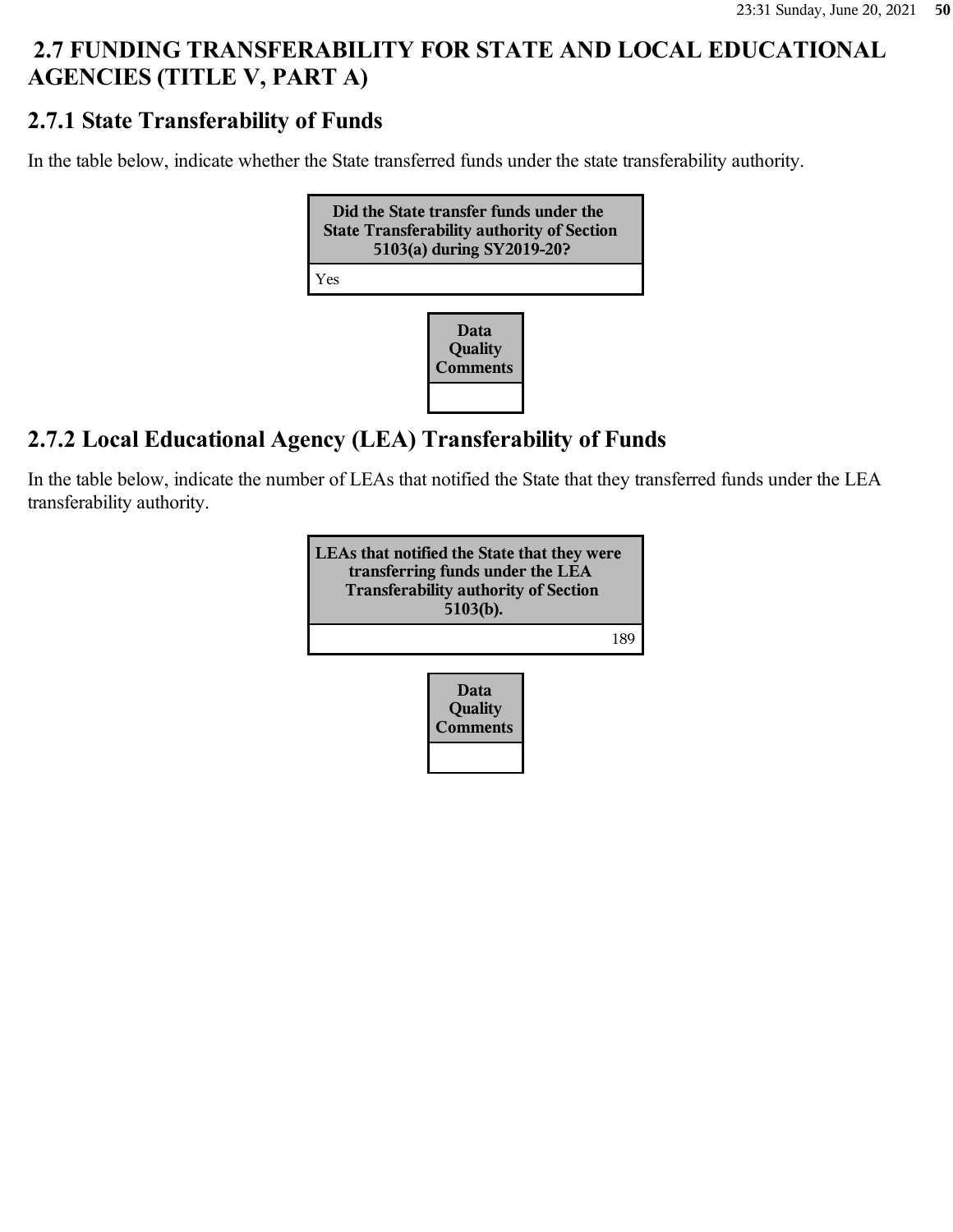# **2.7 FUNDING TRANSFERABILITY FOR STATE AND LOCAL EDUCATIONAL AGENCIES (TITLE V, PART A)**

### **2.7.1 State Transferability of Funds**

In the table below, indicate whether the State transferred funds under the state transferability authority.



### **2.7.2 Local Educational Agency (LEA) Transferability of Funds**

In the table below, indicate the number of LEAs that notified the State that they transferred funds under the LEA transferability authority.

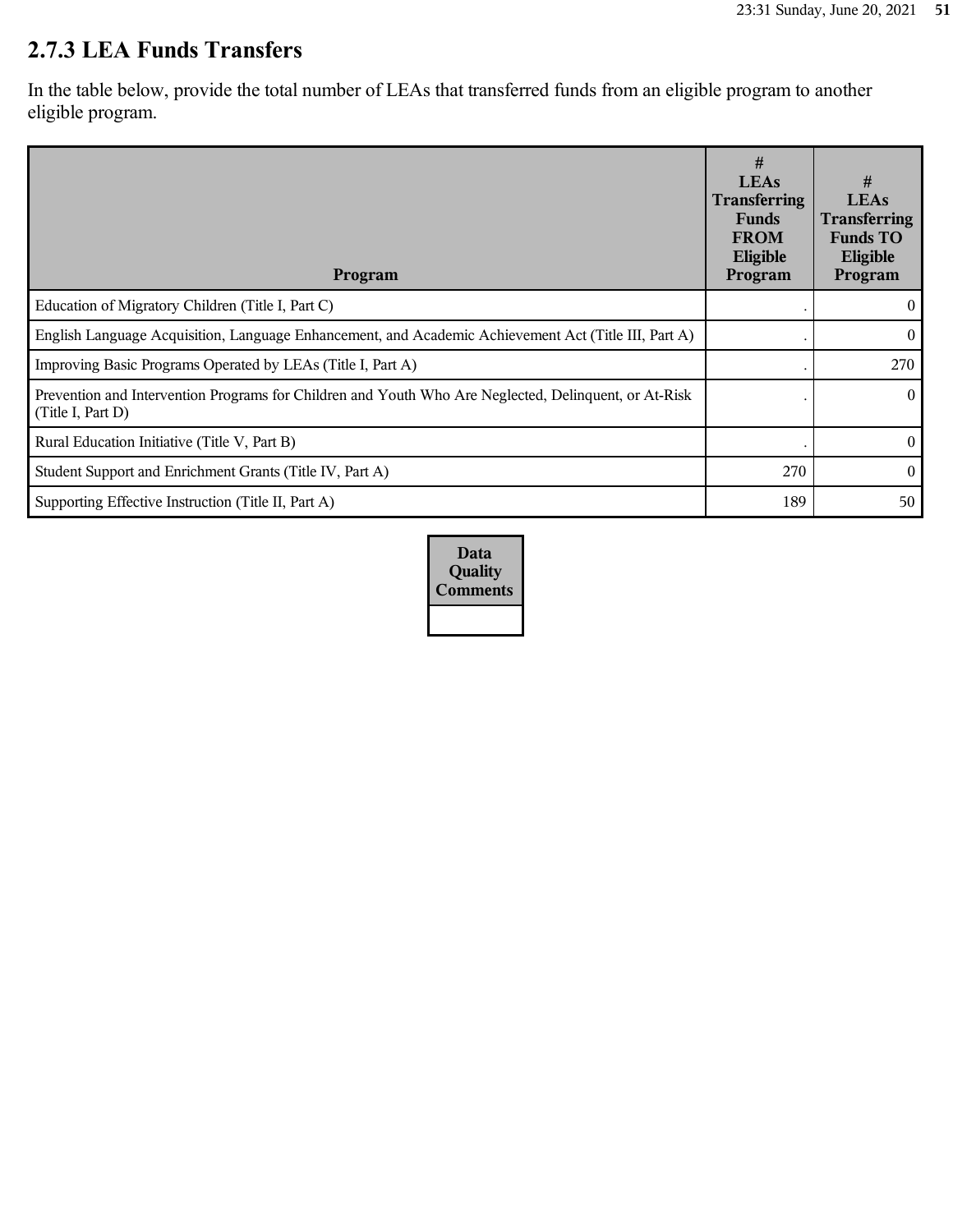# **2.7.3 LEA Funds Transfers**

In the table below, provide the total number of LEAs that transferred funds from an eligible program to another eligible program.

| Program                                                                                                                    | #<br><b>LEAs</b><br><b>Transferring</b><br><b>Funds</b><br><b>FROM</b><br>Eligible<br>Program | #<br><b>LEAs</b><br><b>Transferring</b><br><b>Funds TO</b><br>Eligible<br>Program |
|----------------------------------------------------------------------------------------------------------------------------|-----------------------------------------------------------------------------------------------|-----------------------------------------------------------------------------------|
| Education of Migratory Children (Title I, Part C)                                                                          |                                                                                               | $\mathbf{0}$                                                                      |
| English Language Acquisition, Language Enhancement, and Academic Achievement Act (Title III, Part A)                       |                                                                                               | $\theta$                                                                          |
| Improving Basic Programs Operated by LEAs (Title I, Part A)                                                                |                                                                                               | 270                                                                               |
| Prevention and Intervention Programs for Children and Youth Who Are Neglected, Delinquent, or At-Risk<br>(Title I, Part D) |                                                                                               | $\theta$                                                                          |
| Rural Education Initiative (Title V, Part B)                                                                               |                                                                                               | $\theta$                                                                          |
| Student Support and Enrichment Grants (Title IV, Part A)                                                                   | 270                                                                                           | $\theta$                                                                          |
| Supporting Effective Instruction (Title II, Part A)                                                                        | 189                                                                                           | 50                                                                                |

**Data Quality Comments**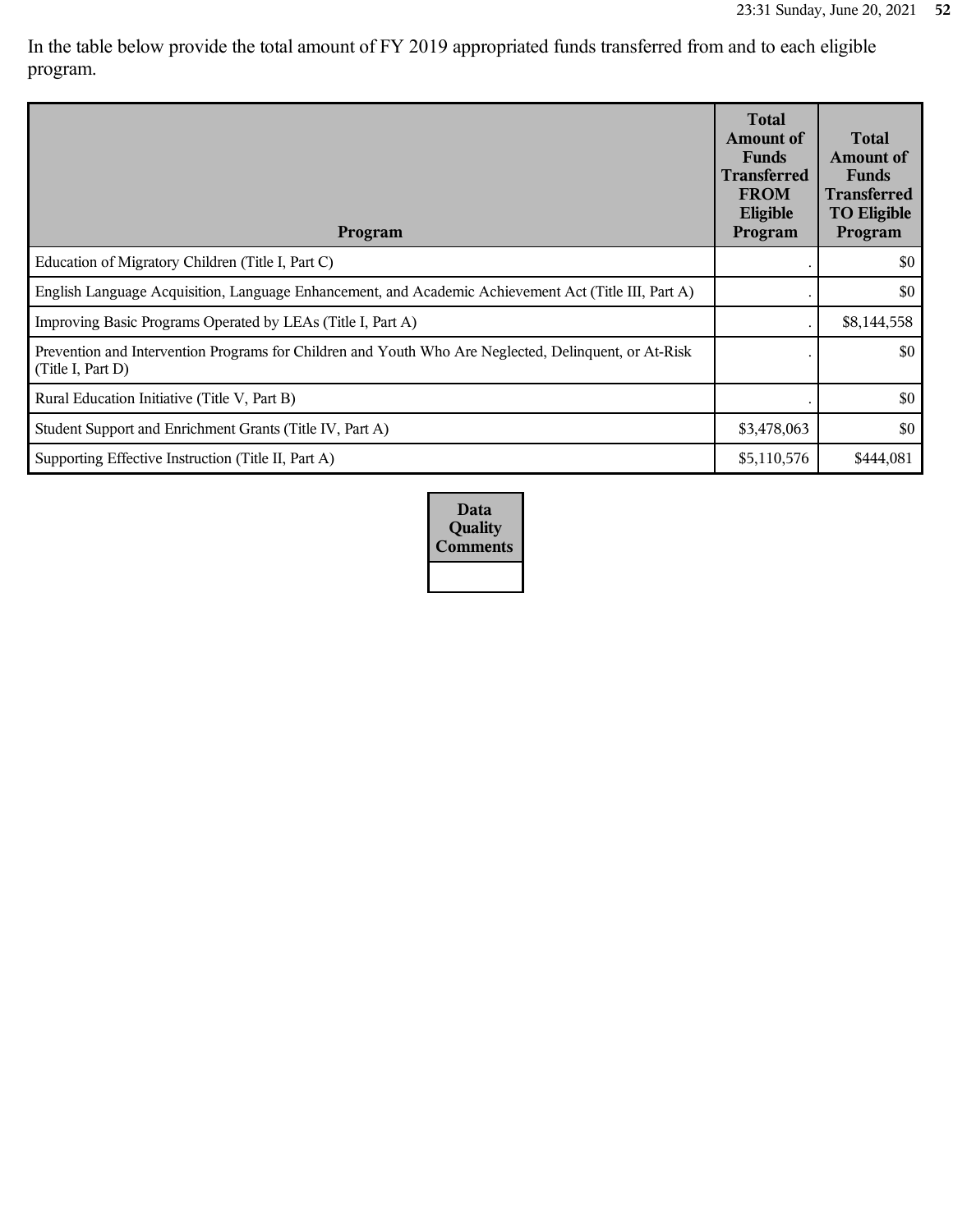In the table below provide the total amount of FY 2019 appropriated funds transferred from and to each eligible program.

| Program                                                                                                                    | <b>Total</b><br>Amount of<br><b>Funds</b><br><b>Transferred</b><br><b>FROM</b><br>Eligible<br>Program | <b>Total</b><br>Amount of<br><b>Funds</b><br><b>Transferred</b><br><b>TO Eligible</b><br>Program |
|----------------------------------------------------------------------------------------------------------------------------|-------------------------------------------------------------------------------------------------------|--------------------------------------------------------------------------------------------------|
| Education of Migratory Children (Title I, Part C)                                                                          |                                                                                                       | \$0                                                                                              |
| English Language Acquisition, Language Enhancement, and Academic Achievement Act (Title III, Part A)                       |                                                                                                       | \$0                                                                                              |
| Improving Basic Programs Operated by LEAs (Title I, Part A)                                                                |                                                                                                       | \$8,144,558                                                                                      |
| Prevention and Intervention Programs for Children and Youth Who Are Neglected, Delinquent, or At-Risk<br>(Title I, Part D) |                                                                                                       | \$0                                                                                              |
| Rural Education Initiative (Title V, Part B)                                                                               |                                                                                                       | \$0                                                                                              |
| Student Support and Enrichment Grants (Title IV, Part A)                                                                   | \$3,478,063                                                                                           | \$0                                                                                              |
| Supporting Effective Instruction (Title II, Part A)                                                                        | \$5,110,576                                                                                           | \$444,081                                                                                        |

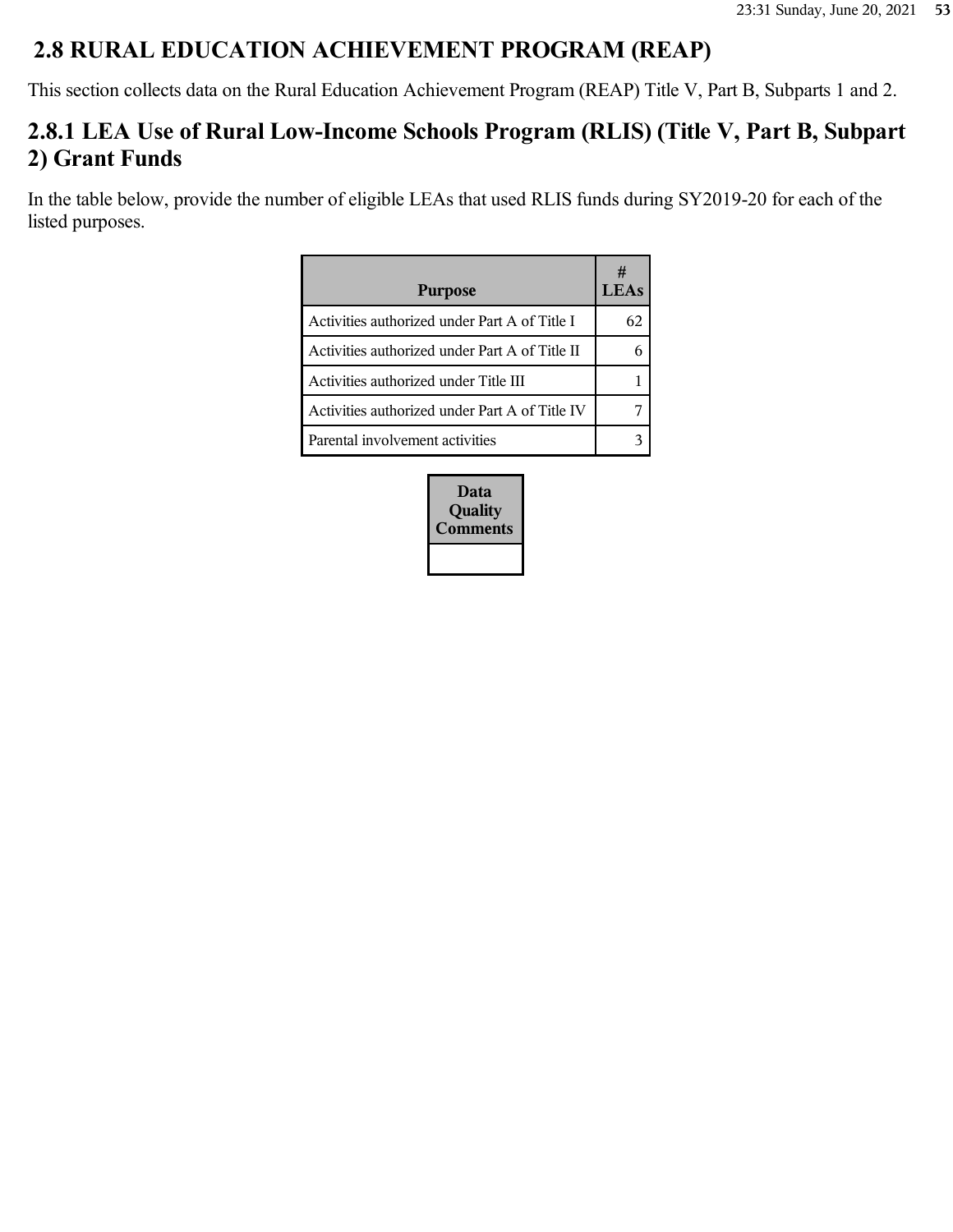## **2.8 RURAL EDUCATION ACHIEVEMENT PROGRAM (REAP)**

This section collects data on the Rural Education Achievement Program (REAP) Title V, Part B, Subparts 1 and 2.

## **2.8.1 LEA Use of Rural Low-Income Schools Program (RLIS) (Title V, Part B, Subpart 2) Grant Funds**

In the table below, provide the number of eligible LEAs that used RLIS funds during SY2019-20 for each of the listed purposes.

| <b>Purpose</b>                                 |    |
|------------------------------------------------|----|
| Activities authorized under Part A of Title I  | 62 |
| Activities authorized under Part A of Title II |    |
| Activities authorized under Title III          |    |
| Activities authorized under Part A of Title IV |    |
| Parental involvement activities                |    |

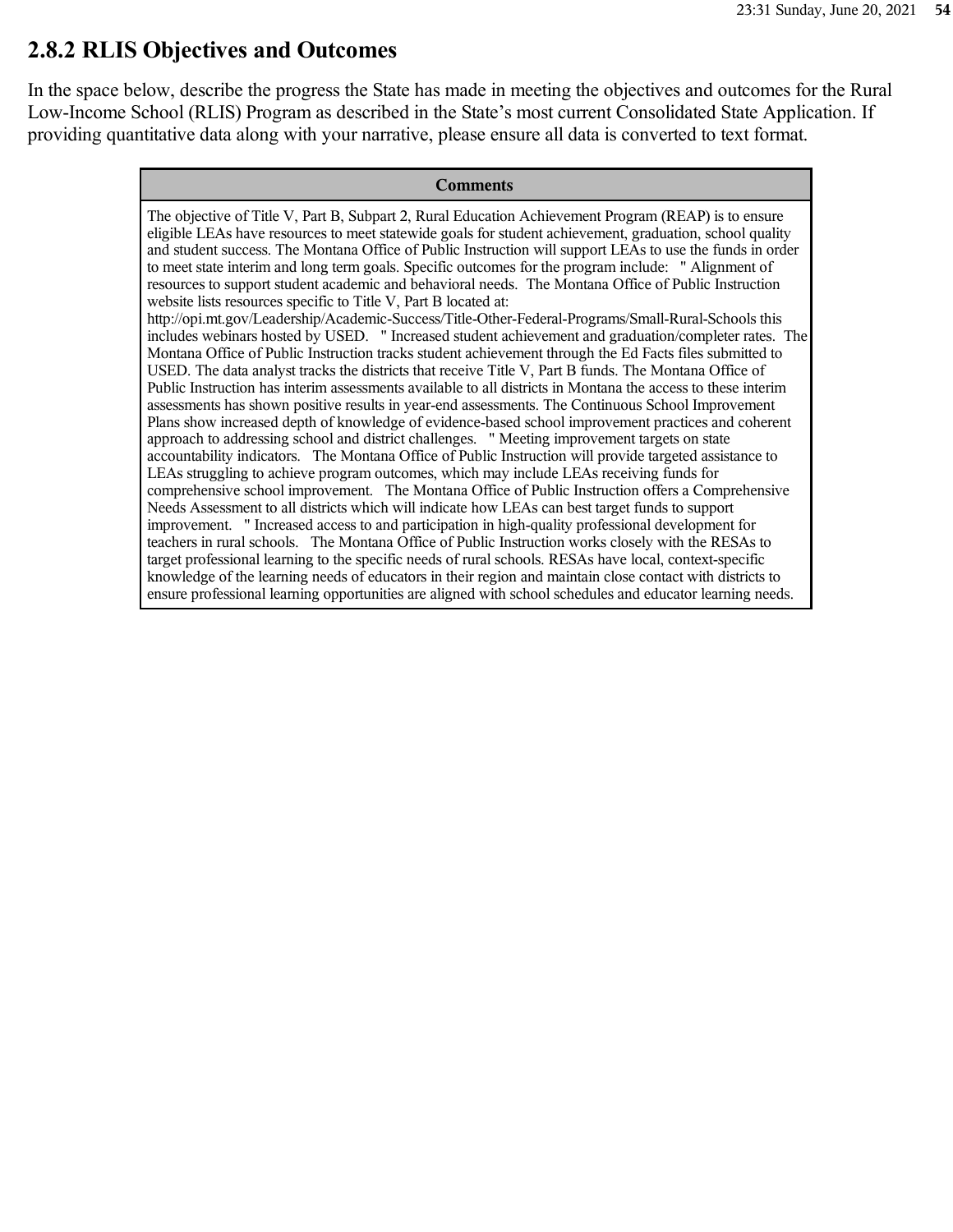### **2.8.2 RLIS Objectives and Outcomes**

In the space below, describe the progress the State has made in meeting the objectives and outcomes for the Rural Low-Income School (RLIS) Program as described in the State's most current Consolidated State Application. If providing quantitative data along with your narrative, please ensure all data is converted to text format.

#### **Comments**

The objective of Title V, Part B, Subpart 2, Rural Education Achievement Program (REAP) is to ensure eligible LEAs have resources to meet statewide goals for student achievement, graduation, school quality and student success. The Montana Office of Public Instruction will support LEAs to use the funds in order to meet state interim and long term goals. Specific outcomes for the program include: " Alignment of resources to support student academic and behavioral needs. The Montana Office of Public Instruction website lists resources specific to Title V, Part B located at: http://opi.mt.gov/Leadership/Academic-Success/Title-Other-Federal-Programs/Small-Rural-Schools this includes webinars hosted by USED. " Increased student achievement and graduation/completer rates. The Montana Office of Public Instruction tracks student achievement through the Ed Facts files submitted to USED. The data analyst tracks the districts that receive Title V, Part B funds. The Montana Office of Public Instruction has interim assessments available to all districts in Montana the access to these interim assessments has shown positive results in year-end assessments. The Continuous School Improvement Plans show increased depth of knowledge of evidence-based school improvement practices and coherent approach to addressing school and district challenges. " Meeting improvement targets on state accountability indicators. The Montana Office of Public Instruction will provide targeted assistance to LEAs struggling to achieve program outcomes, which may include LEAs receiving funds for comprehensive school improvement. The Montana Office of Public Instruction offers a Comprehensive Needs Assessment to all districts which will indicate how LEAs can best target funds to support improvement. " Increased access to and participation in high-quality professional development for teachers in rural schools. The Montana Office of Public Instruction works closely with the RESAs to target professional learning to the specific needs of rural schools. RESAs have local, context-specific knowledge of the learning needs of educators in their region and maintain close contact with districts to ensure professional learning opportunities are aligned with school schedules and educator learning needs.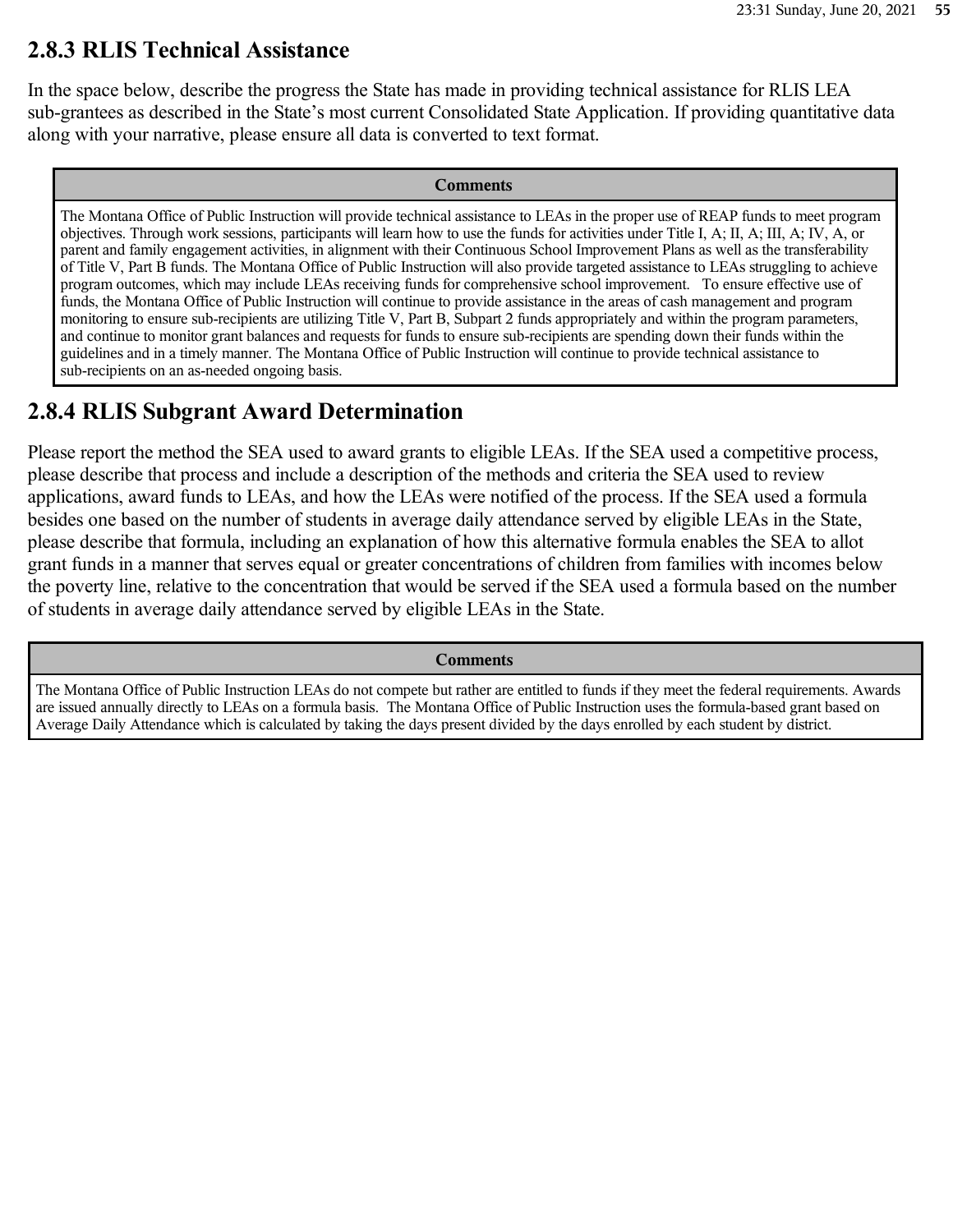### **2.8.3 RLIS Technical Assistance**

In the space below, describe the progress the State has made in providing technical assistance for RLIS LEA sub-grantees as described in the State's most current Consolidated State Application. If providing quantitative data along with your narrative, please ensure all data is converted to text format.

#### **Comments**

The Montana Office of Public Instruction will provide technical assistance to LEAs in the proper use of REAP funds to meet program objectives. Through work sessions, participants will learn how to use the funds for activities under Title I, A; II, A; III, A; IV, A, or parent and family engagement activities, in alignment with their Continuous School Improvement Plans as well as the transferability of Title V, Part B funds. The Montana Office of Public Instruction will also provide targeted assistance to LEAs struggling to achieve program outcomes, which may include LEAs receiving funds for comprehensive school improvement. To ensure effective use of funds, the Montana Office of Public Instruction will continue to provide assistance in the areas of cash management and program monitoring to ensure sub-recipients are utilizing Title V, Part B, Subpart 2 funds appropriately and within the program parameters, and continue to monitor grant balances and requests for funds to ensure sub-recipients are spending down their funds within the guidelines and in a timely manner. The Montana Office of Public Instruction will continue to provide technical assistance to sub-recipients on an as-needed ongoing basis.

### **2.8.4 RLIS Subgrant Award Determination**

Please report the method the SEA used to award grants to eligible LEAs. If the SEA used a competitive process, please describe that process and include a description of the methods and criteria the SEA used to review applications, award funds to LEAs, and how the LEAs were notified of the process. If the SEA used a formula besides one based on the number of students in average daily attendance served by eligible LEAs in the State, please describe that formula, including an explanation of how this alternative formula enables the SEA to allot grant funds in a manner that serves equal or greater concentrations of children from families with incomes below the poverty line, relative to the concentration that would be served if the SEA used a formula based on the number of students in average daily attendance served by eligible LEAs in the State.

**Comments**

The Montana Office of Public Instruction LEAs do not compete but rather are entitled to funds if they meet the federal requirements. Awards are issued annually directly to LEAs on a formula basis. The Montana Office of Public Instruction uses the formula-based grant based on Average Daily Attendance which is calculated by taking the days present divided by the days enrolled by each student by district.